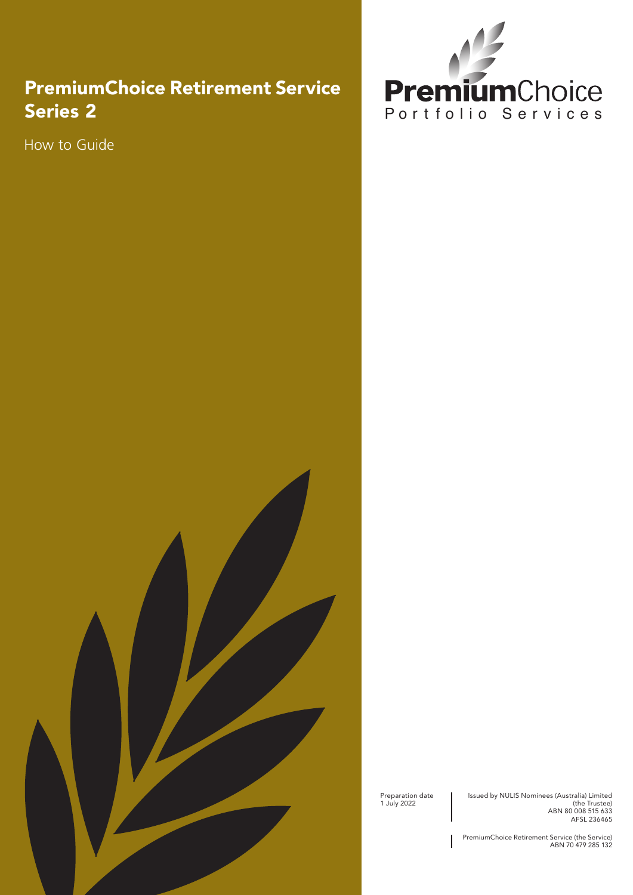### PremiumChoice Retirement Service Series 2

How to Guide



Preparation date 1 July 2022

Issued by NULIS Nominees (Australia) Limited (the Trustee) ABN 80 008 515 633 AFSL 236465

PremiumChoice Retirement Service (the Service) ABN 70 479 285 132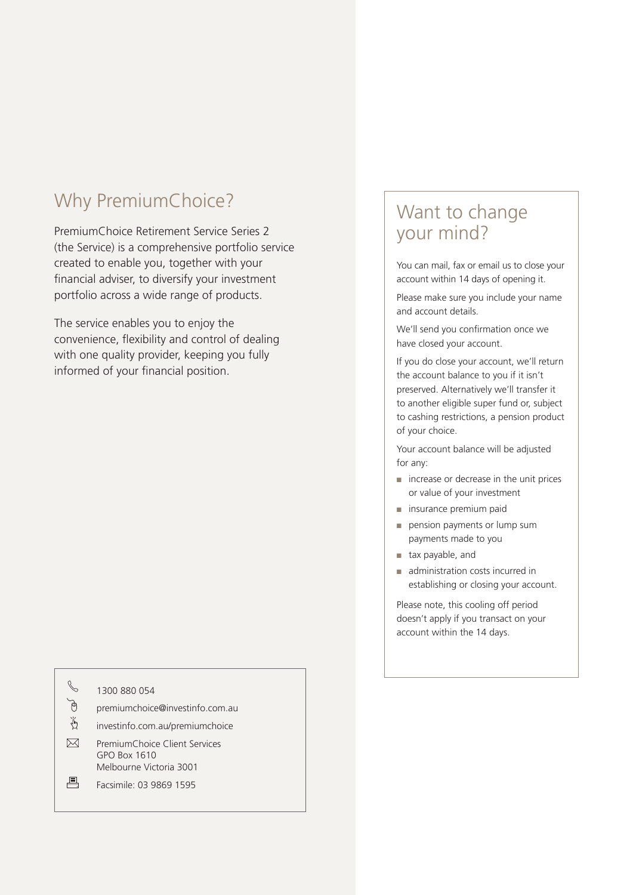## Why PremiumChoice?

PremiumChoice Retirement Service Series 2 (the Service) is a comprehensive portfolio service created to enable you, together with your financial adviser, to diversify your investment portfolio across a wide range of products.

The service enables you to enjoy the convenience, flexibility and control of dealing with one quality provider, keeping you fully informed of your financial position.

|   | 1300 880 054                                                             |
|---|--------------------------------------------------------------------------|
|   | premiumchoice@investinfo.com.au                                          |
| 着 | investinfo.com.au/premiumchoice                                          |
|   | PremiumChoice Client Services<br>GPO Box 1610<br>Melbourne Victoria 3001 |
|   | Facsimile: 03 9869 1595                                                  |

### Want to change your mind?

You can mail, fax or email us to close your account within 14 days of opening it.

Please make sure you include your name and account details.

We'll send you confirmation once we have closed your account.

If you do close your account, we'll return the account balance to you if it isn't preserved. Alternatively we'll transfer it to another eligible super fund or, subject to cashing restrictions, a pension product of your choice.

Your account balance will be adjusted for any:

- increase or decrease in the unit prices or value of your investment
- insurance premium paid
- pension payments or lump sum payments made to you
- tax payable, and
- administration costs incurred in establishing or closing your account.

Please note, this cooling off period doesn't apply if you transact on your account within the 14 days.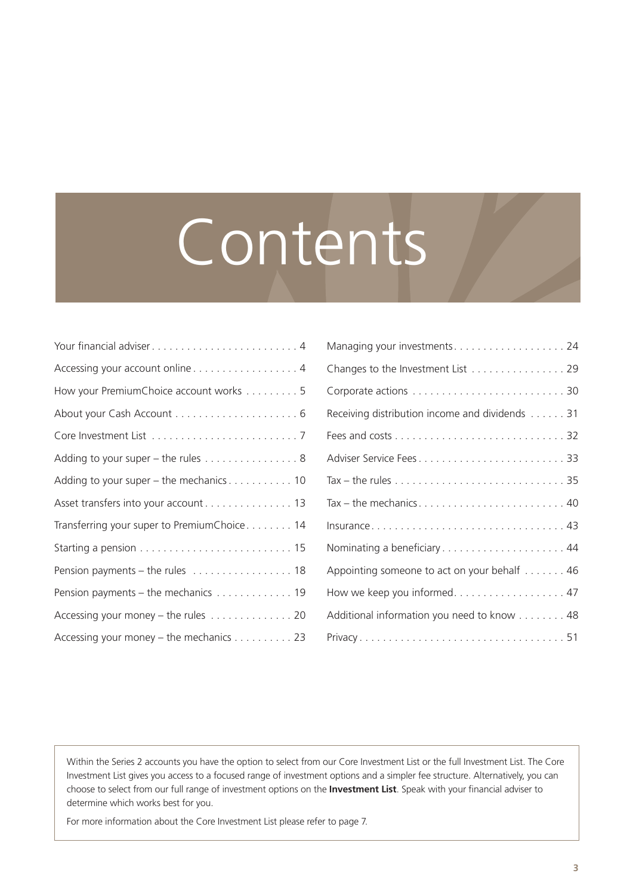# Contents

| Your financial adviser4                     |
|---------------------------------------------|
| Accessing your account online 4             |
| How your PremiumChoice account works 5      |
|                                             |
|                                             |
| Adding to your super - the rules 8          |
| Adding to your super - the mechanics 10     |
| Asset transfers into your account 13        |
| Transferring your super to PremiumChoice 14 |
|                                             |
| Pension payments - the rules  18            |
| Pension payments - the mechanics 19         |
| Accessing your money - the rules 20         |
| Accessing your money - the mechanics 23     |

| Managing your investments24                                                                |
|--------------------------------------------------------------------------------------------|
| Changes to the Investment List 29                                                          |
|                                                                                            |
| Receiving distribution income and dividends 31                                             |
|                                                                                            |
|                                                                                            |
| Tax – the rules $\ldots \ldots \ldots \ldots \ldots \ldots \ldots \ldots \ldots \ldots 35$ |
|                                                                                            |
|                                                                                            |
|                                                                                            |
| Appointing someone to act on your behalf 46                                                |
| How we keep you informed. 47                                                               |
| Additional information you need to know 48                                                 |
|                                                                                            |

Within the Series 2 accounts you have the option to select from our Core Investment List or the full Investment List. The Core Investment List gives you access to a focused range of investment options and a simpler fee structure. Alternatively, you can choose to select from our full range of investment options on the **Investment List**. Speak with your financial adviser to determine which works best for you.

For more information about the Core Investment List please refer to page 7.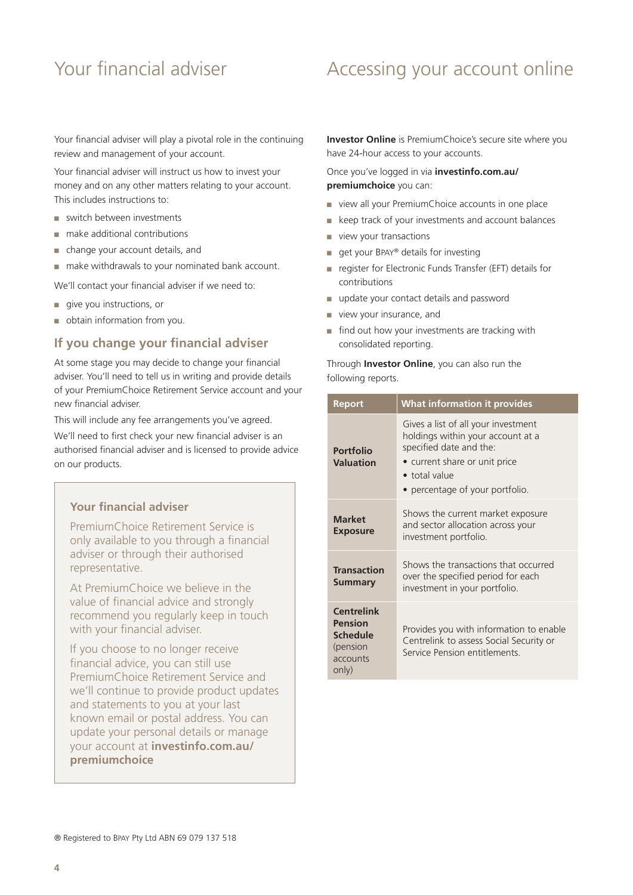### <span id="page-3-0"></span>Your financial adviser **Accessing your account online**

Your financial adviser will play a pivotal role in the continuing review and management of your account.

Your financial adviser will instruct us how to invest your money and on any other matters relating to your account. This includes instructions to:

- switch between investments
- make additional contributions
- change your account details, and
- make withdrawals to your nominated bank account.

We'll contact your financial adviser if we need to:

- give you instructions, or
- obtain information from you.

#### **If you change your financial adviser**

At some stage you may decide to change your financial adviser. You'll need to tell us in writing and provide details of your PremiumChoice Retirement Service account and your new financial adviser.

This will include any fee arrangements you've agreed.

We'll need to first check your new financial adviser is an authorised financial adviser and is licensed to provide advice on our products.

#### **Your financial adviser**

PremiumChoice Retirement Service is only available to you through a financial adviser or through their authorised representative.

At PremiumChoice we believe in the value of financial advice and strongly recommend you regularly keep in touch with your financial adviser.

If you choose to no longer receive financial advice, you can still use PremiumChoice Retirement Service and we'll continue to provide product updates and statements to you at your last known email or postal address. You can update your personal details or manage your account at **[investinfo.com.au/](http://investinfo.com.au/premiumchoice) [premiumchoice](http://investinfo.com.au/premiumchoice)**

**Investor Online** is PremiumChoice's secure site where you have 24-hour access to your accounts.

Once you've logged in via **[investinfo.com.au/](http://investinfo.com.au/premiumchoice) [premiumchoice](http://investinfo.com.au/premiumchoice)** you can:

- view all your PremiumChoice accounts in one place
- keep track of your investments and account balances
- view your transactions
- get your BPAY® details for investing
- register for Electronic Funds Transfer (EFT) details for contributions
- update your contact details and password
- view your insurance, and
- find out how your investments are tracking with consolidated reporting.

#### Through **Investor Online**, you can also run the following reports.

| <b>Report</b>                                                             | <b>What information it provides</b>                                                                                                                                                      |
|---------------------------------------------------------------------------|------------------------------------------------------------------------------------------------------------------------------------------------------------------------------------------|
| Portfolio<br><b>Valuation</b>                                             | Gives a list of all your investment<br>holdings within your account at a<br>specified date and the:<br>• current share or unit price<br>• total value<br>• percentage of your portfolio. |
| <b>Market</b><br><b>Exposure</b>                                          | Shows the current market exposure<br>and sector allocation across your<br>investment portfolio.                                                                                          |
| <b>Transaction</b><br><b>Summary</b>                                      | Shows the transactions that occurred<br>over the specified period for each<br>investment in your portfolio.                                                                              |
| <b>Centrelink</b><br>Pension<br>Schedule<br>(pension<br>accounts<br>only) | Provides you with information to enable<br>Centrelink to assess Social Security or<br>Service Pension entitlements                                                                       |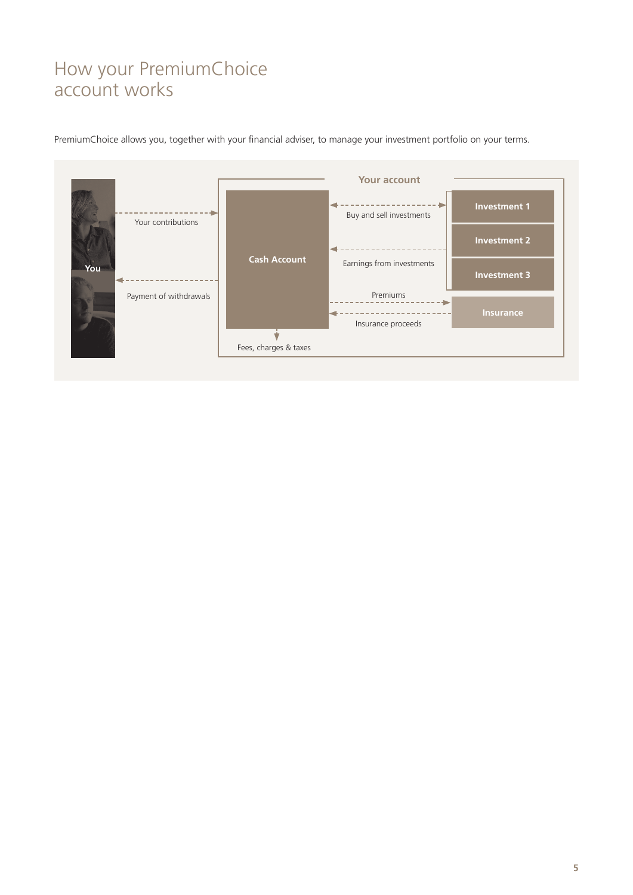### <span id="page-4-0"></span>How your PremiumChoice account works

PremiumChoice allows you, together with your financial adviser, to manage your investment portfolio on your terms.

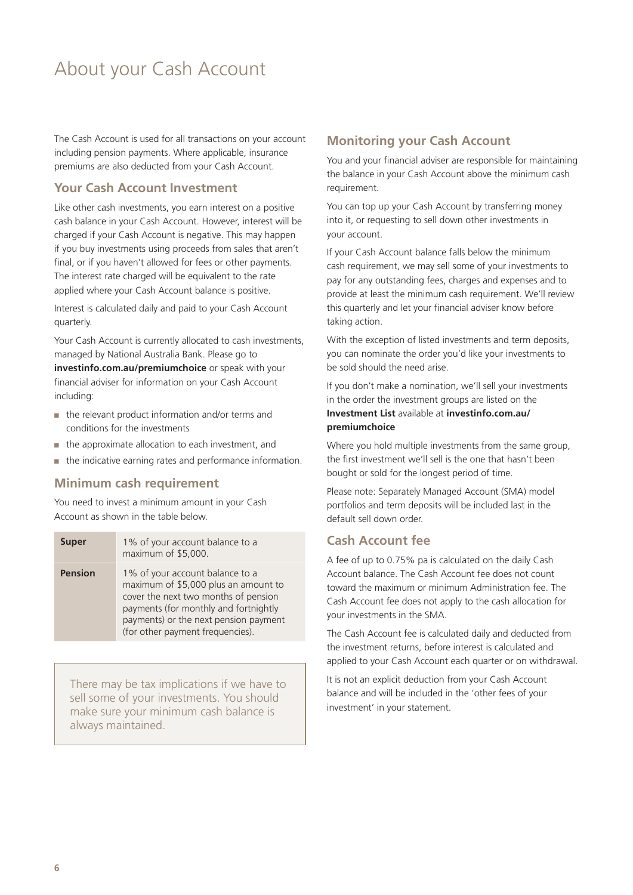### <span id="page-5-0"></span>About your Cash Account

The Cash Account is used for all transactions on your account including pension payments. Where applicable, insurance premiums are also deducted from your Cash Account.

#### **Your Cash Account Investment**

Like other cash investments, you earn interest on a positive cash balance in your Cash Account. However, interest will be charged if your Cash Account is negative. This may happen if you buy investments using proceeds from sales that aren't final, or if you haven't allowed for fees or other payments. The interest rate charged will be equivalent to the rate applied where your Cash Account balance is positive.

Interest is calculated daily and paid to your Cash Account quarterly.

Your Cash Account is currently allocated to cash investments, managed by National Australia Bank. Please go to **[investinfo.com.au/premiumchoice](http://investinfo.com.au/premiumchoice)** or speak with your financial adviser for information on your Cash Account including:

- the relevant product information and/or terms and conditions for the investments
- the approximate allocation to each investment, and
- the indicative earning rates and performance information.

#### **Minimum cash requirement**

You need to invest a minimum amount in your Cash Account as shown in the table below.

| <b>Super</b>   | 1% of your account balance to a<br>maximum of \$5,000.                                                                                                                                                                                |
|----------------|---------------------------------------------------------------------------------------------------------------------------------------------------------------------------------------------------------------------------------------|
| <b>Pension</b> | 1% of your account balance to a<br>maximum of \$5,000 plus an amount to<br>cover the next two months of pension<br>payments (for monthly and fortnightly<br>payments) or the next pension payment<br>(for other payment frequencies). |

There may be tax implications if we have to sell some of your investments. You should make sure your minimum cash balance is always maintained.

#### **Monitoring your Cash Account**

You and your financial adviser are responsible for maintaining the balance in your Cash Account above the minimum cash requirement.

You can top up your Cash Account by transferring money into it, or requesting to sell down other investments in your account.

If your Cash Account balance falls below the minimum cash requirement, we may sell some of your investments to pay for any outstanding fees, charges and expenses and to provide at least the minimum cash requirement. We'll review this quarterly and let your financial adviser know before taking action.

With the exception of listed investments and term deposits, you can nominate the order you'd like your investments to be sold should the need arise.

If you don't make a nomination, we'll sell your investments in the order the investment groups are listed on the **Investment List** available at **[investinfo.com.au/](http://investinfo.com.au/premiumchoice) [premiumchoice](http://investinfo.com.au/premiumchoice)**

Where you hold multiple investments from the same group, the first investment we'll sell is the one that hasn't been bought or sold for the longest period of time.

Please note: Separately Managed Account (SMA) model portfolios and term deposits will be included last in the default sell down order.

#### **Cash Account fee**

A fee of up to 0.75% pa is calculated on the daily Cash Account balance. The Cash Account fee does not count toward the maximum or minimum Administration fee. The Cash Account fee does not apply to the cash allocation for your investments in the SMA.

The Cash Account fee is calculated daily and deducted from the investment returns, before interest is calculated and applied to your Cash Account each quarter or on withdrawal.

It is not an explicit deduction from your Cash Account balance and will be included in the 'other fees of your investment' in your statement.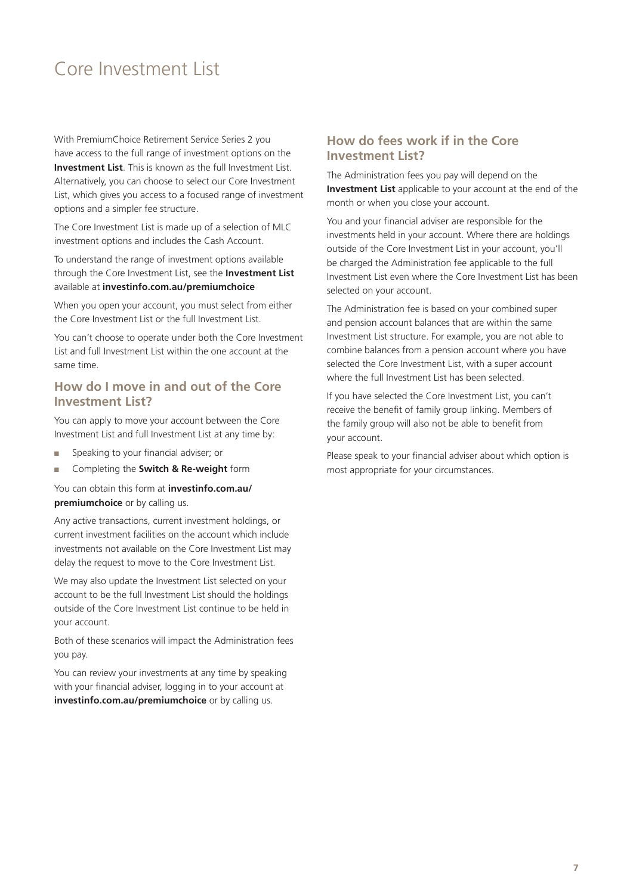### <span id="page-6-0"></span>Core Investment List

With PremiumChoice Retirement Service Series 2 you have access to the full range of investment options on the **Investment List**. This is known as the full Investment List. Alternatively, you can choose to select our Core Investment List, which gives you access to a focused range of investment options and a simpler fee structure.

The Core Investment List is made up of a selection of MLC investment options and includes the Cash Account.

To understand the range of investment options available through the Core Investment List, see the **Investment List** available at **[investinfo.com.au/premiumchoice](http://investinfo.com.au/premium-choice/public/product_info)**

When you open your account, you must select from either the Core Investment List or the full Investment List.

You can't choose to operate under both the Core Investment List and full Investment List within the one account at the same time.

#### **How do I move in and out of the Core Investment List?**

You can apply to move your account between the Core Investment List and full Investment List at any time by:

- Speaking to your financial adviser; or
- Completing the **Switch & Re-weight** form

You can obtain this form at **[investinfo.com.au/](http://investinfo.com.au/premium-choice/public/product_info) [premiumchoice](http://investinfo.com.au/premium-choice/public/product_info)** or by calling us.

Any active transactions, current investment holdings, or current investment facilities on the account which include investments not available on the Core Investment List may delay the request to move to the Core Investment List.

We may also update the Investment List selected on your account to be the full Investment List should the holdings outside of the Core Investment List continue to be held in your account.

Both of these scenarios will impact the Administration fees you pay.

You can review your investments at any time by speaking with your financial adviser, logging in to your account at **[investinfo.com.au/premiumchoice](http://investinfo.com.au/premiumchoice)** or by calling us.

#### **How do fees work if in the Core Investment List?**

The Administration fees you pay will depend on the **Investment List** applicable to your account at the end of the month or when you close your account.

You and your financial adviser are responsible for the investments held in your account. Where there are holdings outside of the Core Investment List in your account, you'll be charged the Administration fee applicable to the full Investment List even where the Core Investment List has been selected on your account.

The Administration fee is based on your combined super and pension account balances that are within the same Investment List structure. For example, you are not able to combine balances from a pension account where you have selected the Core Investment List, with a super account where the full Investment List has been selected.

If you have selected the Core Investment List, you can't receive the benefit of family group linking. Members of the family group will also not be able to benefit from your account.

Please speak to your financial adviser about which option is most appropriate for your circumstances.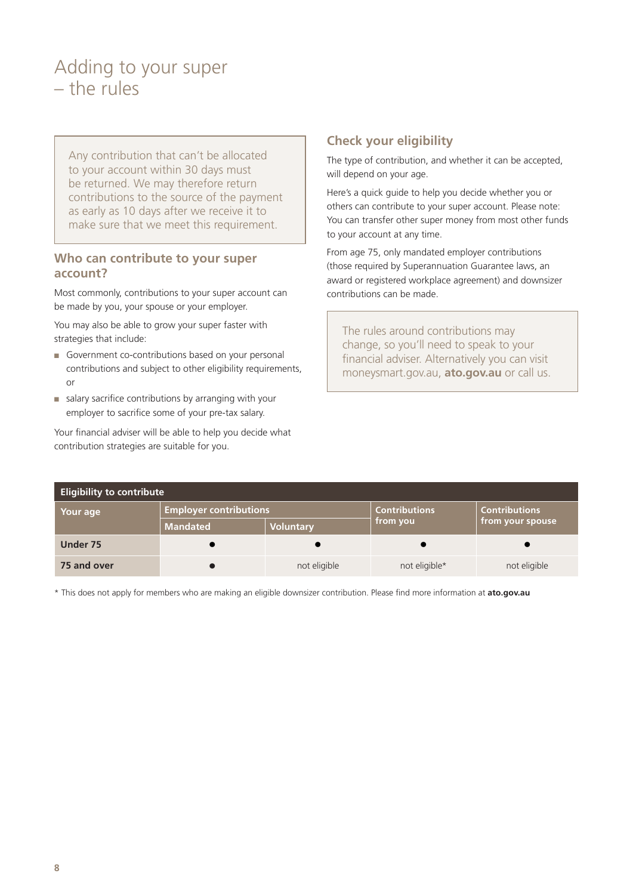### <span id="page-7-0"></span>Adding to your super – the rules

Any contribution that can't be allocated to your account within 30 days must be returned. We may therefore return contributions to the source of the payment as early as 10 days after we receive it to make sure that we meet this requirement.

#### **Who can contribute to your super account?**

Most commonly, contributions to your super account can be made by you, your spouse or your employer.

You may also be able to grow your super faster with strategies that include:

- Government co-contributions based on your personal contributions and subject to other eligibility requirements, or
- salary sacrifice contributions by arranging with your employer to sacrifice some of your pre-tax salary.

Your financial adviser will be able to help you decide what contribution strategies are suitable for you.

#### **Check your eligibility**

The type of contribution, and whether it can be accepted, will depend on your age.

Here's a quick guide to help you decide whether you or others can contribute to your super account. Please note: You can transfer other super money from most other funds to your account at any time.

From age 75, only mandated employer contributions (those required by Superannuation Guarantee laws, an award or registered workplace agreement) and downsizer contributions can be made.

The rules around contributions may change, so you'll need to speak to your financial adviser. Alternatively you can visit [moneysmart.gov.au](http://www.moneysmart.gov.au), **[ato.gov.au](http://ato.gov.au)** or call us.

| <b>Eligibility to contribute</b> |                               |                  |                      |                      |
|----------------------------------|-------------------------------|------------------|----------------------|----------------------|
| Your age                         | <b>Employer contributions</b> |                  | <b>Contributions</b> | <b>Contributions</b> |
|                                  | <b>Mandated</b>               | <b>Voluntary</b> | from you             | from your spouse     |
| Under 75                         | u                             |                  |                      |                      |
| 75 and over                      |                               | not eligible     | not eligible*        | not eligible         |

\* This does not apply for members who are making an eligible downsizer contribution. Please find more information at **[ato.gov.au](http://ato.gov.au)**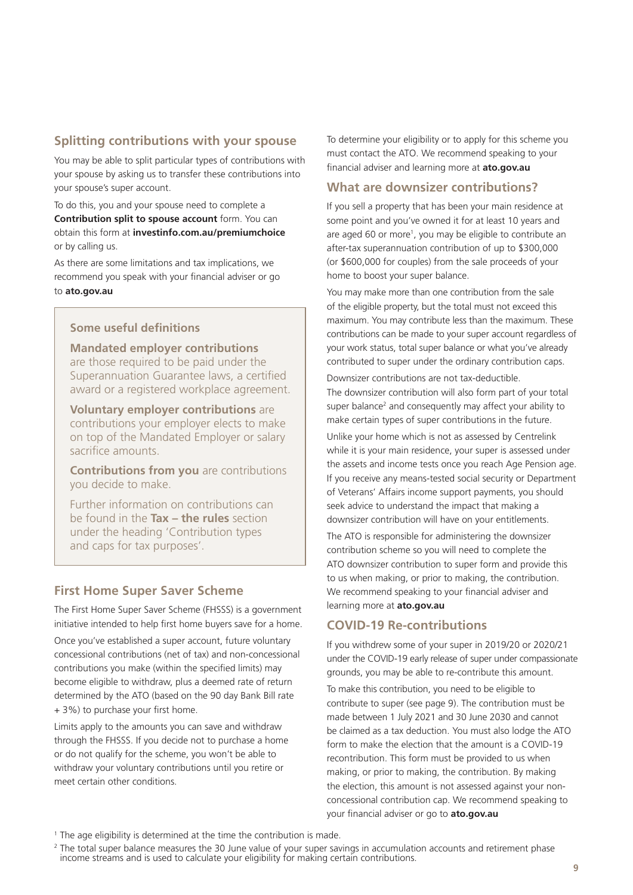#### **Splitting contributions with your spouse**

You may be able to split particular types of contributions with your spouse by asking us to transfer these contributions into your spouse's super account.

To do this, you and your spouse need to complete a **Contribution split to spouse account** form. You can obtain this form at **[investinfo.com.au/premiumchoice](http://investinfo.com.au/premiumchoice)** or by calling us.

As there are some limitations and tax implications, we recommend you speak with your financial adviser or go to **[ato.gov.au](http://ato.gov.au)**

#### **Some useful definitions**

**Mandated employer contributions**  are those required to be paid under the Superannuation Guarantee laws, a certified award or a registered workplace agreement.

**Voluntary employer contributions** are contributions your employer elects to make on top of the Mandated Employer or salary sacrifice amounts.

**Contributions from you** are contributions you decide to make.

Further information on contributions can be found in the **Tax – the rules** section under the heading 'Contribution types and caps for tax purposes'.

#### **First Home Super Saver Scheme**

The First Home Super Saver Scheme (FHSSS) is a government initiative intended to help first home buyers save for a home.

Once you've established a super account, future voluntary concessional contributions (net of tax) and non-concessional contributions you make (within the specified limits) may become eligible to withdraw, plus a deemed rate of return determined by the ATO (based on the 90 day Bank Bill rate + 3%) to purchase your first home.

Limits apply to the amounts you can save and withdraw through the FHSSS. If you decide not to purchase a home or do not qualify for the scheme, you won't be able to withdraw your voluntary contributions until you retire or meet certain other conditions.

To determine your eligibility or to apply for this scheme you must contact the ATO. We recommend speaking to your financial adviser and learning more at **[ato.gov.au](http://ato.gov.au)**

#### **What are downsizer contributions?**

If you sell a property that has been your main residence at some point and you've owned it for at least 10 years and are aged 60 or more1 , you may be eligible to contribute an after-tax superannuation contribution of up to \$300,000 (or \$600,000 for couples) from the sale proceeds of your home to boost your super balance.

You may make more than one contribution from the sale of the eligible property, but the total must not exceed this maximum. You may contribute less than the maximum. These contributions can be made to your super account regardless of your work status, total super balance or what you've already contributed to super under the ordinary contribution caps.

Downsizer contributions are not tax-deductible. The downsizer contribution will also form part of your total super balance<sup>2</sup> and consequently may affect your ability to make certain types of super contributions in the future.

Unlike your home which is not as assessed by Centrelink while it is your main residence, your super is assessed under the assets and income tests once you reach Age Pension age. If you receive any means-tested social security or Department of Veterans' Affairs income support payments, you should seek advice to understand the impact that making a downsizer contribution will have on your entitlements.

The ATO is responsible for administering the downsizer contribution scheme so you will need to complete the ATO downsizer contribution to super form and provide this to us when making, or prior to making, the contribution. We recommend speaking to your financial adviser and learning more at **[ato.gov.au](http://ato.gov.au)**

#### **COVID-19 Re-contributions**

If you withdrew some of your super in 2019/20 or 2020/21 under the COVID-19 early release of super under compassionate grounds, you may be able to re-contribute this amount.

To make this contribution, you need to be eligible to contribute to super (see page 9). The contribution must be made between 1 July 2021 and 30 June 2030 and cannot be claimed as a tax deduction. You must also lodge the ATO form to make the election that the amount is a COVID-19 recontribution. This form must be provided to us when making, or prior to making, the contribution. By making the election, this amount is not assessed against your nonconcessional contribution cap. We recommend speaking to your financial adviser or go to **ato.gov.au**

<sup>&</sup>lt;sup>1</sup> The age eligibility is determined at the time the contribution is made.

<sup>&</sup>lt;sup>2</sup> The total super balance measures the 30 June value of your super savings in accumulation accounts and retirement phase income streams and is used to calculate your eligibility for making certain contributions.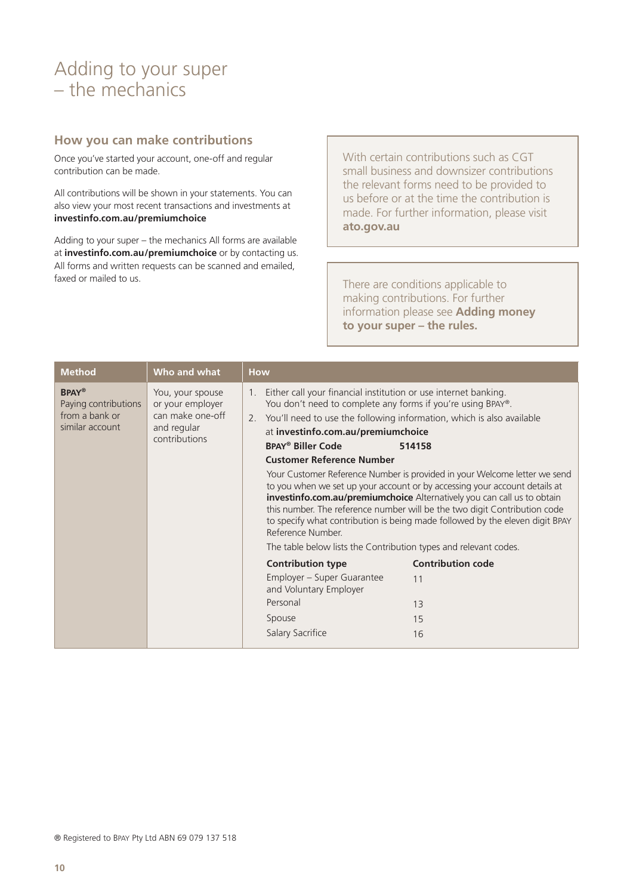### <span id="page-9-0"></span>Adding to your super – the mechanics

#### **How you can make contributions**

Once you've started your account, one-off and regular contribution can be made.

All contributions will be shown in your statements. You can also view your most recent transactions and investments at **[investinfo.com.au/premiumchoice](http://investinfo.com.au/premiumchoice)**

Adding to your super – the mechanics All forms are available at **[investinfo.com.au/premiumchoice](http://investinfo.com.au/premiumchoice)** or by contacting us. All forms and written requests can be scanned and emailed, faxed or mailed to us.

With certain contributions such as CGT small business and downsizer contributions the relevant forms need to be provided to us before or at the time the contribution is made. For further information, please visit **[ato.gov.au](http://ato.gov.au)**

There are conditions applicable to making contributions. For further information please see **Adding money to your super – the rules.**

| <b>Method</b>                                                                                                                                                         | Who and what                                                                                                                                                                                                                                                                                                                                                                                                                              | <b>How</b>                                                                                                                                                                                                                                                                                                                                                                                                |                          |
|-----------------------------------------------------------------------------------------------------------------------------------------------------------------------|-------------------------------------------------------------------------------------------------------------------------------------------------------------------------------------------------------------------------------------------------------------------------------------------------------------------------------------------------------------------------------------------------------------------------------------------|-----------------------------------------------------------------------------------------------------------------------------------------------------------------------------------------------------------------------------------------------------------------------------------------------------------------------------------------------------------------------------------------------------------|--------------------------|
| <b>BPAY®</b><br>You, your spouse<br>or your employer<br>Paying contributions<br>can make one-off<br>from a bank or<br>similar account<br>and regular<br>contributions | Either call your financial institution or use internet banking.<br>1 <sub>1</sub><br>You don't need to complete any forms if you're using BPAY®.<br>You'll need to use the following information, which is also available<br>2.<br>at investinfo.com.au/premiumchoice<br><b>BPAY<sup>®</sup> Biller Code</b><br><b>Customer Reference Number</b><br>Reference Number.<br>The table below lists the Contribution types and relevant codes. | 514158<br>Your Customer Reference Number is provided in your Welcome letter we send<br>to you when we set up your account or by accessing your account details at<br>investinfo.com.au/premiumchoice Alternatively you can call us to obtain<br>this number. The reference number will be the two digit Contribution code<br>to specify what contribution is being made followed by the eleven digit BPAY |                          |
|                                                                                                                                                                       |                                                                                                                                                                                                                                                                                                                                                                                                                                           | <b>Contribution type</b>                                                                                                                                                                                                                                                                                                                                                                                  | <b>Contribution code</b> |
|                                                                                                                                                                       |                                                                                                                                                                                                                                                                                                                                                                                                                                           | Employer - Super Guarantee<br>and Voluntary Employer                                                                                                                                                                                                                                                                                                                                                      | 11                       |
|                                                                                                                                                                       |                                                                                                                                                                                                                                                                                                                                                                                                                                           | Personal                                                                                                                                                                                                                                                                                                                                                                                                  | 13                       |
|                                                                                                                                                                       |                                                                                                                                                                                                                                                                                                                                                                                                                                           | Spouse                                                                                                                                                                                                                                                                                                                                                                                                    | 15                       |
|                                                                                                                                                                       |                                                                                                                                                                                                                                                                                                                                                                                                                                           | Salary Sacrifice                                                                                                                                                                                                                                                                                                                                                                                          | 16                       |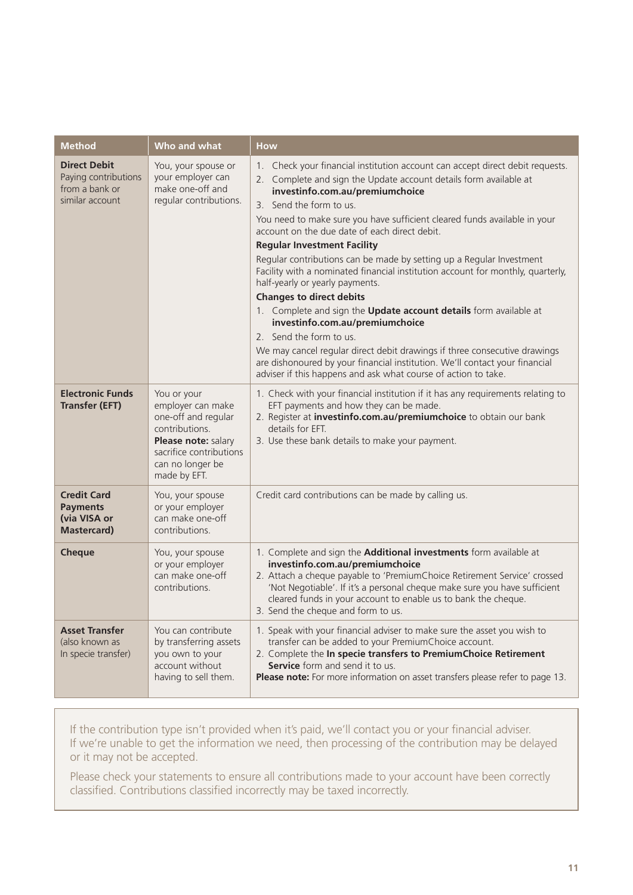| <b>Method</b>                                                                    | Who and what                                                                                                                                                    | <b>How</b>                                                                                                                                                                                                                                                                                                                                                                                                                                                                                                                                                                                                                                                                                                                                                                                                                                                                                                                                                                                                |
|----------------------------------------------------------------------------------|-----------------------------------------------------------------------------------------------------------------------------------------------------------------|-----------------------------------------------------------------------------------------------------------------------------------------------------------------------------------------------------------------------------------------------------------------------------------------------------------------------------------------------------------------------------------------------------------------------------------------------------------------------------------------------------------------------------------------------------------------------------------------------------------------------------------------------------------------------------------------------------------------------------------------------------------------------------------------------------------------------------------------------------------------------------------------------------------------------------------------------------------------------------------------------------------|
| <b>Direct Debit</b><br>Paying contributions<br>from a bank or<br>similar account | You, your spouse or<br>your employer can<br>make one-off and<br>regular contributions.                                                                          | Check your financial institution account can accept direct debit requests.<br>$1_{\cdot}$<br>2. Complete and sign the Update account details form available at<br>investinfo.com.au/premiumchoice<br>3. Send the form to us.<br>You need to make sure you have sufficient cleared funds available in your<br>account on the due date of each direct debit.<br><b>Regular Investment Facility</b><br>Regular contributions can be made by setting up a Regular Investment<br>Facility with a nominated financial institution account for monthly, quarterly,<br>half-yearly or yearly payments.<br><b>Changes to direct debits</b><br>1. Complete and sign the <b>Update account details</b> form available at<br>investinfo.com.au/premiumchoice<br>2. Send the form to us.<br>We may cancel regular direct debit drawings if three consecutive drawings<br>are dishonoured by your financial institution. We'll contact your financial<br>adviser if this happens and ask what course of action to take. |
| <b>Electronic Funds</b><br><b>Transfer (EFT)</b>                                 | You or your<br>employer can make<br>one-off and regular<br>contributions.<br>Please note: salary<br>sacrifice contributions<br>can no longer be<br>made by EFT. | 1. Check with your financial institution if it has any requirements relating to<br>EFT payments and how they can be made.<br>2. Register at <i>investinfo.com.au/premiumchoice</i> to obtain our bank<br>details for EFT.<br>3. Use these bank details to make your payment.                                                                                                                                                                                                                                                                                                                                                                                                                                                                                                                                                                                                                                                                                                                              |
| <b>Credit Card</b><br><b>Payments</b><br>(via VISA or<br><b>Mastercard</b> )     | You, your spouse<br>or your employer<br>can make one-off<br>contributions.                                                                                      | Credit card contributions can be made by calling us.                                                                                                                                                                                                                                                                                                                                                                                                                                                                                                                                                                                                                                                                                                                                                                                                                                                                                                                                                      |
| <b>Cheque</b>                                                                    | You, your spouse<br>or your employer<br>can make one-off<br>contributions.                                                                                      | 1. Complete and sign the <b>Additional investments</b> form available at<br>investinfo.com.au/premiumchoice<br>2. Attach a cheque payable to 'PremiumChoice Retirement Service' crossed<br>'Not Negotiable'. If it's a personal cheque make sure you have sufficient<br>cleared funds in your account to enable us to bank the cheque.<br>3. Send the cheque and form to us.                                                                                                                                                                                                                                                                                                                                                                                                                                                                                                                                                                                                                              |
| <b>Asset Transfer</b><br>(also known as<br>In specie transfer)                   | You can contribute<br>by transferring assets<br>you own to your<br>account without<br>having to sell them.                                                      | 1. Speak with your financial adviser to make sure the asset you wish to<br>transfer can be added to your PremiumChoice account.<br>2. Complete the In specie transfers to PremiumChoice Retirement<br><b>Service</b> form and send it to us.<br>Please note: For more information on asset transfers please refer to page 13.                                                                                                                                                                                                                                                                                                                                                                                                                                                                                                                                                                                                                                                                             |

If the contribution type isn't provided when it's paid, we'll contact you or your financial adviser. If we're unable to get the information we need, then processing of the contribution may be delayed or it may not be accepted.

Please check your statements to ensure all contributions made to your account have been correctly classified. Contributions classified incorrectly may be taxed incorrectly.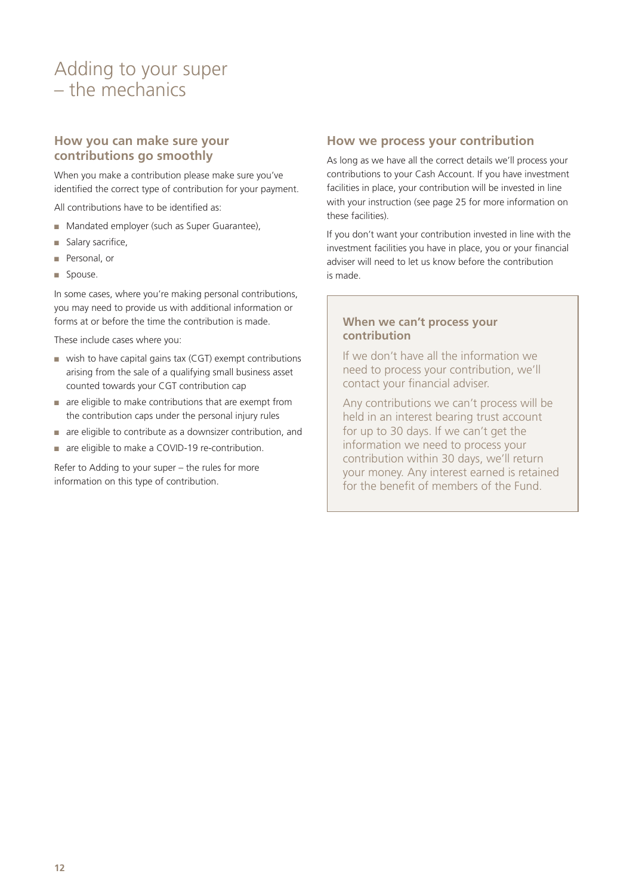### Adding to your super – the mechanics

#### **How you can make sure your contributions go smoothly**

When you make a contribution please make sure you've identified the correct type of contribution for your payment.

All contributions have to be identified as:

- Mandated employer (such as Super Guarantee),
- Salary sacrifice,
- Personal, or
- Spouse.

In some cases, where you're making personal contributions, you may need to provide us with additional information or forms at or before the time the contribution is made.

These include cases where you:

- wish to have capital gains tax (CGT) exempt contributions arising from the sale of a qualifying small business asset counted towards your CGT contribution cap
- are eligible to make contributions that are exempt from the contribution caps under the personal injury rules
- are eligible to contribute as a downsizer contribution, and
- are eligible to make a COVID-19 re-contribution.

Refer to Adding to your super – the rules for more information on this type of contribution.

#### **How we process your contribution**

As long as we have all the correct details we'll process your contributions to your Cash Account. If you have investment facilities in place, your contribution will be invested in line with your instruction (see page 25 for more information on these facilities).

If you don't want your contribution invested in line with the investment facilities you have in place, you or your financial adviser will need to let us know before the contribution is made.

#### **When we can't process your contribution**

If we don't have all the information we need to process your contribution, we'll contact your financial adviser.

Any contributions we can't process will be held in an interest bearing trust account for up to 30 days. If we can't get the information we need to process your contribution within 30 days, we'll return your money. Any interest earned is retained for the benefit of members of the Fund.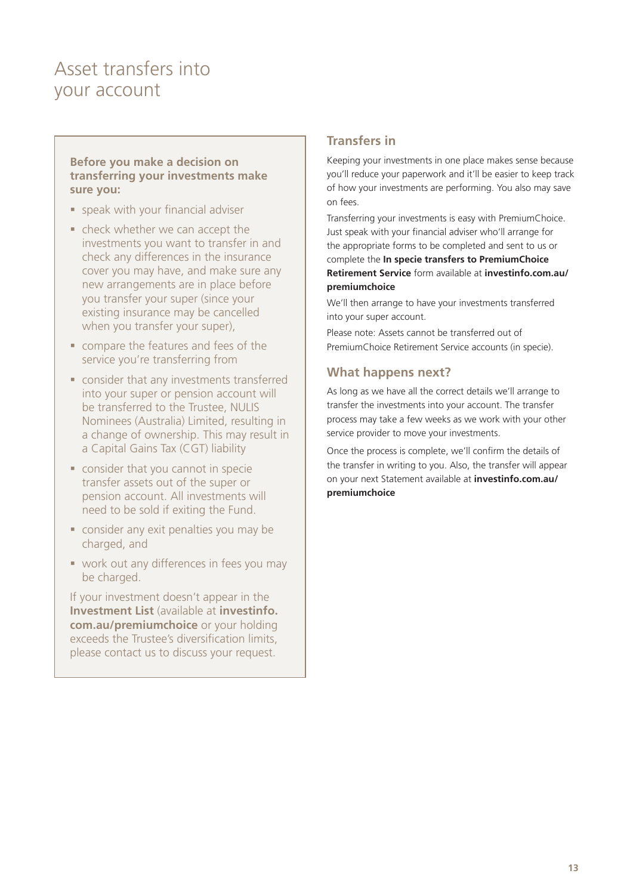### <span id="page-12-0"></span>Asset transfers into your account

#### **Before you make a decision on transferring your investments make sure you:**

- speak with your financial adviser
- check whether we can accept the investments you want to transfer in and check any differences in the insurance cover you may have, and make sure any new arrangements are in place before you transfer your super (since your existing insurance may be cancelled when you transfer your super),
- compare the features and fees of the service you're transferring from
- consider that any investments transferred into your super or pension account will be transferred to the Trustee, NULIS Nominees (Australia) Limited, resulting in a change of ownership. This may result in a Capital Gains Tax (CGT) liability
- consider that you cannot in specie transfer assets out of the super or pension account. All investments will need to be sold if exiting the Fund.
- consider any exit penalties you may be charged, and
- **work out any differences in fees you may** be charged.

If your investment doesn't appear in the **Investment List** (available at **[investinfo.](http://investinfo.com.au/premiumchoice) [com.au/premiumchoice](http://investinfo.com.au/premiumchoice)** or your holding exceeds the Trustee's diversification limits, please contact us to discuss your request.

#### **Transfers in**

Keeping your investments in one place makes sense because you'll reduce your paperwork and it'll be easier to keep track of how your investments are performing. You also may save on fees.

Transferring your investments is easy with PremiumChoice. Just speak with your financial adviser who'll arrange for the appropriate forms to be completed and sent to us or complete the **In specie transfers to PremiumChoice Retirement Service** form available at **[investinfo.com.au/](http://investinfo.com.au/premiumchoice) [premiumchoice](http://investinfo.com.au/premiumchoice)**

We'll then arrange to have your investments transferred into your super account.

Please note: Assets cannot be transferred out of PremiumChoice Retirement Service accounts (in specie).

#### **What happens next?**

As long as we have all the correct details we'll arrange to transfer the investments into your account. The transfer process may take a few weeks as we work with your other service provider to move your investments.

Once the process is complete, we'll confirm the details of the transfer in writing to you. Also, the transfer will appear on your next Statement available at **[investinfo.com.au/](http://investinfo.com.au/premiumchoice) [premiumchoice](http://investinfo.com.au/premiumchoice)**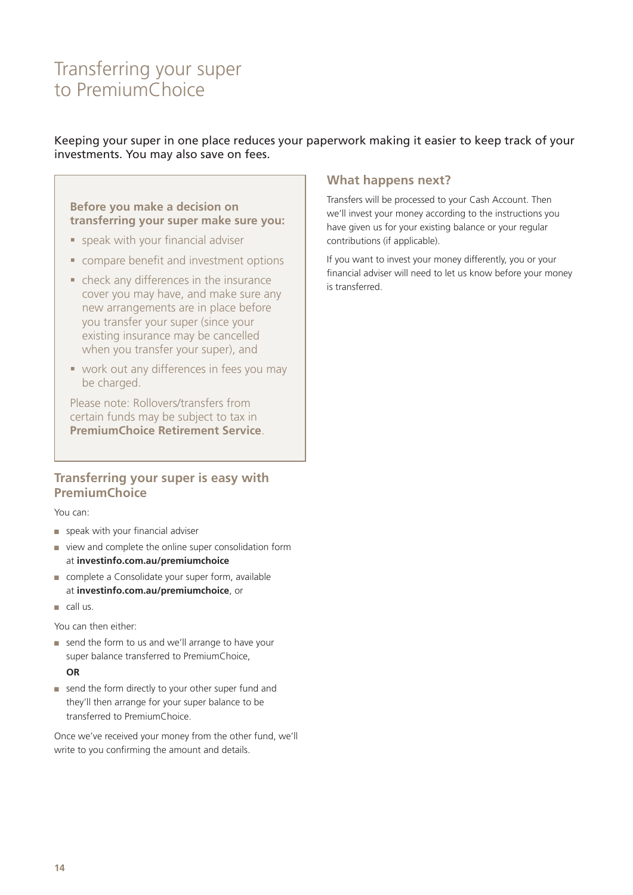### <span id="page-13-0"></span>Transferring your super to PremiumChoice

#### Keeping your super in one place reduces your paperwork making it easier to keep track of your investments. You may also save on fees.

**Before you make a decision on transferring your super make sure you:**

- speak with your financial adviser
- **COMPARE DEPTITE AND INVESTMENT OPTIONS**
- check any differences in the insurance cover you may have, and make sure any new arrangements are in place before you transfer your super (since your existing insurance may be cancelled when you transfer your super), and
- **work out any differences in fees you may** be charged.

Please note: Rollovers/transfers from certain funds may be subject to tax in **PremiumChoice Retirement Service**.

#### **Transferring your super is easy with PremiumChoice**

You can:

- speak with your financial adviser
- view and complete the online super consolidation form at **[investinfo.com.au/premiumchoice](http://investinfo.com.au/premiumchoice)**
- complete a Consolidate your super form, available at **[investinfo.com.au/premiumchoice](http://investinfo.com.au/premiumchoice)**, or
- call us.

You can then either:

- send the form to us and we'll arrange to have your super balance transferred to PremiumChoice, **OR**
- send the form directly to your other super fund and they'll then arrange for your super balance to be transferred to PremiumChoice.

Once we've received your money from the other fund, we'll write to you confirming the amount and details.

#### **What happens next?**

Transfers will be processed to your Cash Account. Then we'll invest your money according to the instructions you have given us for your existing balance or your regular contributions (if applicable).

If you want to invest your money differently, you or your financial adviser will need to let us know before your money is transferred.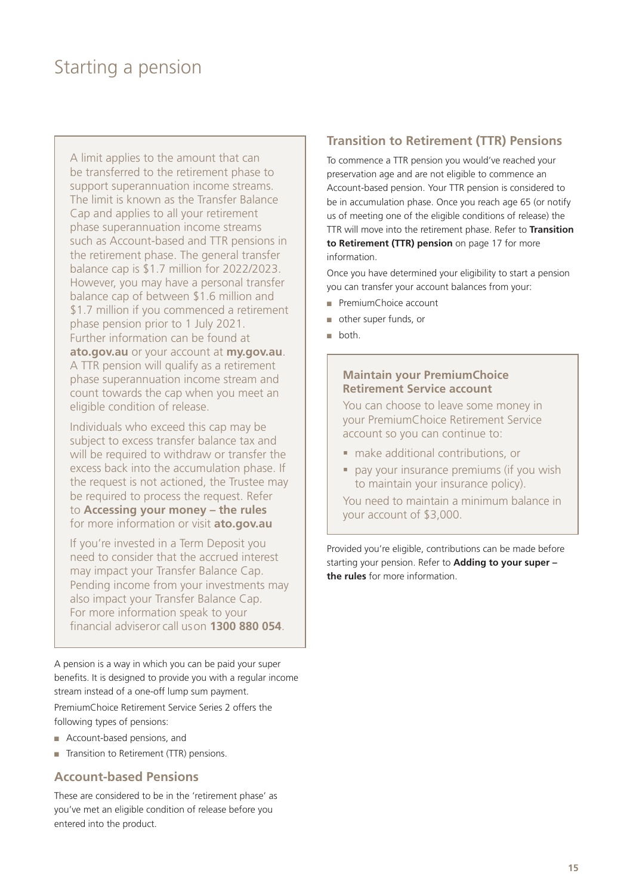### <span id="page-14-0"></span>Starting a pension

A limit applies to the amount that can be transferred to the retirement phase to support superannuation income streams. The limit is known as the Transfer Balance Cap and applies to all your retirement phase superannuation income streams such as Account-based and TTR pensions in the retirement phase. The general transfer balance cap is \$1.7 million for 2022/2023. However, you may have a personal transfer balance cap of between \$1.6 million and \$1.7 million if you commenced a retirement phase pension prior to 1 July 2021. Further information can be found at **ato.gov.au** or your account at **my.gov.au**. A TTR pension will qualify as a retirement phase superannuation income stream and count towards the cap when you meet an eligible condition of release.

Individuals who exceed this cap may be subject to excess transfer balance tax and will be required to withdraw or transfer the excess back into the accumulation phase. If the request is not actioned, the Trustee may be required to process the request. Refer to **Accessing your money – the rules** for more information or visit **[ato.gov.au](http://ato.gov.au)**

If you're invested in a Term Deposit you need to consider that the accrued interest may impact your Transfer Balance Cap. Pending income from your investments may also impact your Transfer Balance Cap. For more information speak to your financial adviser or call us on **1300 880 054**.

A pension is a way in which you can be paid your super benefits. It is designed to provide you with a regular income stream instead of a one-off lump sum payment.

PremiumChoice Retirement Service Series 2 offers the following types of pensions:

- Account-based pensions, and
- Transition to Retirement (TTR) pensions.

#### **Account-based Pensions**

These are considered to be in the 'retirement phase' as you've met an eligible condition of release before you entered into the product.

#### **Transition to Retirement (TTR) Pensions**

To commence a TTR pension you would've reached your preservation age and are not eligible to commence an Account-based pension. Your TTR pension is considered to be in accumulation phase. Once you reach age 65 (or notify us of meeting one of the eligible conditions of release) the TTR will move into the retirement phase. Refer to **Transition to Retirement (TTR) pension** on page 17 for more information.

Once you have determined your eligibility to start a pension you can transfer your account balances from your:

- PremiumChoice account
- other super funds, or
- both.

#### **Maintain your PremiumChoice Retirement Service account**

You can choose to leave some money in your PremiumChoice Retirement Service account so you can continue to:

- make additional contributions, or
- pay your insurance premiums (if you wish to maintain your insurance policy).

You need to maintain a minimum balance in your account of \$3,000.

Provided you're eligible, contributions can be made before starting your pension. Refer to **Adding to your super – the rules** for more information.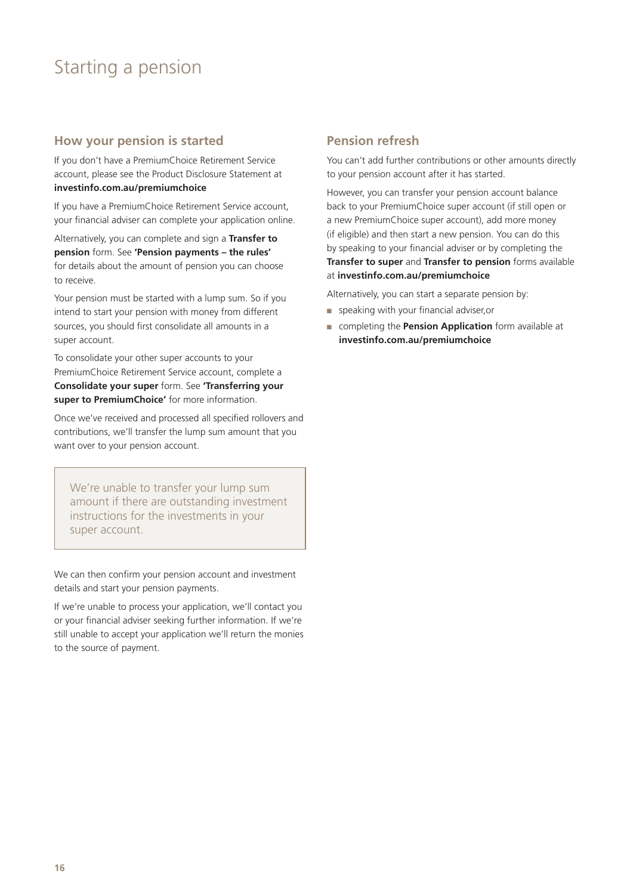### Starting a pension

#### **How your pension is started**

If you don't have a PremiumChoice Retirement Service account, please see the Product Disclosure Statement at **[investinfo.com.au/premiumchoice](http://investinfo.com.au/premiumchoice)**

If you have a PremiumChoice Retirement Service account, your financial adviser can complete your application online.

Alternatively, you can complete and sign a **Transfer to pension** form. See **'Pension payments – the rules'** for details about the amount of pension you can choose to receive.

Your pension must be started with a lump sum. So if you intend to start your pension with money from different sources, you should first consolidate all amounts in a super account.

To consolidate your other super accounts to your PremiumChoice Retirement Service account, complete a **Consolidate your super** form. See **'Transferring your super to PremiumChoice'** for more information.

Once we've received and processed all specified rollovers and contributions, we'll transfer the lump sum amount that you want over to your pension account.

We're unable to transfer your lump sum amount if there are outstanding investment instructions for the investments in your super account.

We can then confirm your pension account and investment details and start your pension payments.

If we're unable to process your application, we'll contact you or your financial adviser seeking further information. If we're still unable to accept your application we'll return the monies to the source of payment.

#### **Pension refresh**

You can't add further contributions or other amounts directly to your pension account after it has started.

However, you can transfer your pension account balance back to your PremiumChoice super account (if still open or a new PremiumChoice super account), add more money (if eligible) and then start a new pension. You can do this by speaking to your financial adviser or by completing the **Transfer to super** and **Transfer to pension** forms available at **[investinfo.com.au/premiumchoice](https://investinfo.com.au/premiumchoice)**

Alternatively, you can start a separate pension by:

- speaking with your financial adviser,or
- completing the **Pension Application** form available at **[investinfo.com.au/premiumchoice](http://investinfo.com.au/premiumchoice)**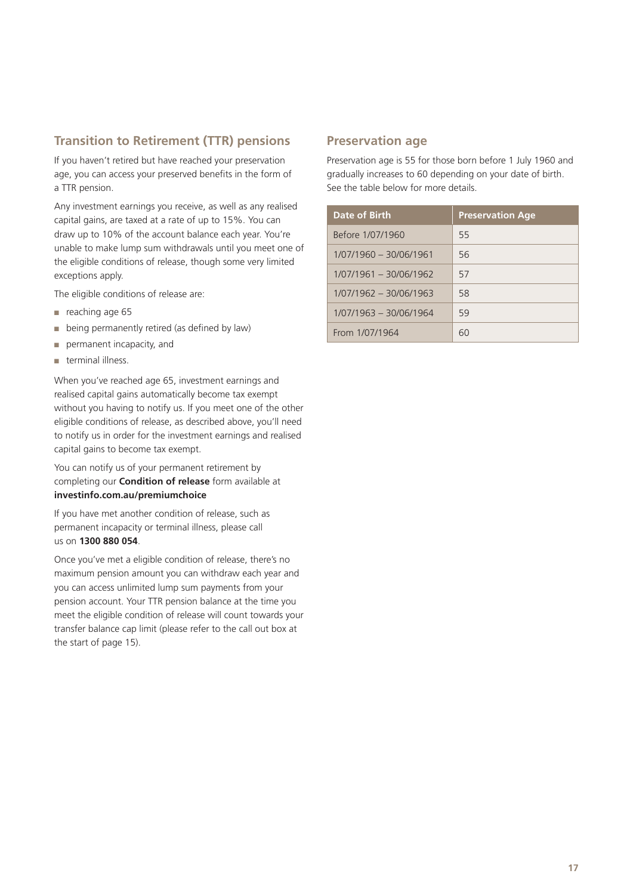#### **Transition to Retirement (TTR) pensions**

If you haven't retired but have reached your preservation age, you can access your preserved benefits in the form of a TTR pension.

Any investment earnings you receive, as well as any realised capital gains, are taxed at a rate of up to 15%. You can draw up to 10% of the account balance each year. You're unable to make lump sum withdrawals until you meet one of the eligible conditions of release, though some very limited exceptions apply.

The eligible conditions of release are:

- reaching age 65
- being permanently retired (as defined by law)
- permanent incapacity, and
- terminal illness.

When you've reached age 65, investment earnings and realised capital gains automatically become tax exempt without you having to notify us. If you meet one of the other eligible conditions of release, as described above, you'll need to notify us in order for the investment earnings and realised capital gains to become tax exempt.

You can notify us of your permanent retirement by completing our **Condition of release** form available at **[investinfo.com.au/premiumchoice](https://investinfo.com.au/premiumchoice)**

If you have met another condition of release, such as permanent incapacity or terminal illness, please call us on **1300 880 054**.

Once you've met a eligible condition of release, there's no maximum pension amount you can withdraw each year and you can access unlimited lump sum payments from your pension account. Your TTR pension balance at the time you meet the eligible condition of release will count towards your transfer balance cap limit (please refer to the call out box at the start of page 15).

#### **Preservation age**

Preservation age is 55 for those born before 1 July 1960 and gradually increases to 60 depending on your date of birth. See the table below for more details.

| Date of Birth            | <b>Preservation Age</b> |
|--------------------------|-------------------------|
| Before 1/07/1960         | 55                      |
| 1/07/1960 - 30/06/1961   | 56                      |
| $1/07/1961 - 30/06/1962$ | 57                      |
| $1/07/1962 - 30/06/1963$ | 58                      |
| 1/07/1963 - 30/06/1964   | 59                      |
| From 1/07/1964           | 60                      |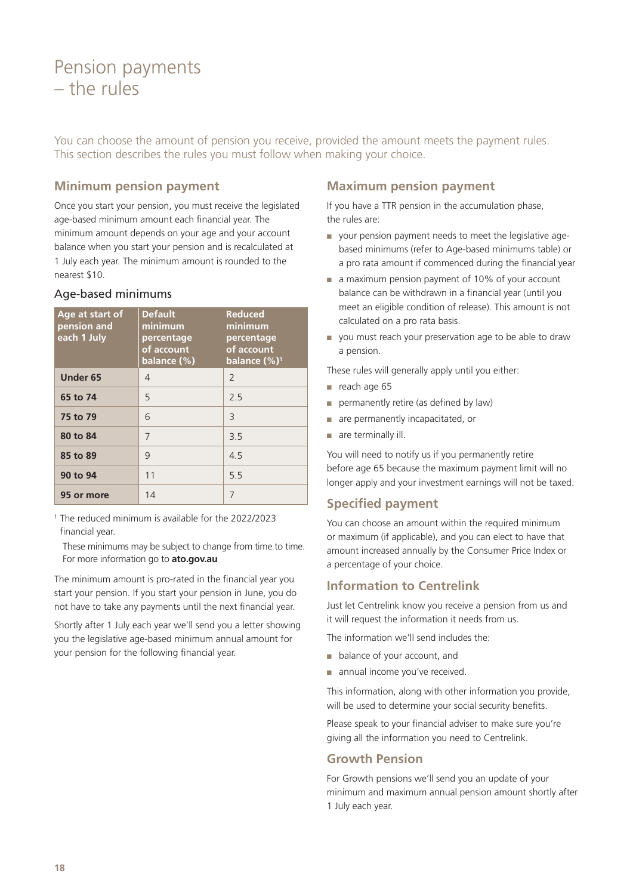### <span id="page-17-0"></span>Pension payments – the rules

You can choose the amount of pension you receive, provided the amount meets the payment rules. This section describes the rules you must follow when making your choice.

#### **Minimum pension payment**

Once you start your pension, you must receive the legislated age-based minimum amount each financial year. The minimum amount depends on your age and your account balance when you start your pension and is recalculated at 1 July each year. The minimum amount is rounded to the nearest \$10.

| Age-based minimums |  |
|--------------------|--|
|                    |  |

| Age at start of<br>pension and<br>each 1 July | <b>Default</b><br>minimum<br>percentage<br>of account<br>balance $(\%)$ | <b>Reduced</b><br>minimum<br>percentage<br>of account<br>balance $(\%)^1$ |
|-----------------------------------------------|-------------------------------------------------------------------------|---------------------------------------------------------------------------|
| Under 65                                      | 4                                                                       | $\mathcal{L}$                                                             |
| 65 to 74                                      | 5                                                                       | 2.5                                                                       |
| 75 to 79                                      | 6                                                                       | 3                                                                         |
| 80 to 84                                      | 7                                                                       | 3.5                                                                       |
| 85 to 89                                      | 9                                                                       | 4.5                                                                       |
| 90 to 94                                      | 11                                                                      | 55                                                                        |
| 95 or more                                    | 14                                                                      | 7                                                                         |

<sup>1</sup> The reduced minimum is available for the 2022/2023 financial year.

 These minimums may be subject to change from time to time. For more information go to **[ato.gov.au](http://ato.gov.au)**

The minimum amount is pro-rated in the financial year you start your pension. If you start your pension in June, you do not have to take any payments until the next financial year.

Shortly after 1 July each year we'll send you a letter showing you the legislative age-based minimum annual amount for your pension for the following financial year.

#### **Maximum pension payment**

If you have a TTR pension in the accumulation phase, the rules are:

- your pension payment needs to meet the legislative agebased minimums (refer to Age-based minimums table) or a pro rata amount if commenced during the financial year
- a maximum pension payment of 10% of your account balance can be withdrawn in a financial year (until you meet an eligible condition of release). This amount is not calculated on a pro rata basis.
- you must reach your preservation age to be able to draw a pension.
- These rules will generally apply until you either:
- reach age 65
- permanently retire (as defined by law)
- are permanently incapacitated, or
- are terminally ill.

You will need to notify us if you permanently retire before age 65 because the maximum payment limit will no longer apply and your investment earnings will not be taxed.

#### **Specified payment**

You can choose an amount within the required minimum or maximum (if applicable), and you can elect to have that amount increased annually by the Consumer Price Index or a percentage of your choice.

#### **Information to Centrelink**

Just let Centrelink know you receive a pension from us and it will request the information it needs from us.

The information we'll send includes the:

- balance of your account, and
- annual income you've received.

This information, along with other information you provide, will be used to determine your social security benefits.

Please speak to your financial adviser to make sure you're giving all the information you need to Centrelink.

#### **Growth Pension**

For Growth pensions we'll send you an update of your minimum and maximum annual pension amount shortly after 1 July each year.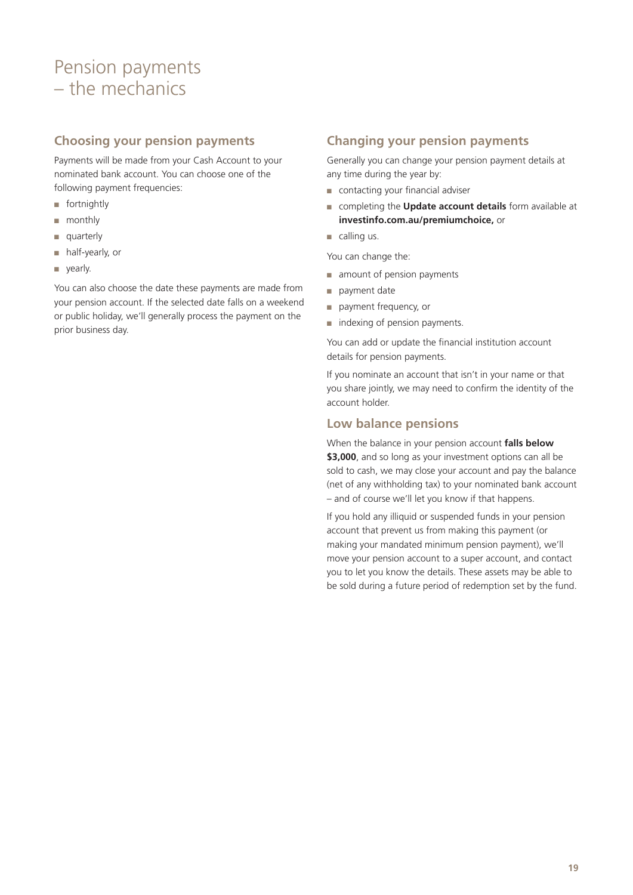### <span id="page-18-0"></span>Pension payments – the mechanics

#### **Choosing your pension payments**

Payments will be made from your Cash Account to your nominated bank account. You can choose one of the following payment frequencies:

- fortnightly
- monthly
- quarterly
- half-yearly, or
- yearly.

You can also choose the date these payments are made from your pension account. If the selected date falls on a weekend or public holiday, we'll generally process the payment on the prior business day.

#### **Changing your pension payments**

Generally you can change your pension payment details at any time during the year by:

- contacting your financial adviser
- completing the **Update account details** form available at **[investinfo.com.au/premiumchoice,](http://investinfo.com.au/premiumchoice)** or
- $\Box$  calling us.

You can change the:

- amount of pension payments
- payment date
- payment frequency, or
- indexing of pension payments.

You can add or update the financial institution account details for pension payments.

If you nominate an account that isn't in your name or that you share jointly, we may need to confirm the identity of the account holder.

#### **Low balance pensions**

When the balance in your pension account **falls below \$3,000**, and so long as your investment options can all be sold to cash, we may close your account and pay the balance (net of any withholding tax) to your nominated bank account – and of course we'll let you know if that happens.

If you hold any illiquid or suspended funds in your pension account that prevent us from making this payment (or making your mandated minimum pension payment), we'll move your pension account to a super account, and contact you to let you know the details. These assets may be able to be sold during a future period of redemption set by the fund.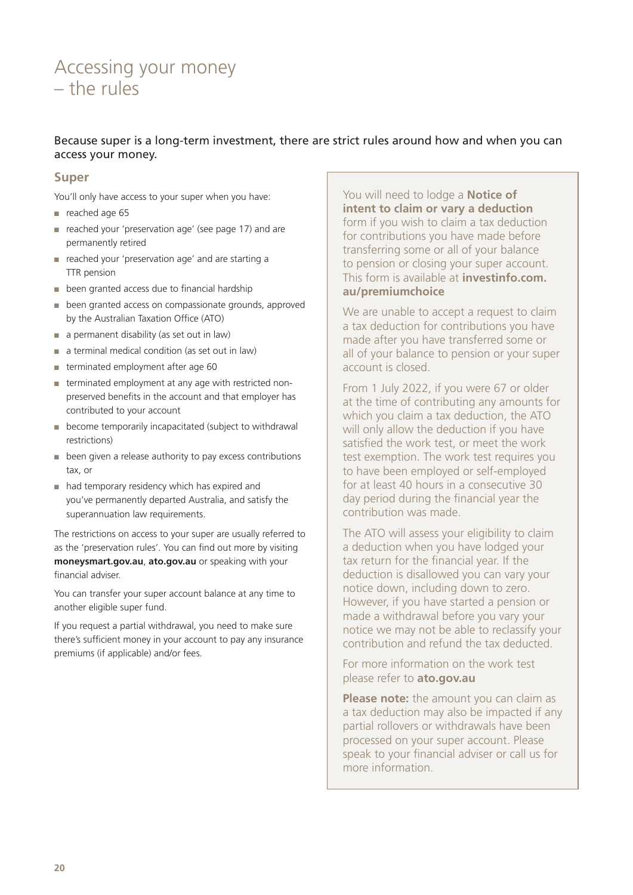### <span id="page-19-0"></span>Accessing your money – the rules

#### Because super is a long-term investment, there are strict rules around how and when you can access your money.

#### **Super**

You'll only have access to your super when you have:

- reached age 65
- reached your 'preservation age' (see page 17) and are permanently retired
- reached your 'preservation age' and are starting a TTR pension
- been granted access due to financial hardship
- been granted access on compassionate grounds, approved by the Australian Taxation Office (ATO)
- a permanent disability (as set out in law)
- a terminal medical condition (as set out in law)
- terminated employment after age 60
- terminated employment at any age with restricted nonpreserved benefits in the account and that employer has contributed to your account
- become temporarily incapacitated (subject to withdrawal restrictions)
- been given a release authority to pay excess contributions tax, or
- had temporary residency which has expired and you've permanently departed Australia, and satisfy the superannuation law requirements.

The restrictions on access to your super are usually referred to as the 'preservation rules'. You can find out more by visiting **[moneysmart.gov.au](http://www.moneysmart.gov.au)**, **[ato.gov.au](http://ato.gov.au)** or speaking with your financial adviser.

You can transfer your super account balance at any time to another eligible super fund.

If you request a partial withdrawal, you need to make sure there's sufficient money in your account to pay any insurance premiums (if applicable) and/or fees.

You will need to lodge a **Notice of intent to claim or vary a deduction** form if you wish to claim a tax deduction for contributions you have made before transferring some or all of your balance to pension or closing your super account. This form is available at **[investinfo.com.](https://investinfo.com.au/premiumchoice) [au/premiumchoice](https://investinfo.com.au/premiumchoice)**

We are unable to accept a request to claim a tax deduction for contributions you have made after you have transferred some or all of your balance to pension or your super account is closed.

From 1 July 2022, if you were 67 or older at the time of contributing any amounts for which you claim a tax deduction, the ATO will only allow the deduction if you have satisfied the work test, or meet the work test exemption. The work test requires you to have been employed or self-employed for at least 40 hours in a consecutive 30 day period during the financial year the contribution was made.

The ATO will assess your eligibility to claim a deduction when you have lodged your tax return for the financial year. If the deduction is disallowed you can vary your notice down, including down to zero. However, if you have started a pension or made a withdrawal before you vary your notice we may not be able to reclassify your contribution and refund the tax deducted.

For more information on the work test please refer to **ato.gov.au**

**Please note:** the amount you can claim as a tax deduction may also be impacted if any partial rollovers or withdrawals have been processed on your super account. Please speak to your financial adviser or call us for more information.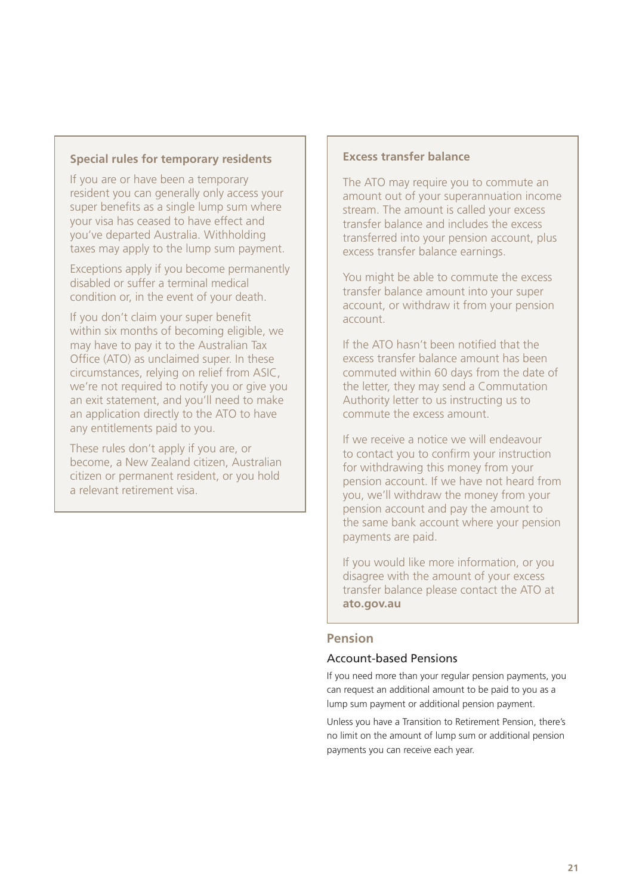#### **Special rules for temporary residents**

If you are or have been a temporary resident you can generally only access your super benefits as a single lump sum where your visa has ceased to have effect and you've departed Australia. Withholding taxes may apply to the lump sum payment.

Exceptions apply if you become permanently disabled or suffer a terminal medical condition or, in the event of your death.

If you don't claim your super benefit within six months of becoming eligible, we may have to pay it to the Australian Tax Office (ATO) as unclaimed super. In these circumstances, relying on relief from ASIC, we're not required to notify you or give you an exit statement, and you'll need to make an application directly to the ATO to have any entitlements paid to you.

These rules don't apply if you are, or become, a New Zealand citizen, Australian citizen or permanent resident, or you hold a relevant retirement visa.

#### **Excess transfer balance**

The ATO may require you to commute an amount out of your superannuation income stream. The amount is called your excess transfer balance and includes the excess transferred into your pension account, plus excess transfer balance earnings.

You might be able to commute the excess transfer balance amount into your super account, or withdraw it from your pension account.

If the ATO hasn't been notified that the excess transfer balance amount has been commuted within 60 days from the date of the letter, they may send a Commutation Authority letter to us instructing us to commute the excess amount.

If we receive a notice we will endeavour to contact you to confirm your instruction for withdrawing this money from your pension account. If we have not heard from you, we'll withdraw the money from your pension account and pay the amount to the same bank account where your pension payments are paid.

If you would like more information, or you disagree with the amount of your excess transfer balance please contact the ATO at **[ato.gov.au](http://ato.gov.au)**

#### **Pension**

#### Account-based Pensions

If you need more than your regular pension payments, you can request an additional amount to be paid to you as a lump sum payment or additional pension payment.

Unless you have a Transition to Retirement Pension, there's no limit on the amount of lump sum or additional pension payments you can receive each year.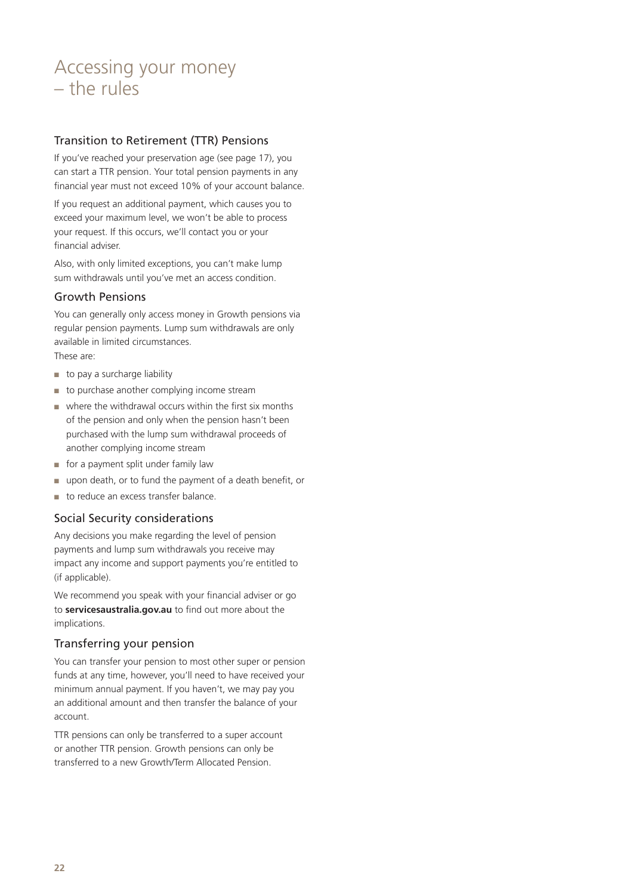### Accessing your money – the rules

#### Transition to Retirement (TTR) Pensions

If you've reached your preservation age (see page 17), you can start a TTR pension. Your total pension payments in any financial year must not exceed 10% of your account balance.

If you request an additional payment, which causes you to exceed your maximum level, we won't be able to process your request. If this occurs, we'll contact you or your financial adviser.

Also, with only limited exceptions, you can't make lump sum withdrawals until you've met an access condition.

#### Growth Pensions

You can generally only access money in Growth pensions via regular pension payments. Lump sum withdrawals are only available in limited circumstances. These are:

- 
- to pay a surcharge liability
- to purchase another complying income stream
- $\blacksquare$  where the withdrawal occurs within the first six months of the pension and only when the pension hasn't been purchased with the lump sum withdrawal proceeds of another complying income stream
- for a payment split under family law
- upon death, or to fund the payment of a death benefit, or
- to reduce an excess transfer balance.

#### Social Security considerations

Any decisions you make regarding the level of pension payments and lump sum withdrawals you receive may impact any income and support payments you're entitled to (if applicable).

We recommend you speak with your financial adviser or go to **[servicesaustralia.gov.au](https://servicesaustralia.gov.au)** to find out more about the implications.

#### Transferring your pension

You can transfer your pension to most other super or pension funds at any time, however, you'll need to have received your minimum annual payment. If you haven't, we may pay you an additional amount and then transfer the balance of your account.

TTR pensions can only be transferred to a super account or another TTR pension. Growth pensions can only be transferred to a new Growth/Term Allocated Pension.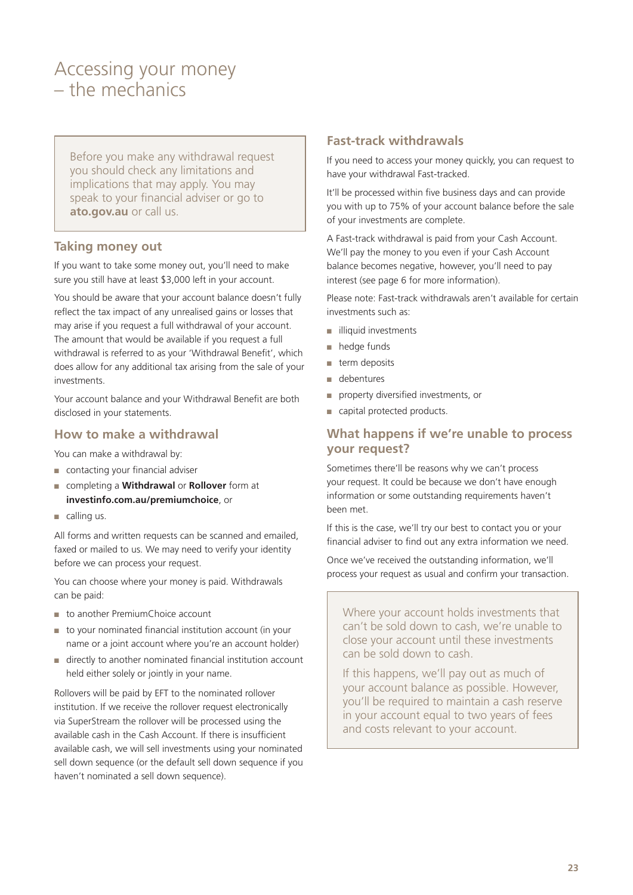### <span id="page-22-0"></span>Accessing your money – the mechanics

Before you make any withdrawal request you should check any limitations and implications that may apply. You may speak to your financial adviser or go to **[ato.gov.au](http://ato.gov.au)** or call us.

#### **Taking money out**

If you want to take some money out, you'll need to make sure you still have at least \$3,000 left in your account.

You should be aware that your account balance doesn't fully reflect the tax impact of any unrealised gains or losses that may arise if you request a full withdrawal of your account. The amount that would be available if you request a full withdrawal is referred to as your 'Withdrawal Benefit', which does allow for any additional tax arising from the sale of your investments.

Your account balance and your Withdrawal Benefit are both disclosed in your statements.

#### **How to make a withdrawal**

You can make a withdrawal by:

- contacting your financial adviser
- completing a **Withdrawal** or **Rollover** form at **[investinfo.com.au/premiumchoice](http://investinfo.com.au/premiumchoice)**, or
- calling us.

All forms and written requests can be scanned and emailed, faxed or mailed to us. We may need to verify your identity before we can process your request.

You can choose where your money is paid. Withdrawals can be paid:

- to another PremiumChoice account
- to your nominated financial institution account (in your name or a joint account where you're an account holder)
- directly to another nominated financial institution account held either solely or jointly in your name.

Rollovers will be paid by EFT to the nominated rollover institution. If we receive the rollover request electronically via SuperStream the rollover will be processed using the available cash in the Cash Account. If there is insufficient available cash, we will sell investments using your nominated sell down sequence (or the default sell down sequence if you haven't nominated a sell down sequence).

#### **Fast-track withdrawals**

If you need to access your money quickly, you can request to have your withdrawal Fast-tracked.

It'll be processed within five business days and can provide you with up to 75% of your account balance before the sale of your investments are complete.

A Fast-track withdrawal is paid from your Cash Account. We'll pay the money to you even if your Cash Account balance becomes negative, however, you'll need to pay interest (see page 6 for more information).

Please note: Fast-track withdrawals aren't available for certain investments such as:

- illiquid investments
- hedge funds
- term deposits
- debentures
- property diversified investments, or
- capital protected products.

#### **What happens if we're unable to process your request?**

Sometimes there'll be reasons why we can't process your request. It could be because we don't have enough information or some outstanding requirements haven't been met.

If this is the case, we'll try our best to contact you or your financial adviser to find out any extra information we need.

Once we've received the outstanding information, we'll process your request as usual and confirm your transaction.

Where your account holds investments that can't be sold down to cash, we're unable to close your account until these investments can be sold down to cash.

If this happens, we'll pay out as much of your account balance as possible. However, you'll be required to maintain a cash reserve in your account equal to two years of fees and costs relevant to your account.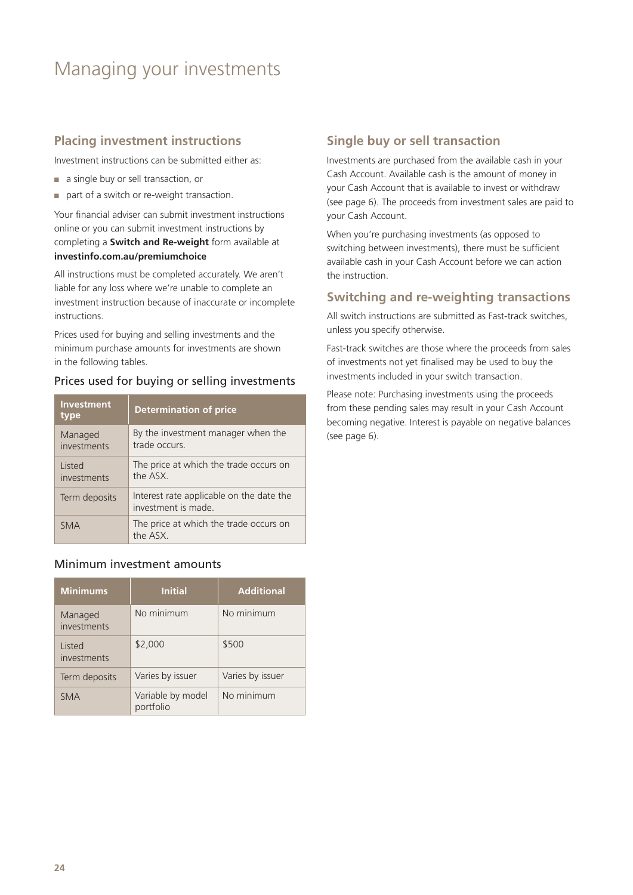### <span id="page-23-0"></span>Managing your investments

#### **Placing investment instructions**

Investment instructions can be submitted either as:

- a single buy or sell transaction, or
- part of a switch or re-weight transaction.

Your financial adviser can submit investment instructions online or you can submit investment instructions by completing a **Switch and Re-weight** form available at **[investinfo.com.au/premiumchoice](http://investinfo.com.au/premiumchoice)**

All instructions must be completed accurately. We aren't liable for any loss where we're unable to complete an investment instruction because of inaccurate or incomplete instructions.

Prices used for buying and selling investments and the minimum purchase amounts for investments are shown in the following tables.

#### Prices used for buying or selling investments

| <b>Investment</b><br>type | <b>Determination of price</b>                                   |
|---------------------------|-----------------------------------------------------------------|
| Managed<br>investments    | By the investment manager when the<br>trade occurs              |
| Listed<br>investments     | The price at which the trade occurs on<br>the ASX               |
| Term deposits             | Interest rate applicable on the date the<br>investment is made. |
| <b>SMA</b>                | The price at which the trade occurs on<br>the ASX.              |

#### Minimum investment amounts

| <b>Minimums</b>        | <b>Initial</b>                 | <b>Additional</b> |
|------------------------|--------------------------------|-------------------|
| Managed<br>investments | No minimum                     | No minimum        |
| Listed<br>investments  | \$2,000                        | \$500             |
| Term deposits          | Varies by issuer               | Varies by issuer  |
| <b>SMA</b>             | Variable by model<br>portfolio | No minimum        |

#### **Single buy or sell transaction**

Investments are purchased from the available cash in your Cash Account. Available cash is the amount of money in your Cash Account that is available to invest or withdraw (see page 6). The proceeds from investment sales are paid to your Cash Account.

When you're purchasing investments (as opposed to switching between investments), there must be sufficient available cash in your Cash Account before we can action the instruction.

#### **Switching and re-weighting transactions**

All switch instructions are submitted as Fast-track switches, unless you specify otherwise.

Fast-track switches are those where the proceeds from sales of investments not yet finalised may be used to buy the investments included in your switch transaction.

Please note: Purchasing investments using the proceeds from these pending sales may result in your Cash Account becoming negative. Interest is payable on negative balances (see page 6).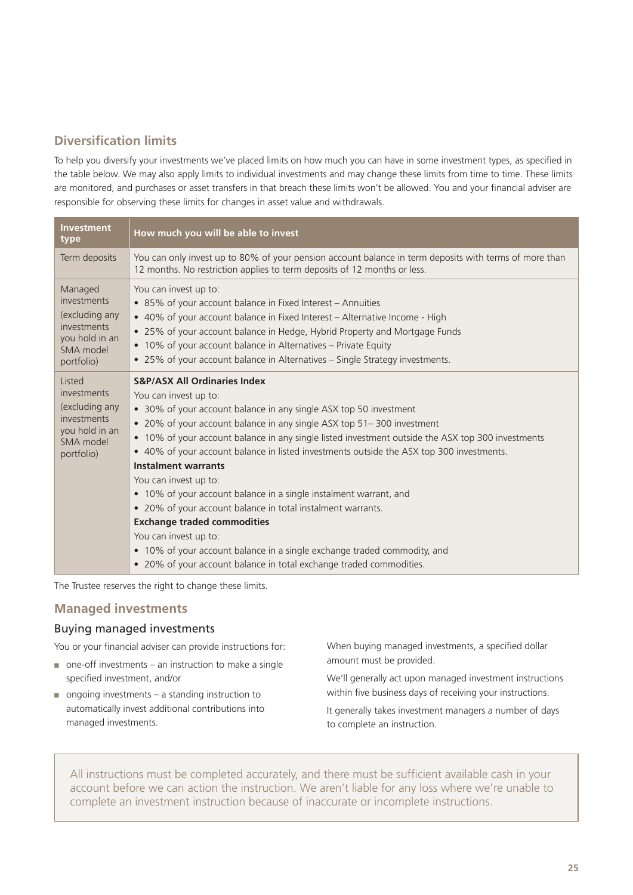#### **Diversification limits**

To help you diversify your investments we've placed limits on how much you can have in some investment types, as specified in the table below. We may also apply limits to individual investments and may change these limits from time to time. These limits are monitored, and purchases or asset transfers in that breach these limits won't be allowed. You and your financial adviser are responsible for observing these limits for changes in asset value and withdrawals.

| <b>Investment</b><br>type                                                                            | How much you will be able to invest                                                                                                                                                                                                                                                                                                                                                                                                                                                                                                                                                                                                                                                                                                                                                                                          |
|------------------------------------------------------------------------------------------------------|------------------------------------------------------------------------------------------------------------------------------------------------------------------------------------------------------------------------------------------------------------------------------------------------------------------------------------------------------------------------------------------------------------------------------------------------------------------------------------------------------------------------------------------------------------------------------------------------------------------------------------------------------------------------------------------------------------------------------------------------------------------------------------------------------------------------------|
| Term deposits                                                                                        | You can only invest up to 80% of your pension account balance in term deposits with terms of more than<br>12 months. No restriction applies to term deposits of 12 months or less.                                                                                                                                                                                                                                                                                                                                                                                                                                                                                                                                                                                                                                           |
| Managed<br>investments<br>(excluding any<br>investments<br>you hold in an<br>SMA model<br>portfolio) | You can invest up to:<br>• 85% of your account balance in Fixed Interest - Annuities<br>• 40% of your account balance in Fixed Interest - Alternative Income - High<br>• 25% of your account balance in Hedge, Hybrid Property and Mortgage Funds<br>• 10% of your account balance in Alternatives - Private Equity<br>• 25% of your account balance in Alternatives - Single Strategy investments.                                                                                                                                                                                                                                                                                                                                                                                                                          |
| Listed<br>investments<br>(excluding any<br>investments<br>you hold in an<br>SMA model<br>portfolio)  | <b>S&amp;P/ASX All Ordinaries Index</b><br>You can invest up to:<br>• 30% of your account balance in any single ASX top 50 investment<br>• 20% of your account balance in any single ASX top 51-300 investment<br>• 10% of your account balance in any single listed investment outside the ASX top 300 investments<br>• 40% of your account balance in listed investments outside the ASX top 300 investments.<br><b>Instalment warrants</b><br>You can invest up to:<br>• 10% of your account balance in a single instalment warrant, and<br>• 20% of your account balance in total instalment warrants.<br><b>Exchange traded commodities</b><br>You can invest up to:<br>• 10% of your account balance in a single exchange traded commodity, and<br>• 20% of your account balance in total exchange traded commodities. |

The Trustee reserves the right to change these limits.

#### **Managed investments**

#### Buying managed investments

You or your financial adviser can provide instructions for:

- $\Box$  one-off investments an instruction to make a single specified investment, and/or
- ongoing investments a standing instruction to automatically invest additional contributions into managed investments.

When buying managed investments, a specified dollar amount must be provided.

We'll generally act upon managed investment instructions within five business days of receiving your instructions.

It generally takes investment managers a number of days to complete an instruction.

All instructions must be completed accurately, and there must be sufficient available cash in your account before we can action the instruction. We aren't liable for any loss where we're unable to complete an investment instruction because of inaccurate or incomplete instructions.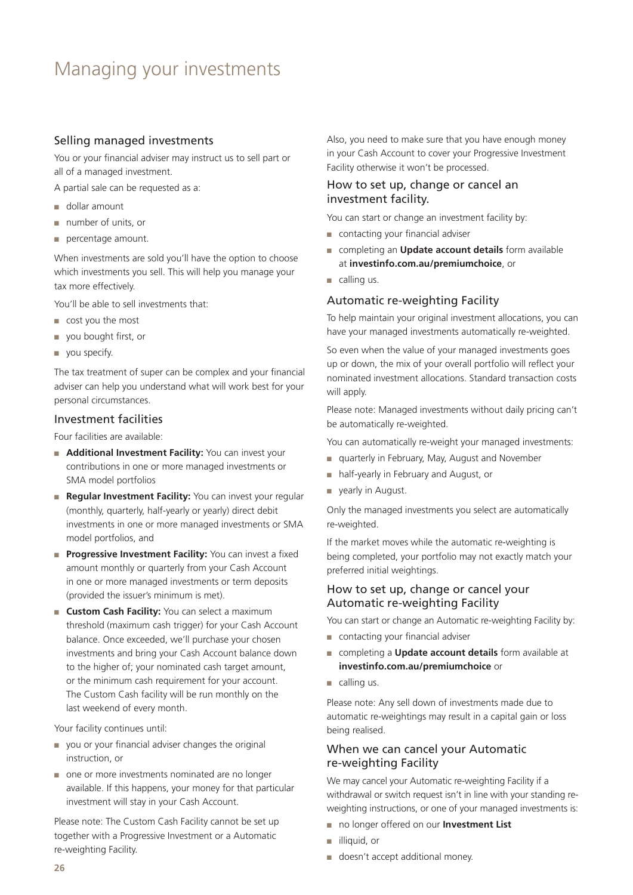### Managing your investments

#### Selling managed investments

You or your financial adviser may instruct us to sell part or all of a managed investment.

A partial sale can be requested as a:

- dollar amount
- number of units, or
- percentage amount.

When investments are sold you'll have the option to choose which investments you sell. This will help you manage your tax more effectively.

You'll be able to sell investments that:

- cost you the most
- you bought first, or
- you specify.

The tax treatment of super can be complex and your financial adviser can help you understand what will work best for your personal circumstances.

#### Investment facilities

Four facilities are available:

- **Additional Investment Facility:** You can invest your contributions in one or more managed investments or SMA model portfolios
- **Regular Investment Facility:** You can invest your regular (monthly, quarterly, half-yearly or yearly) direct debit investments in one or more managed investments or SMA model portfolios, and
- **Progressive Investment Facility:** You can invest a fixed amount monthly or quarterly from your Cash Account in one or more managed investments or term deposits (provided the issuer's minimum is met).
- **Custom Cash Facility:** You can select a maximum threshold (maximum cash trigger) for your Cash Account balance. Once exceeded, we'll purchase your chosen investments and bring your Cash Account balance down to the higher of; your nominated cash target amount, or the minimum cash requirement for your account. The Custom Cash facility will be run monthly on the last weekend of every month.

Your facility continues until:

- you or your financial adviser changes the original instruction, or
- one or more investments nominated are no longer available. If this happens, your money for that particular investment will stay in your Cash Account.

Please note: The Custom Cash Facility cannot be set up together with a Progressive Investment or a Automatic re-weighting Facility.

Also, you need to make sure that you have enough money in your Cash Account to cover your Progressive Investment Facility otherwise it won't be processed.

#### How to set up, change or cancel an investment facility.

You can start or change an investment facility by:

- contacting your financial adviser
- completing an **Update account details** form available at **[investinfo.com.au/premiumchoice](http://investinfo.com.au/premiumchoice)**, or
- calling us.

#### Automatic re-weighting Facility

To help maintain your original investment allocations, you can have your managed investments automatically re-weighted.

So even when the value of your managed investments goes up or down, the mix of your overall portfolio will reflect your nominated investment allocations. Standard transaction costs will apply.

Please note: Managed investments without daily pricing can't be automatically re-weighted.

You can automatically re-weight your managed investments:

- quarterly in February, May, August and November
- half-yearly in February and August, or
- yearly in August.

Only the managed investments you select are automatically re-weighted.

If the market moves while the automatic re-weighting is being completed, your portfolio may not exactly match your preferred initial weightings.

#### How to set up, change or cancel your Automatic re-weighting Facility

You can start or change an Automatic re-weighting Facility by:

- contacting your financial adviser
- completing a **Update account details** form available at **[investinfo.com.au/premiumchoice](http://investinfo.com.au/premiumchoice)** or
- calling us.

Please note: Any sell down of investments made due to automatic re-weightings may result in a capital gain or loss being realised.

#### When we can cancel your Automatic re-weighting Facility

We may cancel your Automatic re-weighting Facility if a withdrawal or switch request isn't in line with your standing reweighting instructions, or one of your managed investments is:

- no longer offered on our **Investment List**
- illiquid, or
- doesn't accept additional money.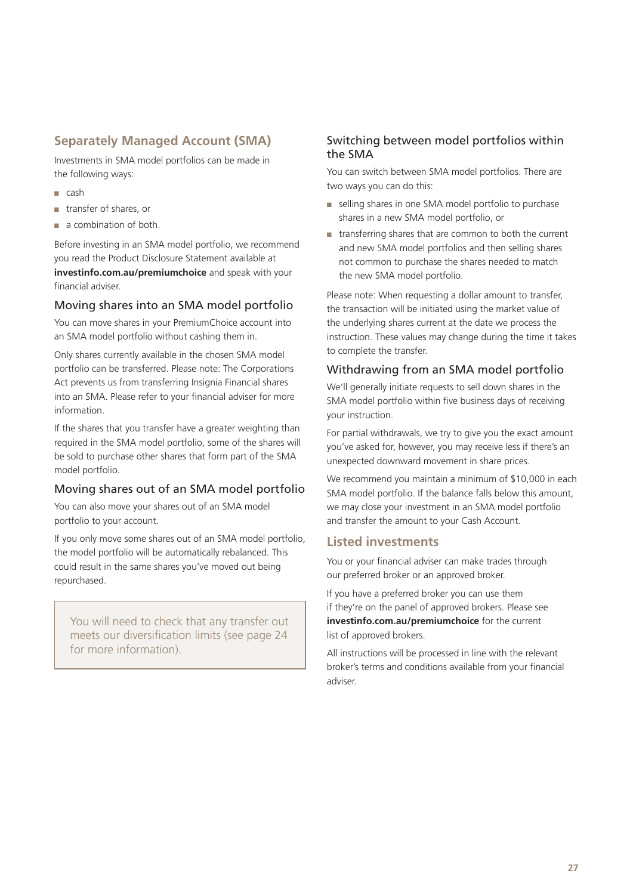#### **Separately Managed Account (SMA)**

Investments in SMA model portfolios can be made in the following ways:

- cash
- transfer of shares, or
- a combination of both.

Before investing in an SMA model portfolio, we recommend you read the Product Disclosure Statement available at **[investinfo.com.au/premiumchoice](http://investinfo.com.au/premiumchoice)** and speak with your financial adviser.

#### Moving shares into an SMA model portfolio

You can move shares in your PremiumChoice account into an SMA model portfolio without cashing them in.

Only shares currently available in the chosen SMA model portfolio can be transferred. Please note: The Corporations Act prevents us from transferring Insignia Financial shares into an SMA. Please refer to your financial adviser for more information.

If the shares that you transfer have a greater weighting than required in the SMA model portfolio, some of the shares will be sold to purchase other shares that form part of the SMA model portfolio.

#### Moving shares out of an SMA model portfolio

You can also move your shares out of an SMA model portfolio to your account.

If you only move some shares out of an SMA model portfolio, the model portfolio will be automatically rebalanced. This could result in the same shares you've moved out being repurchased.

You will need to check that any transfer out meets our diversification limits (see page 24 for more information).

#### Switching between model portfolios within the SMA

You can switch between SMA model portfolios. There are two ways you can do this:

- selling shares in one SMA model portfolio to purchase shares in a new SMA model portfolio, or
- transferring shares that are common to both the current and new SMA model portfolios and then selling shares not common to purchase the shares needed to match the new SMA model portfolio.

Please note: When requesting a dollar amount to transfer, the transaction will be initiated using the market value of the underlying shares current at the date we process the instruction. These values may change during the time it takes to complete the transfer.

#### Withdrawing from an SMA model portfolio

We'll generally initiate requests to sell down shares in the SMA model portfolio within five business days of receiving your instruction.

For partial withdrawals, we try to give you the exact amount you've asked for, however, you may receive less if there's an unexpected downward movement in share prices.

We recommend you maintain a minimum of \$10,000 in each SMA model portfolio. If the balance falls below this amount, we may close your investment in an SMA model portfolio and transfer the amount to your Cash Account.

#### **Listed investments**

You or your financial adviser can make trades through our preferred broker or an approved broker.

If you have a preferred broker you can use them if they're on the panel of approved brokers. Please see **[investinfo.com.au/premiumchoice](http://investinfo.com.au/premiumchoice)** for the current list of approved brokers.

All instructions will be processed in line with the relevant broker's terms and conditions available from your financial adviser.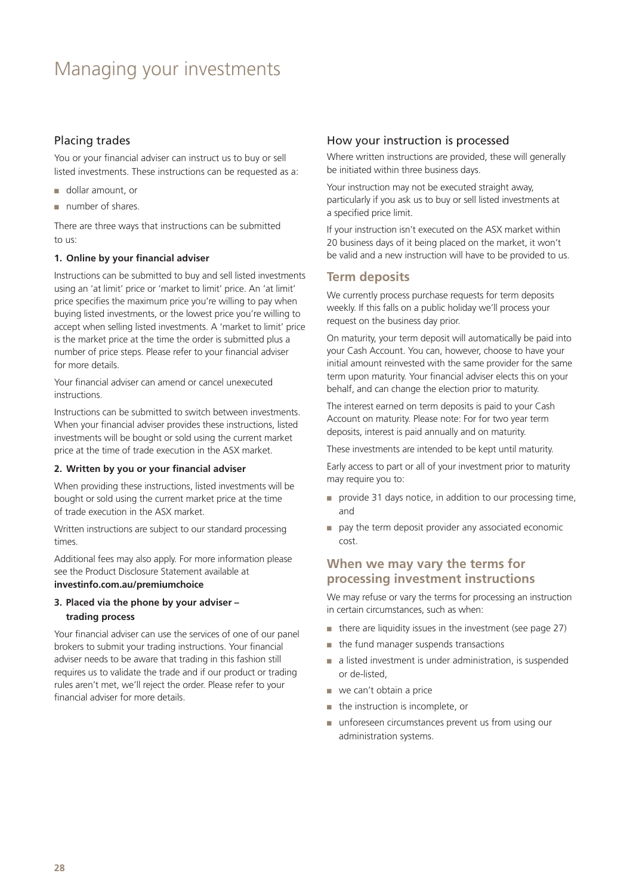### Managing your investments

#### Placing trades

You or your financial adviser can instruct us to buy or sell listed investments. These instructions can be requested as a:

- dollar amount, or
- number of shares.

There are three ways that instructions can be submitted to us:

#### **1. Online by your financial adviser**

Instructions can be submitted to buy and sell listed investments using an 'at limit' price or 'market to limit' price. An 'at limit' price specifies the maximum price you're willing to pay when buying listed investments, or the lowest price you're willing to accept when selling listed investments. A 'market to limit' price is the market price at the time the order is submitted plus a number of price steps. Please refer to your financial adviser for more details.

Your financial adviser can amend or cancel unexecuted instructions.

Instructions can be submitted to switch between investments. When your financial adviser provides these instructions, listed investments will be bought or sold using the current market price at the time of trade execution in the ASX market.

#### **2. Written by you or your financial adviser**

When providing these instructions, listed investments will be bought or sold using the current market price at the time of trade execution in the ASX market.

Written instructions are subject to our standard processing times.

Additional fees may also apply. For more information please see the Product Disclosure Statement available at **[investinfo.com.au/premiumchoice](http://investinfo.com.au/premiumchoice)**

#### **3. Placed via the phone by your adviser – trading process**

Your financial adviser can use the services of one of our panel brokers to submit your trading instructions. Your financial adviser needs to be aware that trading in this fashion still requires us to validate the trade and if our product or trading rules aren't met, we'll reject the order. Please refer to your financial adviser for more details.

#### How your instruction is processed

Where written instructions are provided, these will generally be initiated within three business days.

Your instruction may not be executed straight away, particularly if you ask us to buy or sell listed investments at a specified price limit.

If your instruction isn't executed on the ASX market within 20 business days of it being placed on the market, it won't be valid and a new instruction will have to be provided to us.

#### **Term deposits**

We currently process purchase requests for term deposits weekly. If this falls on a public holiday we'll process your request on the business day prior.

On maturity, your term deposit will automatically be paid into your Cash Account. You can, however, choose to have your initial amount reinvested with the same provider for the same term upon maturity. Your financial adviser elects this on your behalf, and can change the election prior to maturity.

The interest earned on term deposits is paid to your Cash Account on maturity. Please note: For for two year term deposits, interest is paid annually and on maturity.

These investments are intended to be kept until maturity.

Early access to part or all of your investment prior to maturity may require you to:

- provide 31 days notice, in addition to our processing time, and
- pay the term deposit provider any associated economic cost.

#### **When we may vary the terms for processing investment instructions**

We may refuse or vary the terms for processing an instruction in certain circumstances, such as when:

- there are liquidity issues in the investment (see page 27)
- the fund manager suspends transactions
- a listed investment is under administration, is suspended or de-listed,
- we can't obtain a price
- the instruction is incomplete, or
- unforeseen circumstances prevent us from using our administration systems.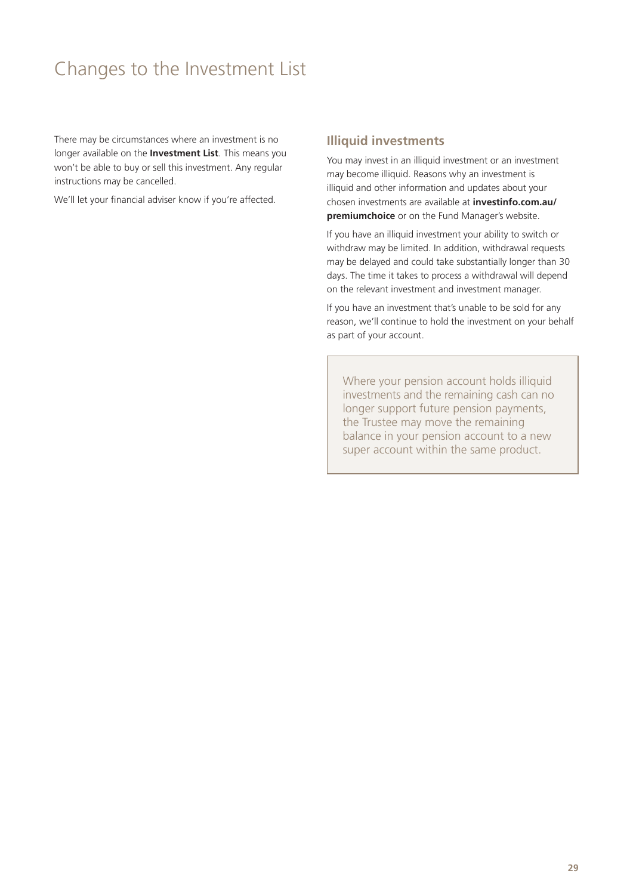### <span id="page-28-0"></span>Changes to the Investment List

There may be circumstances where an investment is no longer available on the **Investment List**. This means you won't be able to buy or sell this investment. Any regular instructions may be cancelled.

We'll let your financial adviser know if you're affected.

#### **Illiquid investments**

You may invest in an illiquid investment or an investment may become illiquid. Reasons why an investment is illiquid and other information and updates about your chosen investments are available at **[investinfo.com.au/](http://investinfo.com.au/premiumchoice) [premiumchoice](http://investinfo.com.au/premiumchoice)** or on the Fund Manager's website.

If you have an illiquid investment your ability to switch or withdraw may be limited. In addition, withdrawal requests may be delayed and could take substantially longer than 30 days. The time it takes to process a withdrawal will depend on the relevant investment and investment manager.

If you have an investment that's unable to be sold for any reason, we'll continue to hold the investment on your behalf as part of your account.

Where your pension account holds illiquid investments and the remaining cash can no longer support future pension payments, the Trustee may move the remaining balance in your pension account to a new super account within the same product.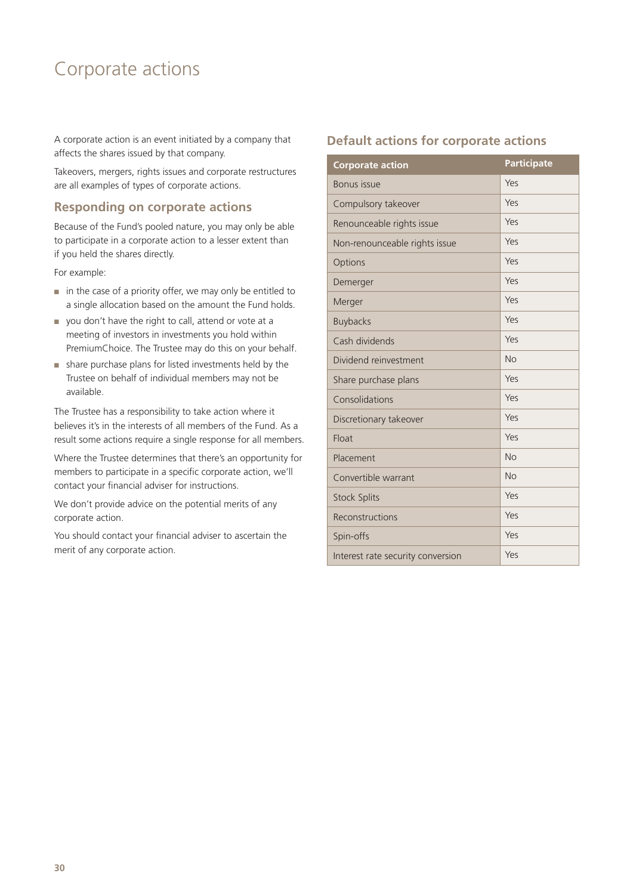### <span id="page-29-0"></span>Corporate actions

A corporate action is an event initiated by a company that affects the shares issued by that company.

Takeovers, mergers, rights issues and corporate restructures are all examples of types of corporate actions.

#### **Responding on corporate actions**

Because of the Fund's pooled nature, you may only be able to participate in a corporate action to a lesser extent than if you held the shares directly.

For example:

- in the case of a priority offer, we may only be entitled to a single allocation based on the amount the Fund holds.
- you don't have the right to call, attend or vote at a meeting of investors in investments you hold within PremiumChoice. The Trustee may do this on your behalf.
- share purchase plans for listed investments held by the Trustee on behalf of individual members may not be available.

The Trustee has a responsibility to take action where it believes it's in the interests of all members of the Fund. As a result some actions require a single response for all members.

Where the Trustee determines that there's an opportunity for members to participate in a specific corporate action, we'll contact your financial adviser for instructions.

We don't provide advice on the potential merits of any corporate action.

You should contact your financial adviser to ascertain the merit of any corporate action.

#### **Default actions for corporate actions**

| <b>Corporate action</b>           | <b>Participate</b> |
|-----------------------------------|--------------------|
| Bonus issue                       | Yes                |
| Compulsory takeover               | Yes                |
| Renounceable rights issue         | Yes                |
| Non-renounceable rights issue     | Yes                |
| Options                           | Yes                |
| Demerger                          | Yes                |
| Merger                            | Yes                |
| <b>Buybacks</b>                   | Yes                |
| Cash dividends                    | Yes                |
| Dividend reinvestment             | <b>No</b>          |
| Share purchase plans              | Yes                |
| Consolidations                    | Yes                |
| Discretionary takeover            | Yes                |
| Float                             | Yes                |
| Placement                         | <b>No</b>          |
| Convertible warrant               | <b>No</b>          |
| <b>Stock Splits</b>               | Yes                |
| Reconstructions                   | Yes                |
| Spin-offs                         | Yes                |
| Interest rate security conversion | Yes                |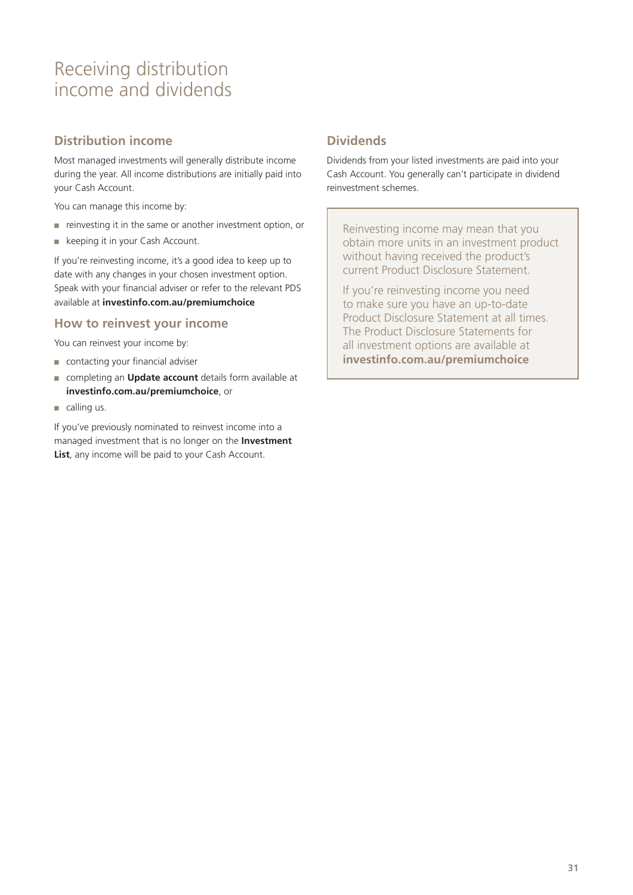### <span id="page-30-0"></span>Receiving distribution income and dividends

#### **Distribution income**

Most managed investments will generally distribute income during the year. All income distributions are initially paid into your Cash Account.

You can manage this income by:

- reinvesting it in the same or another investment option, or
- keeping it in your Cash Account.

If you're reinvesting income, it's a good idea to keep up to date with any changes in your chosen investment option. Speak with your financial adviser or refer to the relevant PDS available at **[investinfo.com.au/premiumchoice](http://investinfo.com.au/premiumchoice)**

#### **How to reinvest your income**

You can reinvest your income by:

- contacting your financial adviser
- completing an **Update account** details form available at **[investinfo.com.au/premiumchoice](http://investinfo.com.au/premiumchoice)**, or
- $\Box$  calling us.

If you've previously nominated to reinvest income into a managed investment that is no longer on the **Investment**  List, any income will be paid to your Cash Account.

#### **Dividends**

Dividends from your listed investments are paid into your Cash Account. You generally can't participate in dividend reinvestment schemes.

Reinvesting income may mean that you obtain more units in an investment product without having received the product's current Product Disclosure Statement.

If you're reinvesting income you need to make sure you have an up-to-date Product Disclosure Statement at all times. The Product Disclosure Statements for all investment options are available at **[investinfo.com.au/premiumchoice](http://investinfo.com.au/premiumchoice)**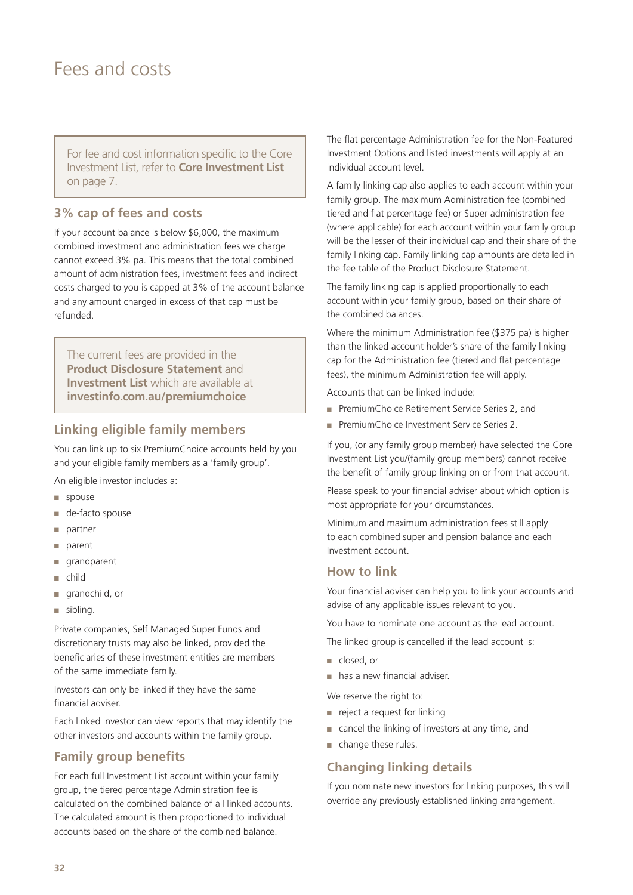### <span id="page-31-0"></span>Fees and costs

For fee and cost information specific to the Core Investment List, refer to **Core Investment List** on page 7.

#### **3% cap of fees and costs**

If your account balance is below \$6,000, the maximum combined investment and administration fees we charge cannot exceed 3% pa. This means that the total combined amount of administration fees, investment fees and indirect costs charged to you is capped at 3% of the account balance and any amount charged in excess of that cap must be refunded.

The current fees are provided in the **Product Disclosure Statement** and **Investment List** which are available at **[investinfo.com.au/premiumchoice](http://investinfo.com.au/premiumchoice)**

#### **Linking eligible family members**

You can link up to six PremiumChoice accounts held by you and your eligible family members as a 'family group'.

An eligible investor includes a:

- spouse
- de-facto spouse
- partner
- parent
- grandparent
- child
- grandchild, or
- sibling.

Private companies, Self Managed Super Funds and discretionary trusts may also be linked, provided the beneficiaries of these investment entities are members of the same immediate family.

Investors can only be linked if they have the same financial adviser.

Each linked investor can view reports that may identify the other investors and accounts within the family group.

#### **Family group benefits**

For each full Investment List account within your family group, the tiered percentage Administration fee is calculated on the combined balance of all linked accounts. The calculated amount is then proportioned to individual accounts based on the share of the combined balance.

The flat percentage Administration fee for the Non-Featured Investment Options and listed investments will apply at an individual account level.

A family linking cap also applies to each account within your family group. The maximum Administration fee (combined tiered and flat percentage fee) or Super administration fee (where applicable) for each account within your family group will be the lesser of their individual cap and their share of the family linking cap. Family linking cap amounts are detailed in the fee table of the Product Disclosure Statement.

The family linking cap is applied proportionally to each account within your family group, based on their share of the combined balances.

Where the minimum Administration fee (\$375 pa) is higher than the linked account holder's share of the family linking cap for the Administration fee (tiered and flat percentage fees), the minimum Administration fee will apply.

Accounts that can be linked include:

- PremiumChoice Retirement Service Series 2, and
- PremiumChoice Investment Service Series 2.

If you, (or any family group member) have selected the Core Investment List you/(family group members) cannot receive the benefit of family group linking on or from that account.

Please speak to your financial adviser about which option is most appropriate for your circumstances.

Minimum and maximum administration fees still apply to each combined super and pension balance and each Investment account.

#### **How to link**

Your financial adviser can help you to link your accounts and advise of any applicable issues relevant to you.

You have to nominate one account as the lead account.

The linked group is cancelled if the lead account is:

- closed, or
- has a new financial adviser.

We reserve the right to:

- reject a request for linking
- cancel the linking of investors at any time, and
- change these rules.

#### **Changing linking details**

If you nominate new investors for linking purposes, this will override any previously established linking arrangement.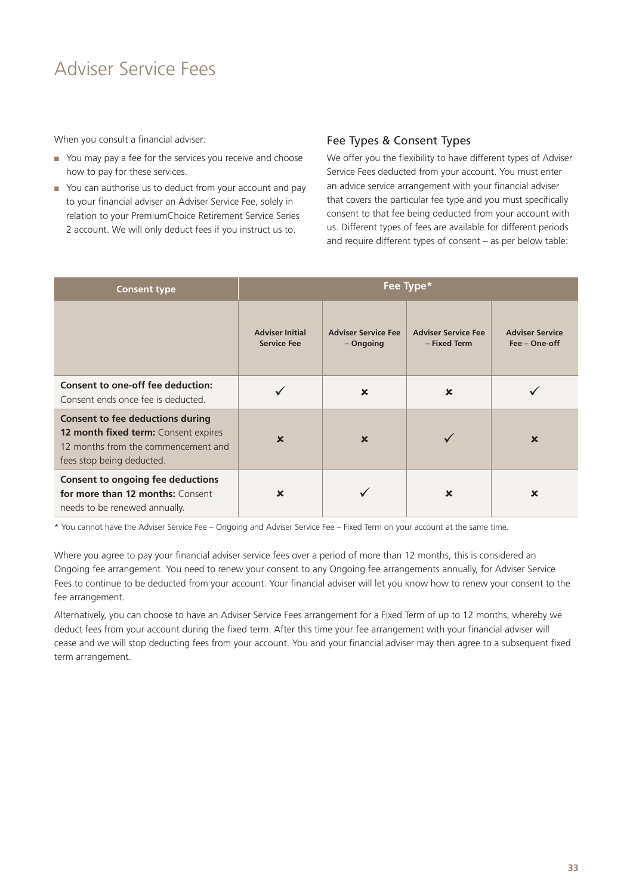### Adviser Service Fees

When you consult a financial adviser:

- You may pay a fee for the services you receive and choose how to pay for these services.
- You can authorise us to deduct from your account and pay to your financial adviser an Adviser Service Fee, solely in relation to your PremiumChoice Retirement Service Series 2 account. We will only deduct fees if you instruct us to.

#### Fee Types & Consent Types

We offer you the flexibility to have different types of Adviser Service Fees deducted from your account. You must enter an advice service arrangement with your financial adviser that covers the particular fee type and you must specifically consent to that fee being deducted from your account with us. Different types of fees are available for different periods and require different types of consent – as per below table:

| <b>Consent type</b>                                                                                                                                 | Fee Type*                                    |                                         |                                            |                                         |
|-----------------------------------------------------------------------------------------------------------------------------------------------------|----------------------------------------------|-----------------------------------------|--------------------------------------------|-----------------------------------------|
|                                                                                                                                                     | <b>Adviser Initial</b><br><b>Service Fee</b> | <b>Adviser Service Fee</b><br>– Ongoing | <b>Adviser Service Fee</b><br>- Fixed Term | <b>Adviser Service</b><br>Fee - One-off |
| Consent to one-off fee deduction:<br>Consent ends once fee is deducted.                                                                             |                                              | $\boldsymbol{\mathsf{x}}$               | $\boldsymbol{\mathsf{x}}$                  |                                         |
| <b>Consent to fee deductions during</b><br>12 month fixed term: Consent expires<br>12 months from the commencement and<br>fees stop being deducted. | $\boldsymbol{\mathsf{x}}$                    | $\boldsymbol{\mathsf{x}}$               |                                            | $\mathbf x$                             |
| <b>Consent to ongoing fee deductions</b><br>for more than 12 months: Consent<br>needs to be renewed annually.                                       | $\mathbf x$                                  |                                         | $\mathbf x$                                | $\mathbf x$                             |

\* You cannot have the Adviser Service Fee – Ongoing and Adviser Service Fee – Fixed Term on your account at the same time.

Where you agree to pay your financial adviser service fees over a period of more than 12 months, this is considered an Ongoing fee arrangement. You need to renew your consent to any Ongoing fee arrangements annually, for Adviser Service Fees to continue to be deducted from your account. Your financial adviser will let you know how to renew your consent to the fee arrangement.

Alternatively, you can choose to have an Adviser Service Fees arrangement for a Fixed Term of up to 12 months, whereby we deduct fees from your account during the fixed term. After this time your fee arrangement with your financial adviser will cease and we will stop deducting fees from your account. You and your financial adviser may then agree to a subsequent fixed term arrangement.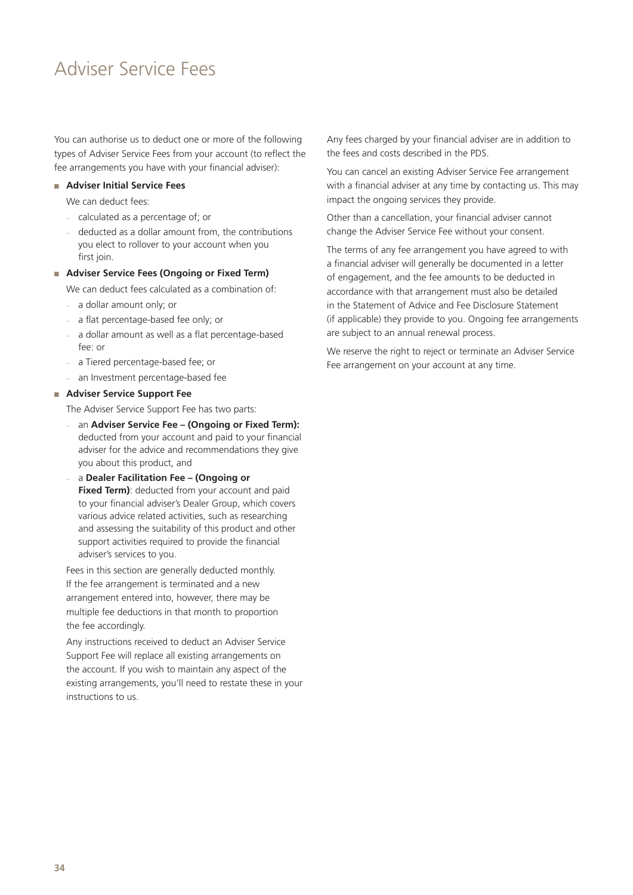### Adviser Service Fees

You can authorise us to deduct one or more of the following types of Adviser Service Fees from your account (to reflect the fee arrangements you have with your financial adviser):

#### ■ **Adviser Initial Service Fees**

We can deduct fees:

- calculated as a percentage of; or
- deducted as a dollar amount from, the contributions you elect to rollover to your account when you first join.
- **Adviser Service Fees (Ongoing or Fixed Term)**

We can deduct fees calculated as a combination of:

- a dollar amount only; or
- a flat percentage-based fee only; or
- a dollar amount as well as a flat percentage-based fee: or
- a Tiered percentage-based fee; or
- an Investment percentage-based fee

#### ■ **Adviser Service Support Fee**

The Adviser Service Support Fee has two parts:

- an **Adviser Service Fee (Ongoing or Fixed Term):** deducted from your account and paid to your financial adviser for the advice and recommendations they give you about this product, and
- a **Dealer Facilitation Fee (Ongoing or Fixed Term)**: deducted from your account and paid to your financial adviser's Dealer Group, which covers various advice related activities, such as researching and assessing the suitability of this product and other support activities required to provide the financial adviser's services to you.

Fees in this section are generally deducted monthly. If the fee arrangement is terminated and a new arrangement entered into, however, there may be multiple fee deductions in that month to proportion the fee accordingly.

Any instructions received to deduct an Adviser Service Support Fee will replace all existing arrangements on the account. If you wish to maintain any aspect of the existing arrangements, you'll need to restate these in your instructions to us.

Any fees charged by your financial adviser are in addition to the fees and costs described in the PDS.

You can cancel an existing Adviser Service Fee arrangement with a financial adviser at any time by contacting us. This may impact the ongoing services they provide.

Other than a cancellation, your financial adviser cannot change the Adviser Service Fee without your consent.

The terms of any fee arrangement you have agreed to with a financial adviser will generally be documented in a letter of engagement, and the fee amounts to be deducted in accordance with that arrangement must also be detailed in the Statement of Advice and Fee Disclosure Statement (if applicable) they provide to you. Ongoing fee arrangements are subject to an annual renewal process.

We reserve the right to reject or terminate an Adviser Service Fee arrangement on your account at any time.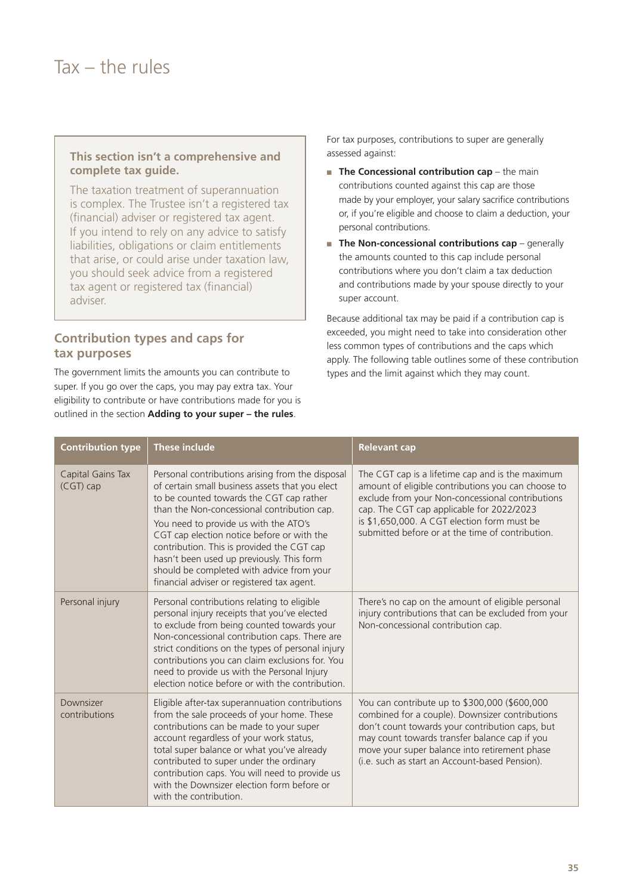### <span id="page-34-0"></span> $Tax - the rules$

#### **This section isn't a comprehensive and complete tax guide.**

The taxation treatment of superannuation is complex. The Trustee isn't a registered tax (financial) adviser or registered tax agent. If you intend to rely on any advice to satisfy liabilities, obligations or claim entitlements that arise, or could arise under taxation law, you should seek advice from a registered tax agent or registered tax (financial) adviser.

#### **Contribution types and caps for tax purposes**

The government limits the amounts you can contribute to super. If you go over the caps, you may pay extra tax. Your eligibility to contribute or have contributions made for you is outlined in the section **Adding to your super – the rules**.

For tax purposes, contributions to super are generally assessed against:

- **The Concessional contribution cap** the main contributions counted against this cap are those made by your employer, your salary sacrifice contributions or, if you're eligible and choose to claim a deduction, your personal contributions.
- **The Non-concessional contributions cap** generally the amounts counted to this cap include personal contributions where you don't claim a tax deduction and contributions made by your spouse directly to your super account.

Because additional tax may be paid if a contribution cap is exceeded, you might need to take into consideration other less common types of contributions and the caps which apply. The following table outlines some of these contribution types and the limit against which they may count.

| <b>Contribution type</b>         | <b>These include</b>                                                                                                                                                                                                                                                                                                                                                                                                                                                        | <b>Relevant cap</b>                                                                                                                                                                                                                                                                                        |
|----------------------------------|-----------------------------------------------------------------------------------------------------------------------------------------------------------------------------------------------------------------------------------------------------------------------------------------------------------------------------------------------------------------------------------------------------------------------------------------------------------------------------|------------------------------------------------------------------------------------------------------------------------------------------------------------------------------------------------------------------------------------------------------------------------------------------------------------|
| Capital Gains Tax<br>$(CGT)$ cap | Personal contributions arising from the disposal<br>of certain small business assets that you elect<br>to be counted towards the CGT cap rather<br>than the Non-concessional contribution cap.<br>You need to provide us with the ATO's<br>CGT cap election notice before or with the<br>contribution. This is provided the CGT cap<br>hasn't been used up previously. This form<br>should be completed with advice from your<br>financial adviser or registered tax agent. | The CGT cap is a lifetime cap and is the maximum<br>amount of eligible contributions you can choose to<br>exclude from your Non-concessional contributions<br>cap. The CGT cap applicable for 2022/2023<br>is \$1,650,000. A CGT election form must be<br>submitted before or at the time of contribution. |
| Personal injury                  | Personal contributions relating to eligible<br>personal injury receipts that you've elected<br>to exclude from being counted towards your<br>Non-concessional contribution caps. There are<br>strict conditions on the types of personal injury<br>contributions you can claim exclusions for. You<br>need to provide us with the Personal Injury<br>election notice before or with the contribution.                                                                       | There's no cap on the amount of eligible personal<br>injury contributions that can be excluded from your<br>Non-concessional contribution cap.                                                                                                                                                             |
| Downsizer<br>contributions       | Eligible after-tax superannuation contributions<br>from the sale proceeds of your home. These<br>contributions can be made to your super<br>account regardless of your work status,<br>total super balance or what you've already<br>contributed to super under the ordinary<br>contribution caps. You will need to provide us<br>with the Downsizer election form before or<br>with the contribution.                                                                      | You can contribute up to \$300,000 (\$600,000<br>combined for a couple). Downsizer contributions<br>don't count towards your contribution caps, but<br>may count towards transfer balance cap if you<br>move your super balance into retirement phase<br>(i.e. such as start an Account-based Pension).    |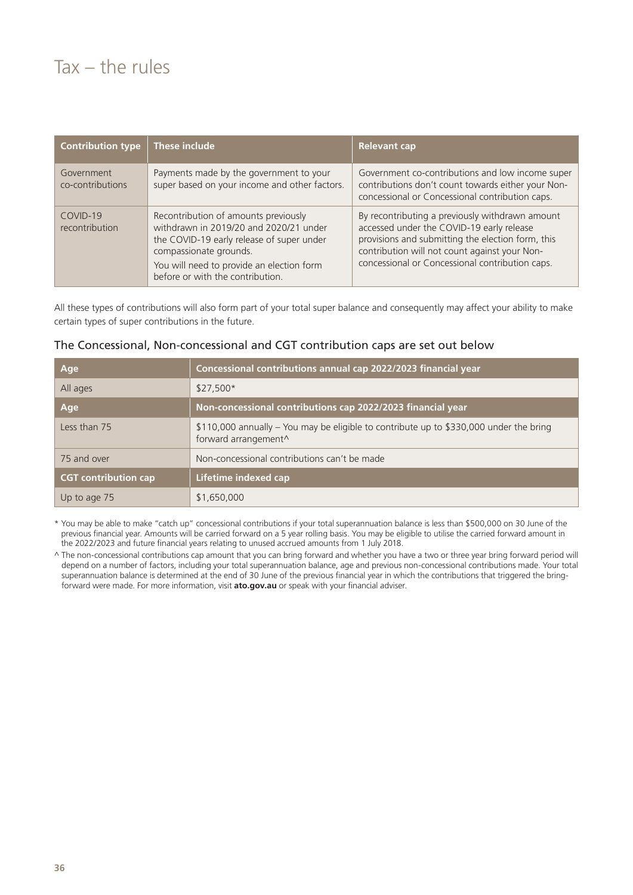### $Tax - the rules$

| <b>Contribution type</b>       | These include                                                                                                                                                                                                                          | <b>Relevant cap</b>                                                                                                                                                                                                                                   |
|--------------------------------|----------------------------------------------------------------------------------------------------------------------------------------------------------------------------------------------------------------------------------------|-------------------------------------------------------------------------------------------------------------------------------------------------------------------------------------------------------------------------------------------------------|
| Government<br>co-contributions | Payments made by the government to your<br>super based on your income and other factors.                                                                                                                                               | Government co-contributions and low income super<br>contributions don't count towards either your Non-<br>concessional or Concessional contribution caps.                                                                                             |
| COVID-19<br>recontribution     | Recontribution of amounts previously<br>withdrawn in 2019/20 and 2020/21 under<br>the COVID-19 early release of super under<br>compassionate grounds.<br>You will need to provide an election form<br>before or with the contribution. | By recontributing a previously withdrawn amount<br>accessed under the COVID-19 early release<br>provisions and submitting the election form, this<br>contribution will not count against your Non-<br>concessional or Concessional contribution caps. |

All these types of contributions will also form part of your total super balance and consequently may affect your ability to make certain types of super contributions in the future.

| The Concessional, Non-concessional and CGT contribution caps are set out below |  |  |  |  |  |
|--------------------------------------------------------------------------------|--|--|--|--|--|
|--------------------------------------------------------------------------------|--|--|--|--|--|

| Age                         | Concessional contributions annual cap 2022/2023 financial year                                                 |
|-----------------------------|----------------------------------------------------------------------------------------------------------------|
| All ages                    | $$27,500*$                                                                                                     |
| Age                         | Non-concessional contributions cap 2022/2023 financial year                                                    |
| Less than 75                | \$110,000 annually - You may be eligible to contribute up to \$330,000 under the bring<br>forward arrangement^ |
| 75 and over                 | Non-concessional contributions can't be made                                                                   |
| <b>CGT</b> contribution cap | Lifetime indexed cap                                                                                           |
| Up to age 75                | \$1,650,000                                                                                                    |

\* You may be able to make "catch up" concessional contributions if your total superannuation balance is less than \$500,000 on 30 June of the previous financial year. Amounts will be carried forward on a 5 year rolling basis. You may be eligible to utilise the carried forward amount in the 2022/2023 and future financial years relating to unused accrued amounts from 1 July 2018.

^ The non-concessional contributions cap amount that you can bring forward and whether you have a two or three year bring forward period will depend on a number of factors, including your total superannuation balance, age and previous non-concessional contributions made. Your total superannuation balance is determined at the end of 30 June of the previous financial year in which the contributions that triggered the bringforward were made. For more information, visit **[ato.gov.au](http://ato.gov.au)** or speak with your financial adviser.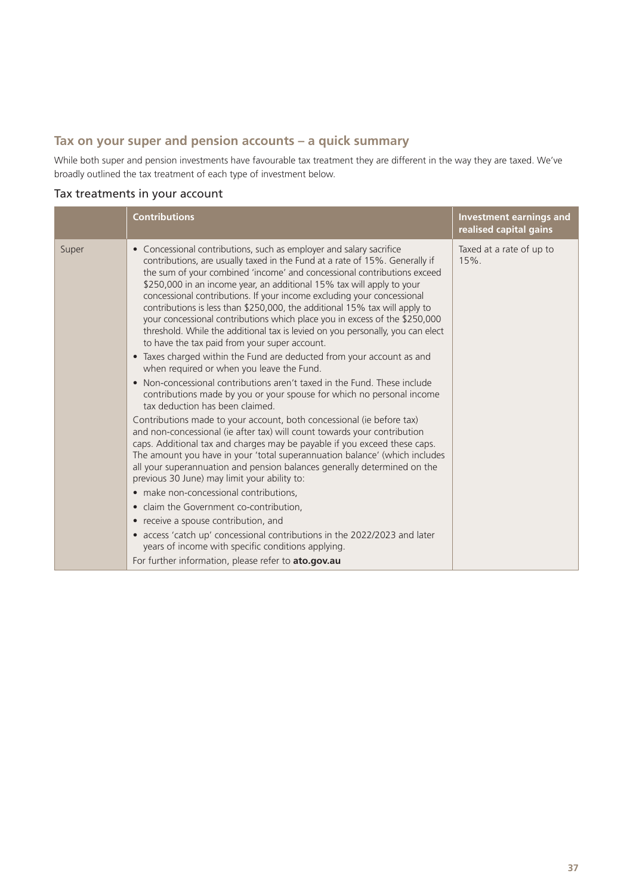#### **Tax on your super and pension accounts – a quick summary**

While both super and pension investments have favourable tax treatment they are different in the way they are taxed. We've broadly outlined the tax treatment of each type of investment below.

#### Tax treatments in your account

|       | <b>Contributions</b>                                                                                                                                                                                                                                                                                                                                                                                                                                                                                                                                                                                                                                                                                                                                                                                             | <b>Investment earnings and</b><br>realised capital gains |
|-------|------------------------------------------------------------------------------------------------------------------------------------------------------------------------------------------------------------------------------------------------------------------------------------------------------------------------------------------------------------------------------------------------------------------------------------------------------------------------------------------------------------------------------------------------------------------------------------------------------------------------------------------------------------------------------------------------------------------------------------------------------------------------------------------------------------------|----------------------------------------------------------|
| Super | Concessional contributions, such as employer and salary sacrifice<br>$\bullet$<br>contributions, are usually taxed in the Fund at a rate of 15%. Generally if<br>the sum of your combined 'income' and concessional contributions exceed<br>\$250,000 in an income year, an additional 15% tax will apply to your<br>concessional contributions. If your income excluding your concessional<br>contributions is less than \$250,000, the additional 15% tax will apply to<br>your concessional contributions which place you in excess of the \$250,000<br>threshold. While the additional tax is levied on you personally, you can elect<br>to have the tax paid from your super account.<br>• Taxes charged within the Fund are deducted from your account as and<br>when required or when you leave the Fund. | Taxed at a rate of up to<br>$15%$ .                      |
|       | • Non-concessional contributions aren't taxed in the Fund. These include<br>contributions made by you or your spouse for which no personal income<br>tax deduction has been claimed.                                                                                                                                                                                                                                                                                                                                                                                                                                                                                                                                                                                                                             |                                                          |
|       | Contributions made to your account, both concessional (ie before tax)<br>and non-concessional (ie after tax) will count towards your contribution<br>caps. Additional tax and charges may be payable if you exceed these caps.<br>The amount you have in your 'total superannuation balance' (which includes<br>all your superannuation and pension balances generally determined on the<br>previous 30 June) may limit your ability to:                                                                                                                                                                                                                                                                                                                                                                         |                                                          |
|       | • make non-concessional contributions,<br>• claim the Government co-contribution,                                                                                                                                                                                                                                                                                                                                                                                                                                                                                                                                                                                                                                                                                                                                |                                                          |
|       | • receive a spouse contribution, and                                                                                                                                                                                                                                                                                                                                                                                                                                                                                                                                                                                                                                                                                                                                                                             |                                                          |
|       | • access 'catch up' concessional contributions in the 2022/2023 and later<br>years of income with specific conditions applying.                                                                                                                                                                                                                                                                                                                                                                                                                                                                                                                                                                                                                                                                                  |                                                          |
|       | For further information, please refer to ato.gov.au                                                                                                                                                                                                                                                                                                                                                                                                                                                                                                                                                                                                                                                                                                                                                              |                                                          |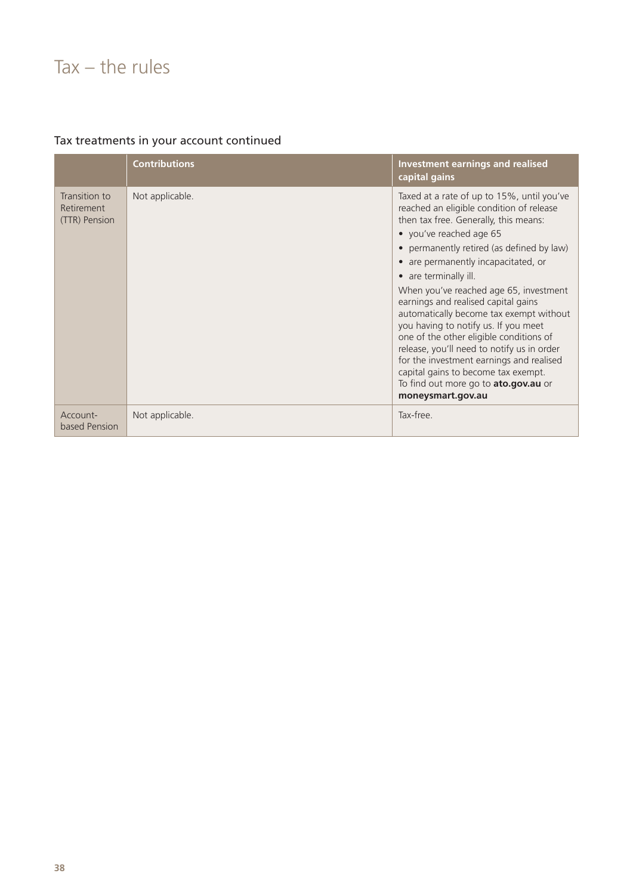### $Tax - the rules$

| Tax treatments in your account continued |  |  |  |
|------------------------------------------|--|--|--|
|------------------------------------------|--|--|--|

|                                              | <b>Contributions</b> | <b>Investment earnings and realised</b><br>capital gains                                                                                                                                                                                                                                                                                                                                                                                                                                                                                                                                                                                                                                                   |
|----------------------------------------------|----------------------|------------------------------------------------------------------------------------------------------------------------------------------------------------------------------------------------------------------------------------------------------------------------------------------------------------------------------------------------------------------------------------------------------------------------------------------------------------------------------------------------------------------------------------------------------------------------------------------------------------------------------------------------------------------------------------------------------------|
| Transition to<br>Retirement<br>(TTR) Pension | Not applicable.      | Taxed at a rate of up to 15%, until you've<br>reached an eligible condition of release<br>then tax free. Generally, this means:<br>• you've reached age 65<br>permanently retired (as defined by law)<br>$\bullet$<br>are permanently incapacitated, or<br>$\bullet$<br>• are terminally ill.<br>When you've reached age 65, investment<br>earnings and realised capital gains<br>automatically become tax exempt without<br>you having to notify us. If you meet<br>one of the other eligible conditions of<br>release, you'll need to notify us in order<br>for the investment earnings and realised<br>capital gains to become tax exempt.<br>To find out more go to ato.gov.au or<br>moneysmart.gov.au |
| Account-<br>based Pension                    | Not applicable.      | Tax-free.                                                                                                                                                                                                                                                                                                                                                                                                                                                                                                                                                                                                                                                                                                  |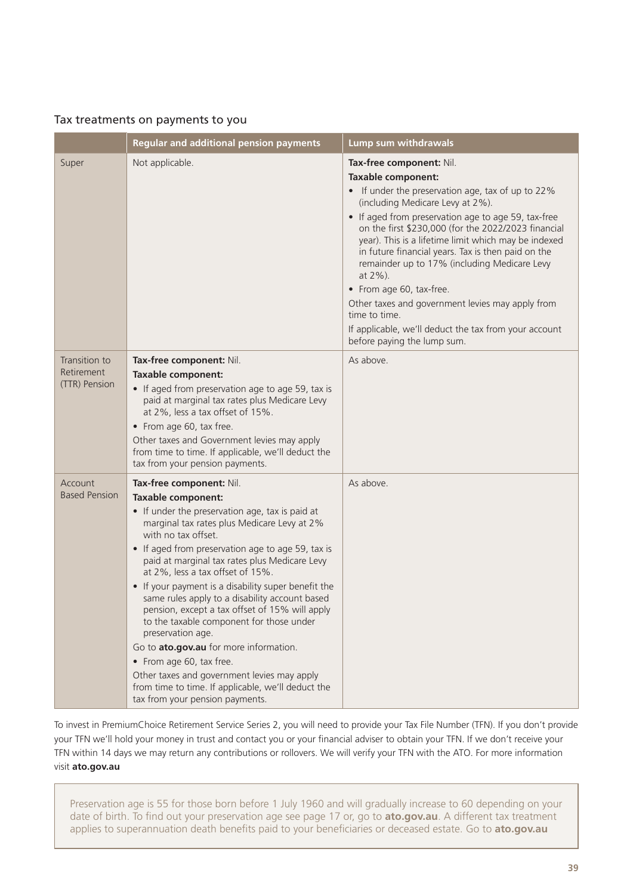#### Tax treatments on payments to you

|                                              | <b>Regular and additional pension payments</b>                                                                                                                                                                                                                                                                                                                                                                                                                                                                                                                                                                                                                                                                                                                     | Lump sum withdrawals                                                                                                                                                                                                                                                                                                                                                                                                                                                                                                                                                                                                           |
|----------------------------------------------|--------------------------------------------------------------------------------------------------------------------------------------------------------------------------------------------------------------------------------------------------------------------------------------------------------------------------------------------------------------------------------------------------------------------------------------------------------------------------------------------------------------------------------------------------------------------------------------------------------------------------------------------------------------------------------------------------------------------------------------------------------------------|--------------------------------------------------------------------------------------------------------------------------------------------------------------------------------------------------------------------------------------------------------------------------------------------------------------------------------------------------------------------------------------------------------------------------------------------------------------------------------------------------------------------------------------------------------------------------------------------------------------------------------|
| Super                                        | Not applicable.                                                                                                                                                                                                                                                                                                                                                                                                                                                                                                                                                                                                                                                                                                                                                    | Tax-free component: Nil.<br><b>Taxable component:</b><br>• If under the preservation age, tax of up to 22%<br>(including Medicare Levy at 2%).<br>• If aged from preservation age to age 59, tax-free<br>on the first \$230,000 (for the 2022/2023 financial<br>year). This is a lifetime limit which may be indexed<br>in future financial years. Tax is then paid on the<br>remainder up to 17% (including Medicare Levy<br>at 2%).<br>• From age 60, tax-free.<br>Other taxes and government levies may apply from<br>time to time.<br>If applicable, we'll deduct the tax from your account<br>before paying the lump sum. |
| Transition to<br>Retirement<br>(TTR) Pension | Tax-free component: Nil.<br><b>Taxable component:</b><br>• If aged from preservation age to age 59, tax is<br>paid at marginal tax rates plus Medicare Levy<br>at 2%, less a tax offset of 15%.<br>• From age 60, tax free.<br>Other taxes and Government levies may apply<br>from time to time. If applicable, we'll deduct the<br>tax from your pension payments.                                                                                                                                                                                                                                                                                                                                                                                                | As above.                                                                                                                                                                                                                                                                                                                                                                                                                                                                                                                                                                                                                      |
| Account<br><b>Based Pension</b>              | Tax-free component: Nil.<br><b>Taxable component:</b><br>• If under the preservation age, tax is paid at<br>marginal tax rates plus Medicare Levy at 2%<br>with no tax offset.<br>• If aged from preservation age to age 59, tax is<br>paid at marginal tax rates plus Medicare Levy<br>at 2%, less a tax offset of 15%.<br>• If your payment is a disability super benefit the<br>same rules apply to a disability account based<br>pension, except a tax offset of 15% will apply<br>to the taxable component for those under<br>preservation age.<br>Go to ato.gov.au for more information.<br>• From age 60, tax free.<br>Other taxes and government levies may apply<br>from time to time. If applicable, we'll deduct the<br>tax from your pension payments. | As above.                                                                                                                                                                                                                                                                                                                                                                                                                                                                                                                                                                                                                      |

To invest in PremiumChoice Retirement Service Series 2, you will need to provide your Tax File Number (TFN). If you don't provide your TFN we'll hold your money in trust and contact you or your financial adviser to obtain your TFN. If we don't receive your TFN within 14 days we may return any contributions or rollovers. We will verify your TFN with the ATO. For more information visit **[ato.gov.au](http://ato.gov.au)**

Preservation age is 55 for those born before 1 July 1960 and will gradually increase to 60 depending on your date of birth. To find out your preservation age see page 17 or, go to **[ato.gov.au](http://ato.gov.au)**. A different tax treatment applies to superannuation death benefits paid to your beneficiaries or deceased estate. Go to **[ato.gov.au](http://ato.gov.au)**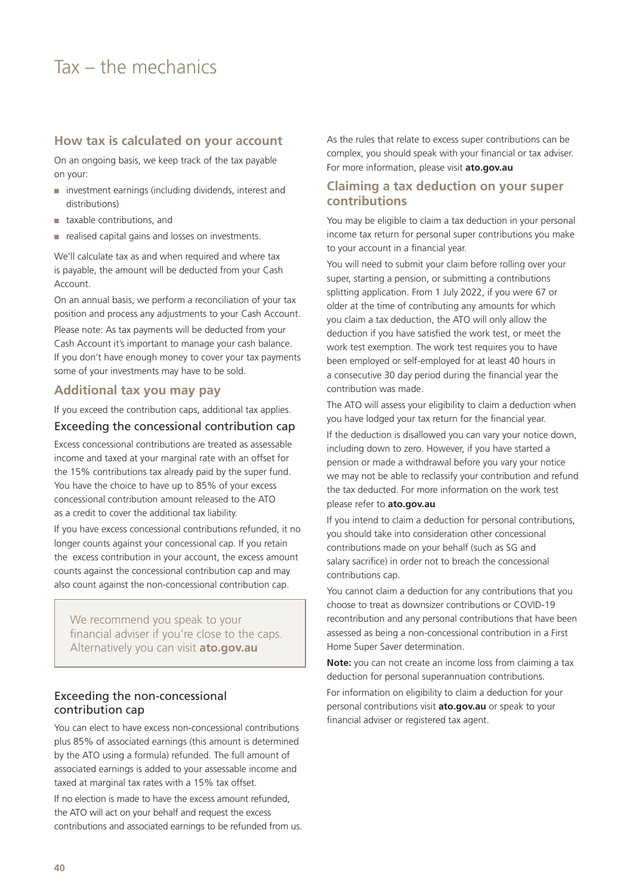### <span id="page-39-0"></span>Tax – the mechanics

#### **How tax is calculated on your account**

On an ongoing basis, we keep track of the tax payable on your:

- investment earnings (including dividends, interest and distributions)
- taxable contributions, and
- realised capital gains and losses on investments.

We'll calculate tax as and when required and where tax is payable, the amount will be deducted from your Cash Account.

On an annual basis, we perform a reconciliation of your tax position and process any adjustments to your Cash Account.

Please note: As tax payments will be deducted from your Cash Account it's important to manage your cash balance. If you don't have enough money to cover your tax payments some of your investments may have to be sold.

#### **Additional tax you may pay**

If you exceed the contribution caps, additional tax applies.

#### Exceeding the concessional contribution cap

Excess concessional contributions are treated as assessable income and taxed at your marginal rate with an offset for the 15% contributions tax already paid by the super fund. You have the choice to have up to 85% of your excess concessional contribution amount released to the ATO as a credit to cover the additional tax liability.

If you have excess concessional contributions refunded, it no longer counts against your concessional cap. If you retain the excess contribution in your account, the excess amount counts against the concessional contribution cap and may also count against the non-concessional contribution cap.

We recommend you speak to your financial adviser if you're close to the caps. Alternatively you can visit **[ato.gov.au](http://ato.gov.au)**

#### Exceeding the non-concessional contribution cap

You can elect to have excess non-concessional contributions plus 85% of associated earnings (this amount is determined by the ATO using a formula) refunded. The full amount of associated earnings is added to your assessable income and taxed at marginal tax rates with a 15% tax offset.

If no election is made to have the excess amount refunded, the ATO will act on your behalf and request the excess contributions and associated earnings to be refunded from us. As the rules that relate to excess super contributions can be complex, you should speak with your financial or tax adviser. For more information, please visit **[ato.gov.au](http://ato.gov.au)**

#### **Claiming a tax deduction on your super contributions**

You may be eligible to claim a tax deduction in your personal income tax return for personal super contributions you make to your account in a financial year.

You will need to submit your claim before rolling over your super, starting a pension, or submitting a contributions splitting application. From 1 July 2022, if you were 67 or older at the time of contributing any amounts for which you claim a tax deduction, the ATO will only allow the deduction if you have satisfied the work test, or meet the work test exemption. The work test requires you to have been employed or self-employed for at least 40 hours in a consecutive 30 day period during the financial year the contribution was made.

The ATO will assess your eligibility to claim a deduction when you have lodged your tax return for the financial year.

If the deduction is disallowed you can vary your notice down, including down to zero. However, if you have started a pension or made a withdrawal before you vary your notice we may not be able to reclassify your contribution and refund the tax deducted. For more information on the work test please refer to **[ato.gov.au](http://ato.gov.au)**

If you intend to claim a deduction for personal contributions, you should take into consideration other concessional contributions made on your behalf (such as SG and salary sacrifice) in order not to breach the concessional contributions cap.

You cannot claim a deduction for any contributions that you choose to treat as downsizer contributions or COVID-19 recontribution and any personal contributions that have been assessed as being a non-concessional contribution in a First Home Super Saver determination.

**Note:** you can not create an income loss from claiming a tax deduction for personal superannuation contributions.

For information on eligibility to claim a deduction for your personal contributions visit **[ato.gov.au](http://ato.gov.au)** or speak to your financial adviser or registered tax agent.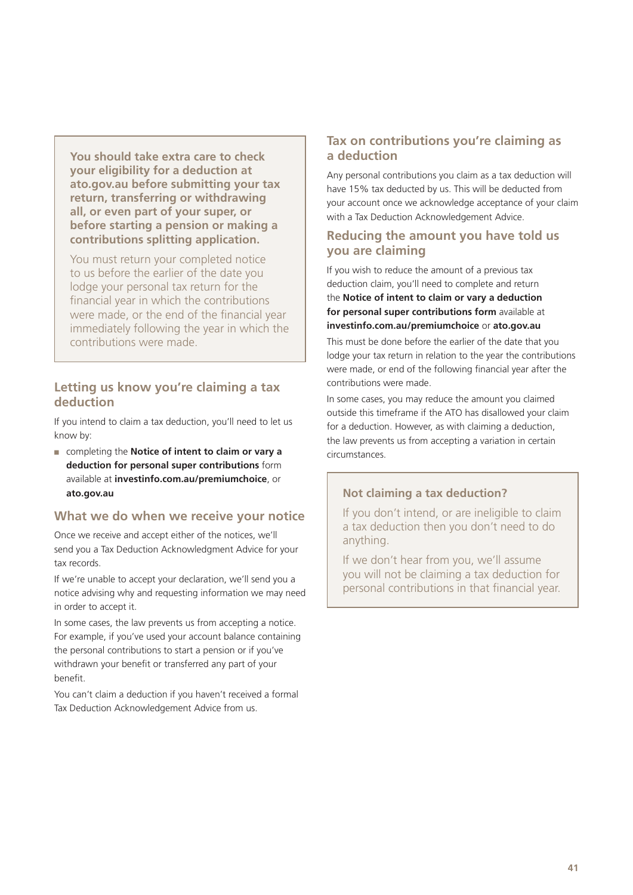**You should take extra care to check your eligibility for a deduction at [ato.gov.au](http://ato.gov.au) before submitting your tax return, transferring or withdrawing all, or even part of your super, or before starting a pension or making a contributions splitting application.**

You must return your completed notice to us before the earlier of the date you lodge your personal tax return for the financial year in which the contributions were made, or the end of the financial year immediately following the year in which the contributions were made.

#### **Letting us know you're claiming a tax deduction**

If you intend to claim a tax deduction, you'll need to let us know by:

■ completing the **Notice of intent to claim or vary a deduction for personal super contributions** form available at **[investinfo.com.au/premiumchoice](http://investinfo.com.au/premiumchoice)**, or **[ato.gov.au](http://ato.gov.au)**

#### **What we do when we receive your notice**

Once we receive and accept either of the notices, we'll send you a Tax Deduction Acknowledgment Advice for your tax records.

If we're unable to accept your declaration, we'll send you a notice advising why and requesting information we may need in order to accept it.

In some cases, the law prevents us from accepting a notice. For example, if you've used your account balance containing the personal contributions to start a pension or if you've withdrawn your benefit or transferred any part of your benefit.

You can't claim a deduction if you haven't received a formal Tax Deduction Acknowledgement Advice from us.

#### **Tax on contributions you're claiming as a deduction**

Any personal contributions you claim as a tax deduction will have 15% tax deducted by us. This will be deducted from your account once we acknowledge acceptance of your claim with a Tax Deduction Acknowledgement Advice.

#### **Reducing the amount you have told us you are claiming**

If you wish to reduce the amount of a previous tax deduction claim, you'll need to complete and return the **Notice of intent to claim or vary a deduction for personal super contributions form** available at **[investinfo.com.au/premiumchoice](https://investinfo.com.au/premiumchoice)** or **ato.gov.au**

This must be done before the earlier of the date that you lodge your tax return in relation to the year the contributions were made, or end of the following financial year after the contributions were made.

In some cases, you may reduce the amount you claimed outside this timeframe if the ATO has disallowed your claim for a deduction. However, as with claiming a deduction, the law prevents us from accepting a variation in certain circumstances.

#### **Not claiming a tax deduction?**

If you don't intend, or are ineligible to claim a tax deduction then you don't need to do anything.

If we don't hear from you, we'll assume you will not be claiming a tax deduction for personal contributions in that financial year.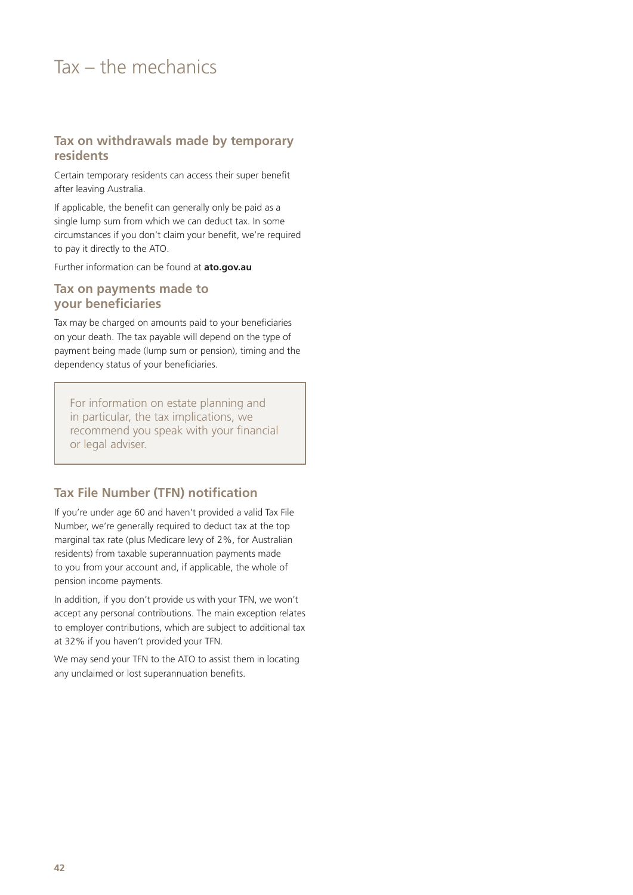### Tax – the mechanics

#### **Tax on withdrawals made by temporary residents**

Certain temporary residents can access their super benefit after leaving Australia.

If applicable, the benefit can generally only be paid as a single lump sum from which we can deduct tax. In some circumstances if you don't claim your benefit, we're required to pay it directly to the ATO.

Further information can be found at **[ato.gov.au](http://ato.gov.au)**

#### **Tax on payments made to your beneficiaries**

Tax may be charged on amounts paid to your beneficiaries on your death. The tax payable will depend on the type of payment being made (lump sum or pension), timing and the dependency status of your beneficiaries.

For information on estate planning and in particular, the tax implications, we recommend you speak with your financial or legal adviser.

#### **Tax File Number (TFN) notification**

If you're under age 60 and haven't provided a valid Tax File Number, we're generally required to deduct tax at the top marginal tax rate (plus Medicare levy of 2%, for Australian residents) from taxable superannuation payments made to you from your account and, if applicable, the whole of pension income payments.

In addition, if you don't provide us with your TFN, we won't accept any personal contributions. The main exception relates to employer contributions, which are subject to additional tax at 32% if you haven't provided your TFN.

We may send your TFN to the ATO to assist them in locating any unclaimed or lost superannuation benefits.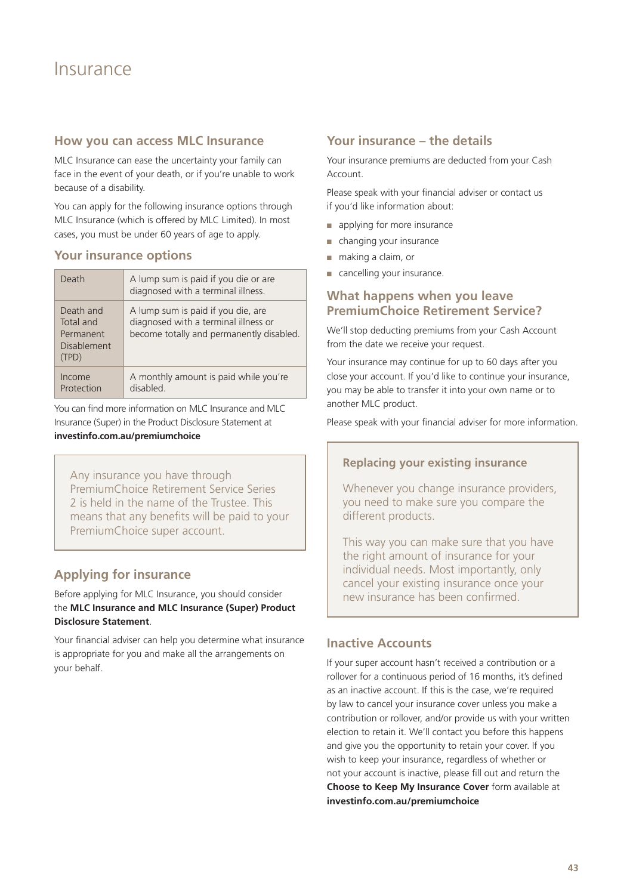#### <span id="page-42-0"></span>**How you can access MLC Insurance**

MLC Insurance can ease the uncertainty your family can face in the event of your death, or if you're unable to work because of a disability.

You can apply for the following insurance options through MLC Insurance (which is offered by MLC Limited). In most cases, you must be under 60 years of age to apply.

#### **Your insurance options**

| Death                                                              | A lump sum is paid if you die or are<br>diagnosed with a terminal illness.                                             |  |
|--------------------------------------------------------------------|------------------------------------------------------------------------------------------------------------------------|--|
| Death and<br>Total and<br>Permanent<br><b>Disablement</b><br>(TPD) | A lump sum is paid if you die, are<br>diagnosed with a terminal illness or<br>become totally and permanently disabled. |  |
| Income<br>Protection                                               | A monthly amount is paid while you're<br>disabled.                                                                     |  |

You can find more information on MLC Insurance and MLC Insurance (Super) in the Product Disclosure Statement at

#### **[investinfo.com.au/premiumchoice](http://investinfo.com.au/premiumchoice)**

Any insurance you have through PremiumChoice Retirement Service Series 2 is held in the name of the Trustee. This means that any benefits will be paid to your PremiumChoice super account.

#### **Applying for insurance**

#### Before applying for MLC Insurance, you should consider the **MLC Insurance and MLC Insurance (Super) Product Disclosure Statement**.

Your financial adviser can help you determine what insurance is appropriate for you and make all the arrangements on your behalf.

#### **Your insurance – the details**

Your insurance premiums are deducted from your Cash Account.

Please speak with your financial adviser or contact us if you'd like information about:

- applying for more insurance
- changing your insurance
- making a claim, or
- cancelling your insurance.

#### **What happens when you leave PremiumChoice Retirement Service?**

We'll stop deducting premiums from your Cash Account from the date we receive your request.

Your insurance may continue for up to 60 days after you close your account. If you'd like to continue your insurance, you may be able to transfer it into your own name or to another MLC product.

Please speak with your financial adviser for more information.

#### **Replacing your existing insurance**

Whenever you change insurance providers, you need to make sure you compare the different products.

This way you can make sure that you have the right amount of insurance for your individual needs. Most importantly, only cancel your existing insurance once your new insurance has been confirmed.

#### **Inactive Accounts**

If your super account hasn't received a contribution or a rollover for a continuous period of 16 months, it's defined as an inactive account. If this is the case, we're required by law to cancel your insurance cover unless you make a contribution or rollover, and/or provide us with your written election to retain it. We'll contact you before this happens and give you the opportunity to retain your cover. If you wish to keep your insurance, regardless of whether or not your account is inactive, please fill out and return the **Choose to Keep My Insurance Cover** form available at **[investinfo.com.au/premiumchoice](http://investinfo.com.au/premiumchoice)**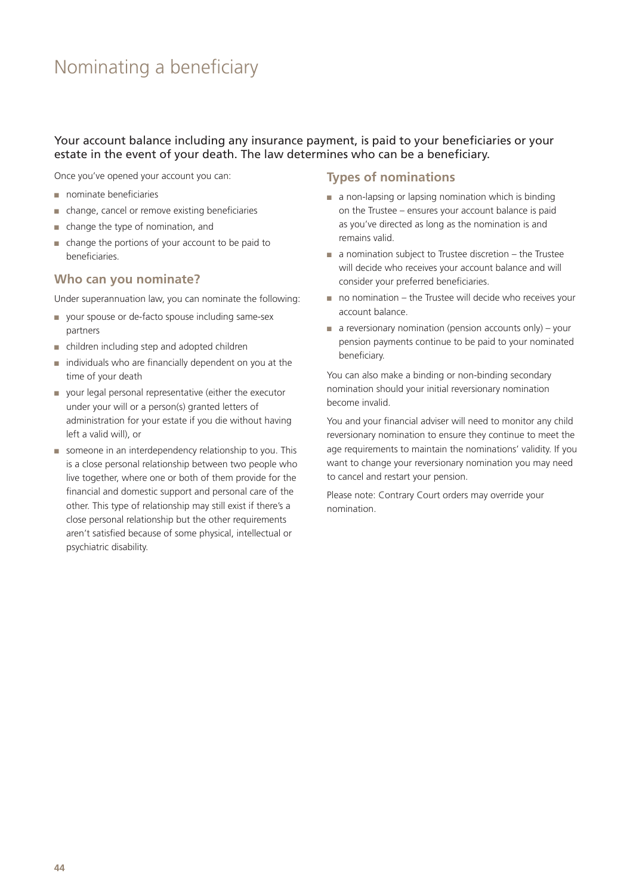### <span id="page-43-0"></span>Nominating a beneficiary

#### Your account balance including any insurance payment, is paid to your beneficiaries or your estate in the event of your death. The law determines who can be a beneficiary.

Once you've opened your account you can:

- nominate beneficiaries
- change, cancel or remove existing beneficiaries
- change the type of nomination, and
- change the portions of your account to be paid to beneficiaries.

#### **Who can you nominate?**

Under superannuation law, you can nominate the following:

- your spouse or de-facto spouse including same-sex partners
- children including step and adopted children
- individuals who are financially dependent on you at the time of your death
- your legal personal representative (either the executor under your will or a person(s) granted letters of administration for your estate if you die without having left a valid will), or
- someone in an interdependency relationship to you. This is a close personal relationship between two people who live together, where one or both of them provide for the financial and domestic support and personal care of the other. This type of relationship may still exist if there's a close personal relationship but the other requirements aren't satisfied because of some physical, intellectual or psychiatric disability.

#### **Types of nominations**

- a non-lapsing or lapsing nomination which is binding on the Trustee – ensures your account balance is paid as you've directed as long as the nomination is and remains valid.
- a nomination subject to Trustee discretion the Trustee will decide who receives your account balance and will consider your preferred beneficiaries.
- no nomination the Trustee will decide who receives your account balance.
- $\blacksquare$  a reversionary nomination (pension accounts only) your pension payments continue to be paid to your nominated beneficiary.

You can also make a binding or non-binding secondary nomination should your initial reversionary nomination become invalid.

You and your financial adviser will need to monitor any child reversionary nomination to ensure they continue to meet the age requirements to maintain the nominations' validity. If you want to change your reversionary nomination you may need to cancel and restart your pension.

Please note: Contrary Court orders may override your nomination.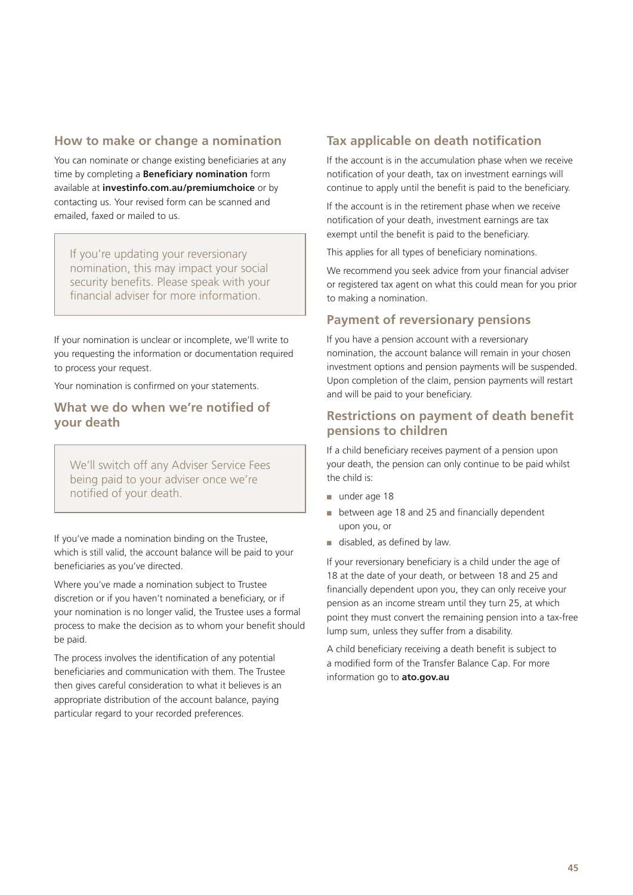#### **How to make or change a nomination**

You can nominate or change existing beneficiaries at any time by completing a **Beneficiary nomination** form available at **[investinfo.com.au/premiumchoice](http://investinfo.com.au/premiumchoice)** or by contacting us. Your revised form can be scanned and emailed, faxed or mailed to us.

If you're updating your reversionary nomination, this may impact your social security benefits. Please speak with your financial adviser for more information.

If your nomination is unclear or incomplete, we'll write to you requesting the information or documentation required to process your request.

Your nomination is confirmed on your statements.

#### **What we do when we're notified of your death**

We'll switch off any Adviser Service Fees being paid to your adviser once we're notified of your death.

If you've made a nomination binding on the Trustee, which is still valid, the account balance will be paid to your beneficiaries as you've directed.

Where you've made a nomination subject to Trustee discretion or if you haven't nominated a beneficiary, or if your nomination is no longer valid, the Trustee uses a formal process to make the decision as to whom your benefit should be paid.

The process involves the identification of any potential beneficiaries and communication with them. The Trustee then gives careful consideration to what it believes is an appropriate distribution of the account balance, paying particular regard to your recorded preferences.

#### **Tax applicable on death notification**

If the account is in the accumulation phase when we receive notification of your death, tax on investment earnings will continue to apply until the benefit is paid to the beneficiary.

If the account is in the retirement phase when we receive notification of your death, investment earnings are tax exempt until the benefit is paid to the beneficiary.

This applies for all types of beneficiary nominations.

We recommend you seek advice from your financial adviser or registered tax agent on what this could mean for you prior to making a nomination.

#### **Payment of reversionary pensions**

If you have a pension account with a reversionary nomination, the account balance will remain in your chosen investment options and pension payments will be suspended. Upon completion of the claim, pension payments will restart and will be paid to your beneficiary.

#### **Restrictions on payment of death benefit pensions to children**

If a child beneficiary receives payment of a pension upon your death, the pension can only continue to be paid whilst the child is:

- under age 18
- between age 18 and 25 and financially dependent upon you, or
- disabled, as defined by law.

If your reversionary beneficiary is a child under the age of 18 at the date of your death, or between 18 and 25 and financially dependent upon you, they can only receive your pension as an income stream until they turn 25, at which point they must convert the remaining pension into a tax-free lump sum, unless they suffer from a disability.

A child beneficiary receiving a death benefit is subject to a modified form of the Transfer Balance Cap. For more information go to **[ato.gov.au](http://ato.gov.au)**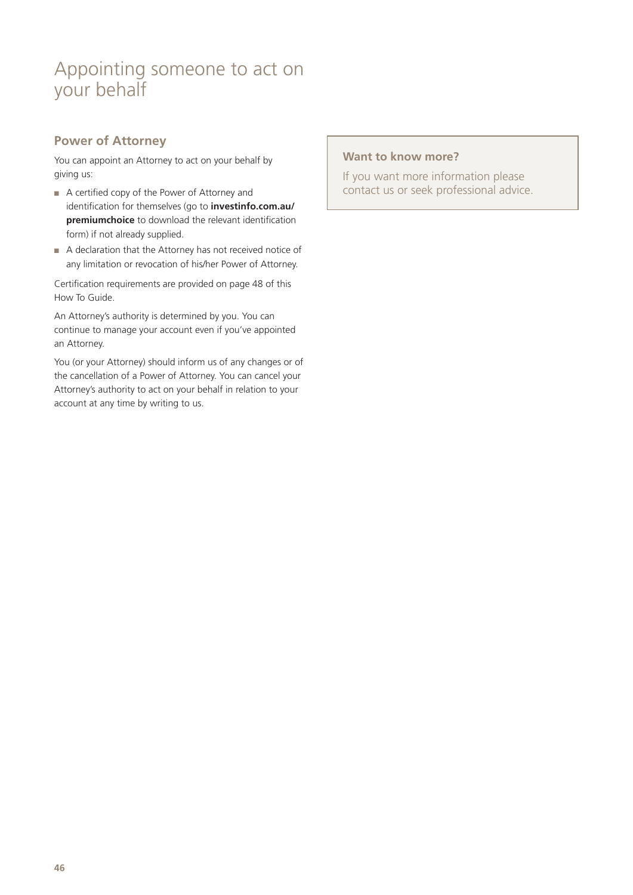### <span id="page-45-0"></span>Appointing someone to act on your behalf

#### **Power of Attorney**

You can appoint an Attorney to act on your behalf by giving us:

- A certified copy of the Power of Attorney and identification for themselves (go to **[investinfo.com.au/](http://investinfo.com.au/premiumchoice) [premiumchoice](http://investinfo.com.au/premiumchoice)** to download the relevant identification form) if not already supplied.
- A declaration that the Attorney has not received notice of any limitation or revocation of his/her Power of Attorney.

Certification requirements are provided on page 48 of this How To Guide.

An Attorney's authority is determined by you. You can continue to manage your account even if you've appointed an Attorney.

You (or your Attorney) should inform us of any changes or of the cancellation of a Power of Attorney. You can cancel your Attorney's authority to act on your behalf in relation to your account at any time by writing to us.

#### **Want to know more?**

If you want more information please contact us or seek professional advice.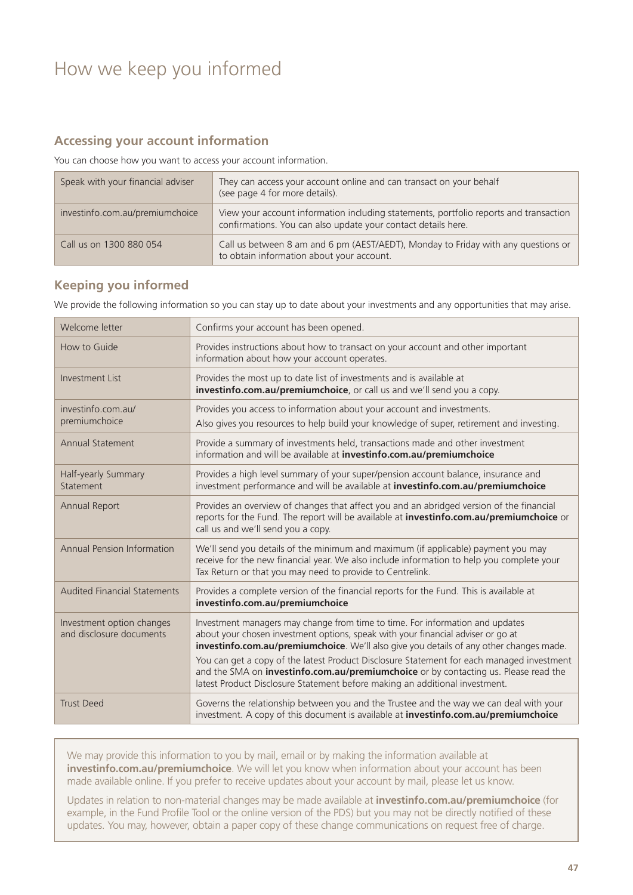### <span id="page-46-0"></span>How we keep you informed

#### **Accessing your account information**

You can choose how you want to access your account information.

| Speak with your financial adviser | They can access your account online and can transact on your behalf<br>(see page 4 for more details).                                                  |  |
|-----------------------------------|--------------------------------------------------------------------------------------------------------------------------------------------------------|--|
| investinfo.com.au/premiumchoice   | View your account information including statements, portfolio reports and transaction<br>confirmations. You can also update your contact details here. |  |
| Call us on 1300 880 054           | Call us between 8 am and 6 pm (AEST/AEDT), Monday to Friday with any questions or<br>to obtain information about your account.                         |  |

#### **Keeping you informed**

We provide the following information so you can stay up to date about your investments and any opportunities that may arise.

| Welcome letter                                        | Confirms your account has been opened.                                                                                                                                                                                                                                 |  |  |
|-------------------------------------------------------|------------------------------------------------------------------------------------------------------------------------------------------------------------------------------------------------------------------------------------------------------------------------|--|--|
| How to Guide                                          | Provides instructions about how to transact on your account and other important<br>information about how your account operates.                                                                                                                                        |  |  |
| <b>Investment List</b>                                | Provides the most up to date list of investments and is available at<br>investinfo.com.au/premiumchoice, or call us and we'll send you a copy.                                                                                                                         |  |  |
| investinfo.com.au/<br>premiumchoice                   | Provides you access to information about your account and investments.<br>Also gives you resources to help build your knowledge of super, retirement and investing.                                                                                                    |  |  |
| <b>Annual Statement</b>                               | Provide a summary of investments held, transactions made and other investment<br>information and will be available at investinfo.com.au/premiumchoice                                                                                                                  |  |  |
| Half-yearly Summary<br>Statement                      | Provides a high level summary of your super/pension account balance, insurance and<br>investment performance and will be available at investinfo.com.au/premiumchoice                                                                                                  |  |  |
| <b>Annual Report</b>                                  | Provides an overview of changes that affect you and an abridged version of the financial<br>reports for the Fund. The report will be available at investinfo.com.au/premiumchoice or<br>call us and we'll send you a copy.                                             |  |  |
| Annual Pension Information                            | We'll send you details of the minimum and maximum (if applicable) payment you may<br>receive for the new financial year. We also include information to help you complete your<br>Tax Return or that you may need to provide to Centrelink.                            |  |  |
| <b>Audited Financial Statements</b>                   | Provides a complete version of the financial reports for the Fund. This is available at<br>investinfo.com.au/premiumchoice                                                                                                                                             |  |  |
| Investment option changes<br>and disclosure documents | Investment managers may change from time to time. For information and updates<br>about your chosen investment options, speak with your financial adviser or go at<br>investinfo.com.au/premiumchoice. We'll also give you details of any other changes made.           |  |  |
|                                                       | You can get a copy of the latest Product Disclosure Statement for each managed investment<br>and the SMA on <i>investinfo.com.au/premiumchoice</i> or by contacting us. Please read the<br>latest Product Disclosure Statement before making an additional investment. |  |  |
| <b>Trust Deed</b>                                     | Governs the relationship between you and the Trustee and the way we can deal with your<br>investment. A copy of this document is available at investinfo.com.au/premiumchoice                                                                                          |  |  |

We may provide this information to you by mail, email or by making the information available at **[investinfo.com.au/premiumchoice](http://investinfo.com.au/premiumchoice)**. We will let you know when information about your account has been made available online. If you prefer to receive updates about your account by mail, please let us know.

Updates in relation to non-material changes may be made available at **[investinfo.com.au/premiumchoice](http://investinfo.com.au/premiumchoice)** (for example, in the Fund Profile Tool or the online version of the PDS) but you may not be directly notified of these updates. You may, however, obtain a paper copy of these change communications on request free of charge.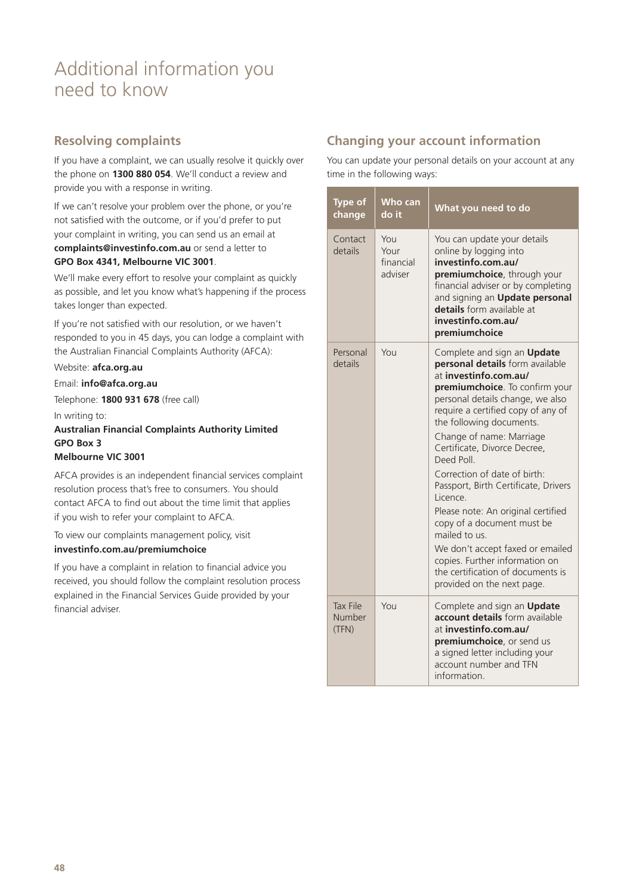### <span id="page-47-0"></span>Additional information you need to know

#### **Resolving complaints**

If you have a complaint, we can usually resolve it quickly over the phone on **1300 880 054**. We'll conduct a review and provide you with a response in writing.

If we can't resolve your problem over the phone, or you're not satisfied with the outcome, or if you'd prefer to put your complaint in writing, you can send us an email at **[complaints@investinfo.com.au](mailto:complaints%40investinfo.com.au?subject=)** or send a letter to **GPO Box 4341, Melbourne VIC 3001**.

We'll make every effort to resolve your complaint as quickly as possible, and let you know what's happening if the process takes longer than expected.

If you're not satisfied with our resolution, or we haven't responded to you in 45 days, you can lodge a complaint with the Australian Financial Complaints Authority (AFCA):

Website: **[afca.org.au](http://www.afca.org.au)**

Email: **[info@afca.org.au](mailto:info@afca.org.au)** Telephone: **1800 931 678** (free call) In writing to: **Australian Financial Complaints Authority Limited GPO Box 3 Melbourne VIC 3001**

AFCA provides is an independent financial services complaint resolution process that's free to consumers. You should contact AFCA to find out about the time limit that applies if you wish to refer your complaint to AFCA.

To view our complaints management policy, visit **[investinfo.com.au/premiumchoice](http://investinfo.com.au/premiumchoice)**

If you have a complaint in relation to financial advice you received, you should follow the complaint resolution process explained in the Financial Services Guide provided by your financial adviser.

#### **Changing your account information**

You can update your personal details on your account at any time in the following ways:

|  | <b>Type of</b><br>change           | <b>Who can</b><br>do it             | What you need to do                                                                                                                                                                                                                                                                                                                                                                                                                                                                                                                                                                                                        |
|--|------------------------------------|-------------------------------------|----------------------------------------------------------------------------------------------------------------------------------------------------------------------------------------------------------------------------------------------------------------------------------------------------------------------------------------------------------------------------------------------------------------------------------------------------------------------------------------------------------------------------------------------------------------------------------------------------------------------------|
|  | Contact<br>details                 | You<br>Your<br>financial<br>adviser | You can update your details<br>online by logging into<br>investinfo.com.au/<br>premiumchoice, through your<br>financial adviser or by completing<br>and signing an Update personal<br><b>details</b> form available at<br>investinfo.com.au/<br>premiumchoice                                                                                                                                                                                                                                                                                                                                                              |
|  | Personal<br>details                | YOU                                 | Complete and sign an Update<br>personal details form available<br>at investinfo.com.au/<br>premiumchoice. To confirm your<br>personal details change, we also<br>require a certified copy of any of<br>the following documents.<br>Change of name: Marriage<br>Certificate, Divorce Decree,<br>Deed Poll<br>Correction of date of birth:<br>Passport, Birth Certificate, Drivers<br>Licence.<br>Please note: An original certified<br>copy of a document must be<br>mailed to us.<br>We don't accept faxed or emailed<br>copies. Further information on<br>the certification of documents is<br>provided on the next page. |
|  | <b>Tax File</b><br>Number<br>(TFN) | YOU                                 | Complete and sign an Update<br><b>account details</b> form available<br>at investinfo.com.au/<br>premiumchoice, or send us<br>a signed letter including your<br>account number and TFN<br>information.                                                                                                                                                                                                                                                                                                                                                                                                                     |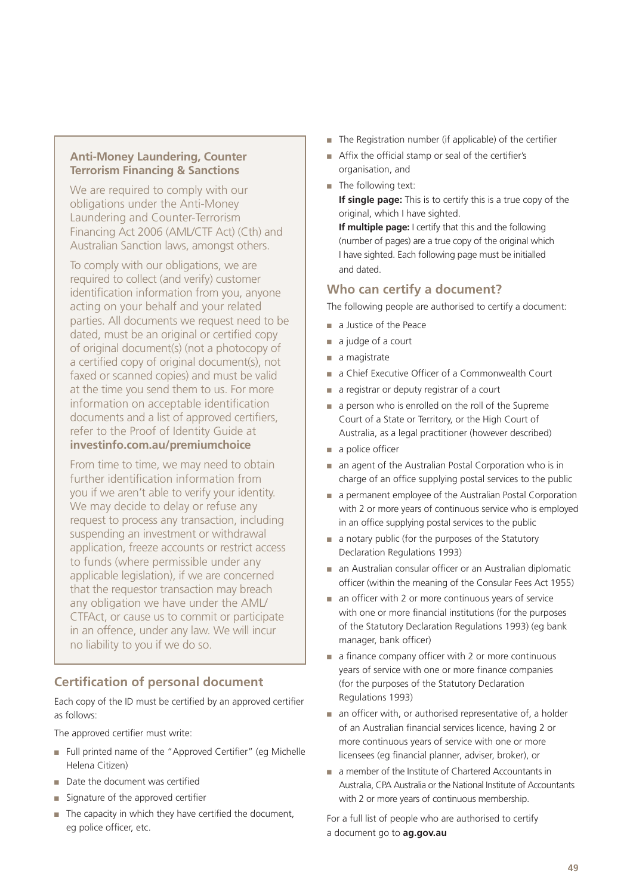#### **Anti-Money Laundering, Counter Terrorism Financing & Sanctions**

We are required to comply with our obligations under the Anti-Money Laundering and Counter-Terrorism Financing Act 2006 (AML/CTF Act) (Cth) and Australian Sanction laws, amongst others.

To comply with our obligations, we are required to collect (and verify) customer identification information from you, anyone acting on your behalf and your related parties. All documents we request need to be dated, must be an original or certified copy of original document(s) (not a photocopy of a certified copy of original document(s), not faxed or scanned copies) and must be valid at the time you send them to us. For more information on acceptable identification documents and a list of approved certifiers, refer to the Proof of Identity Guide at **[investinfo.com.au/premiumchoice](http://investinfo.com.au/premiumchoice)**

From time to time, we may need to obtain further identification information from you if we aren't able to verify your identity. We may decide to delay or refuse any request to process any transaction, including suspending an investment or withdrawal application, freeze accounts or restrict access to funds (where permissible under any applicable legislation), if we are concerned that the requestor transaction may breach any obligation we have under the AML/ CTFAct, or cause us to commit or participate in an offence, under any law. We will incur no liability to you if we do so.

### **Certification of personal document**

Each copy of the ID must be certified by an approved certifier as follows:

The approved certifier must write:

- Full printed name of the "Approved Certifier" (eg Michelle Helena Citizen)
- Date the document was certified
- Signature of the approved certifier
- The capacity in which they have certified the document, eg police officer, etc.
- The Registration number (if applicable) of the certifier
- Affix the official stamp or seal of the certifier's organisation, and
- The following text:

**If single page:** This is to certify this is a true copy of the original, which I have sighted. **If multiple page:** I certify that this and the following (number of pages) are a true copy of the original which I have sighted. Each following page must be initialled

and dated.

#### **Who can certify a document?**

The following people are authorised to certify a document:

- a Justice of the Peace
- a judge of a court
- a magistrate
- a Chief Executive Officer of a Commonwealth Court
- a registrar or deputy registrar of a court
- a person who is enrolled on the roll of the Supreme Court of a State or Territory, or the High Court of Australia, as a legal practitioner (however described)
- a police officer
- an agent of the Australian Postal Corporation who is in charge of an office supplying postal services to the public
- a permanent employee of the Australian Postal Corporation with 2 or more years of continuous service who is employed in an office supplying postal services to the public
- a notary public (for the purposes of the Statutory Declaration Regulations 1993)
- an Australian consular officer or an Australian diplomatic officer (within the meaning of the Consular Fees Act 1955)
- an officer with 2 or more continuous years of service with one or more financial institutions (for the purposes of the Statutory Declaration Regulations 1993) (eg bank manager, bank officer)
- a finance company officer with 2 or more continuous years of service with one or more finance companies (for the purposes of the Statutory Declaration Regulations 1993)
- an officer with, or authorised representative of, a holder of an Australian financial services licence, having 2 or more continuous years of service with one or more licensees (eg financial planner, adviser, broker), or
- a member of the Institute of Chartered Accountants in Australia, CPA Australia or the National Institute of Accountants with 2 or more years of continuous membership.

For a full list of people who are authorised to certify a document go to **[ag.gov.au](http://ag.gov.au)**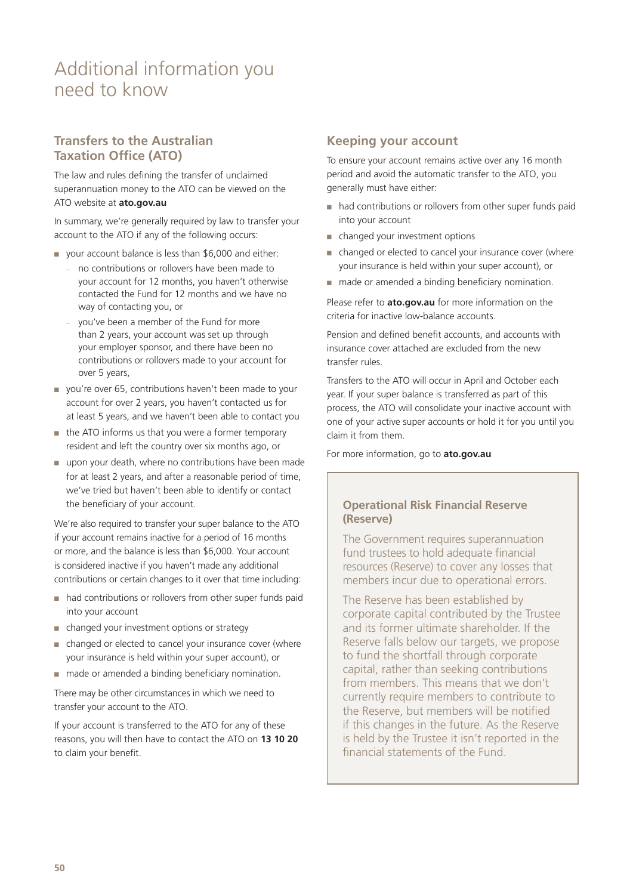### Additional information you need to know

#### **Transfers to the Australian Taxation Office (ATO)**

The law and rules defining the transfer of unclaimed superannuation money to the ATO can be viewed on the ATO website at **[ato.gov.au](http://ato.gov.au)**

In summary, we're generally required by law to transfer your account to the ATO if any of the following occurs:

- your account balance is less than \$6,000 and either:
	- no contributions or rollovers have been made to your account for 12 months, you haven't otherwise contacted the Fund for 12 months and we have no way of contacting you, or
	- you've been a member of the Fund for more than 2 years, your account was set up through your employer sponsor, and there have been no contributions or rollovers made to your account for over 5 years,
- you're over 65, contributions haven't been made to your account for over 2 years, you haven't contacted us for at least 5 years, and we haven't been able to contact you
- the ATO informs us that you were a former temporary resident and left the country over six months ago, or
- upon your death, where no contributions have been made for at least 2 years, and after a reasonable period of time, we've tried but haven't been able to identify or contact the beneficiary of your account.

We're also required to transfer your super balance to the ATO if your account remains inactive for a period of 16 months or more, and the balance is less than \$6,000. Your account is considered inactive if you haven't made any additional contributions or certain changes to it over that time including:

- had contributions or rollovers from other super funds paid into your account
- changed your investment options or strategy
- changed or elected to cancel your insurance cover (where your insurance is held within your super account), or
- made or amended a binding beneficiary nomination.

There may be other circumstances in which we need to transfer your account to the ATO.

If your account is transferred to the ATO for any of these reasons, you will then have to contact the ATO on **13 10 20** to claim your benefit.

#### **Keeping your account**

To ensure your account remains active over any 16 month period and avoid the automatic transfer to the ATO, you generally must have either:

- had contributions or rollovers from other super funds paid into your account
- changed your investment options
- changed or elected to cancel your insurance cover (where your insurance is held within your super account), or
- made or amended a binding beneficiary nomination.

Please refer to **[ato.gov.au](http://ato.gov.au)** for more information on the criteria for inactive low-balance accounts.

Pension and defined benefit accounts, and accounts with insurance cover attached are excluded from the new transfer rules.

Transfers to the ATO will occur in April and October each year. If your super balance is transferred as part of this process, the ATO will consolidate your inactive account with one of your active super accounts or hold it for you until you claim it from them.

For more information, go to **[ato.gov.au](http://ato.gov.au)**

#### **Operational Risk Financial Reserve (Reserve)**

The Government requires superannuation fund trustees to hold adequate financial resources (Reserve) to cover any losses that members incur due to operational errors.

The Reserve has been established by corporate capital contributed by the Trustee and its former ultimate shareholder. If the Reserve falls below our targets, we propose to fund the shortfall through corporate capital, rather than seeking contributions from members. This means that we don't currently require members to contribute to the Reserve, but members will be notified if this changes in the future. As the Reserve is held by the Trustee it isn't reported in the financial statements of the Fund.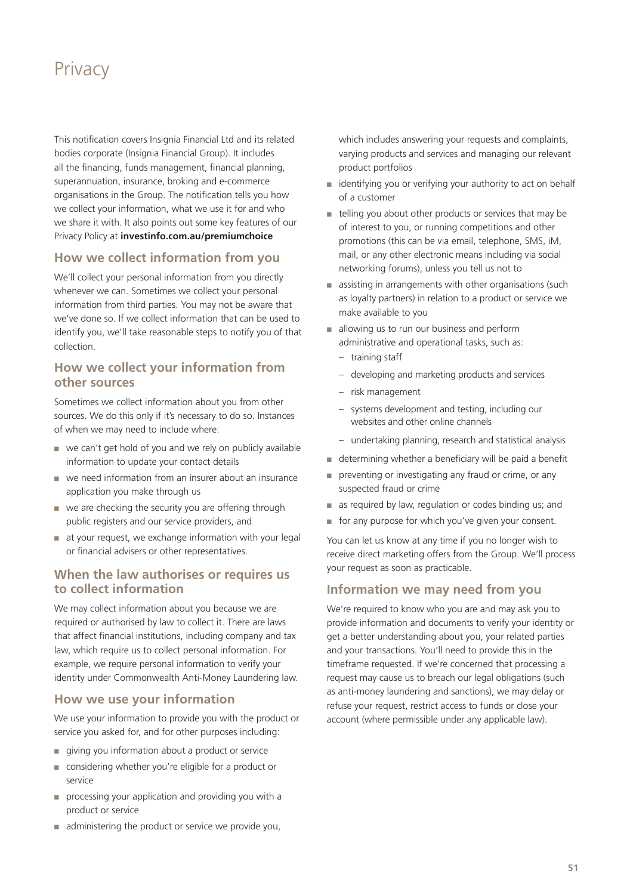### <span id="page-50-0"></span>**Privacy**

This notification covers Insignia Financial Ltd and its related bodies corporate (Insignia Financial Group). It includes all the financing, funds management, financial planning, superannuation, insurance, broking and e-commerce organisations in the Group. The notification tells you how we collect your information, what we use it for and who we share it with. It also points out some key features of our Privacy Policy at **[investinfo.com.au/premiumchoice](http://investinfo.com.au/premiumchoice)**

#### **How we collect information from you**

We'll collect your personal information from you directly whenever we can. Sometimes we collect your personal information from third parties. You may not be aware that we've done so. If we collect information that can be used to identify you, we'll take reasonable steps to notify you of that collection.

#### **How we collect your information from other sources**

Sometimes we collect information about you from other sources. We do this only if it's necessary to do so. Instances of when we may need to include where:

- we can't get hold of you and we rely on publicly available information to update your contact details
- we need information from an insurer about an insurance application you make through us
- we are checking the security you are offering through public registers and our service providers, and
- at your request, we exchange information with your legal or financial advisers or other representatives.

#### **When the law authorises or requires us to collect information**

We may collect information about you because we are required or authorised by law to collect it. There are laws that affect financial institutions, including company and tax law, which require us to collect personal information. For example, we require personal information to verify your identity under Commonwealth Anti-Money Laundering law.

#### **How we use your information**

We use your information to provide you with the product or service you asked for, and for other purposes including:

- giving you information about a product or service
- considering whether you're eligible for a product or service
- processing your application and providing you with a product or service
- administering the product or service we provide you,

which includes answering your requests and complaints, varying products and services and managing our relevant product portfolios

- identifying you or verifying your authority to act on behalf of a customer
- telling you about other products or services that may be of interest to you, or running competitions and other promotions (this can be via email, telephone, SMS, iM, mail, or any other electronic means including via social networking forums), unless you tell us not to
- assisting in arrangements with other organisations (such as loyalty partners) in relation to a product or service we make available to you
- allowing us to run our business and perform administrative and operational tasks, such as:
	- training staff
	- developing and marketing products and services
	- risk management
	- systems development and testing, including our websites and other online channels
	- undertaking planning, research and statistical analysis
- determining whether a beneficiary will be paid a benefit
- preventing or investigating any fraud or crime, or any suspected fraud or crime
- as required by law, regulation or codes binding us; and
- for any purpose for which you've given your consent.

You can let us know at any time if you no longer wish to receive direct marketing offers from the Group. We'll process your request as soon as practicable.

#### **Information we may need from you**

We're required to know who you are and may ask you to provide information and documents to verify your identity or get a better understanding about you, your related parties and your transactions. You'll need to provide this in the timeframe requested. If we're concerned that processing a request may cause us to breach our legal obligations (such as anti-money laundering and sanctions), we may delay or refuse your request, restrict access to funds or close your account (where permissible under any applicable law).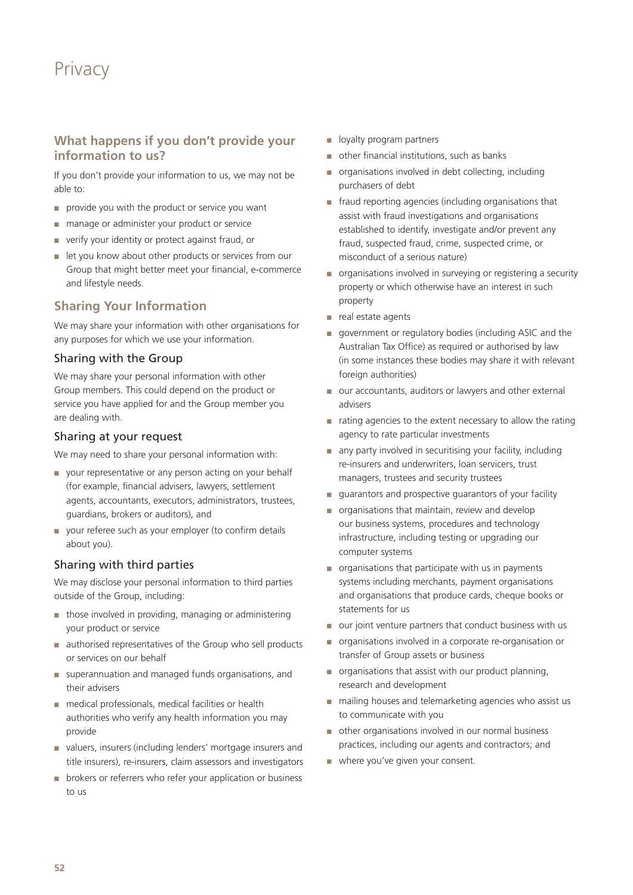### **Privacy**

#### **What happens if you don't provide your information to us?**

If you don't provide your information to us, we may not be able to:

- provide you with the product or service you want
- manage or administer your product or service
- verify your identity or protect against fraud, or
- let you know about other products or services from our Group that might better meet your financial, e-commerce and lifestyle needs.

#### **Sharing Your Information**

We may share your information with other organisations for any purposes for which we use your information.

#### Sharing with the Group

We may share your personal information with other Group members. This could depend on the product or service you have applied for and the Group member you are dealing with.

#### Sharing at your request

We may need to share your personal information with:

- your representative or any person acting on your behalf (for example, financial advisers, lawyers, settlement agents, accountants, executors, administrators, trustees, guardians, brokers or auditors), and
- your referee such as your employer (to confirm details about you).

#### Sharing with third parties

We may disclose your personal information to third parties outside of the Group, including:

- those involved in providing, managing or administering your product or service
- authorised representatives of the Group who sell products or services on our behalf
- superannuation and managed funds organisations, and their advisers
- medical professionals, medical facilities or health authorities who verify any health information you may provide
- valuers, insurers (including lenders' mortgage insurers and title insurers), re-insurers, claim assessors and investigators
- brokers or referrers who refer your application or business to us
- loyalty program partners
- other financial institutions, such as banks
- organisations involved in debt collecting, including purchasers of debt
- fraud reporting agencies (including organisations that assist with fraud investigations and organisations established to identify, investigate and/or prevent any fraud, suspected fraud, crime, suspected crime, or misconduct of a serious nature)
- organisations involved in surveying or registering a security property or which otherwise have an interest in such property
- real estate agents
- government or regulatory bodies (including ASIC and the Australian Tax Office) as required or authorised by law (in some instances these bodies may share it with relevant foreign authorities)
- our accountants, auditors or lawyers and other external advisers
- $\blacksquare$  rating agencies to the extent necessary to allow the rating agency to rate particular investments
- any party involved in securitising your facility, including re-insurers and underwriters, loan servicers, trust managers, trustees and security trustees
- guarantors and prospective guarantors of your facility
- organisations that maintain, review and develop our business systems, procedures and technology infrastructure, including testing or upgrading our computer systems
- organisations that participate with us in payments systems including merchants, payment organisations and organisations that produce cards, cheque books or statements for us
- our joint venture partners that conduct business with us
- organisations involved in a corporate re-organisation or transfer of Group assets or business
- organisations that assist with our product planning, research and development
- mailing houses and telemarketing agencies who assist us to communicate with you
- other organisations involved in our normal business practices, including our agents and contractors; and
- where you've given your consent.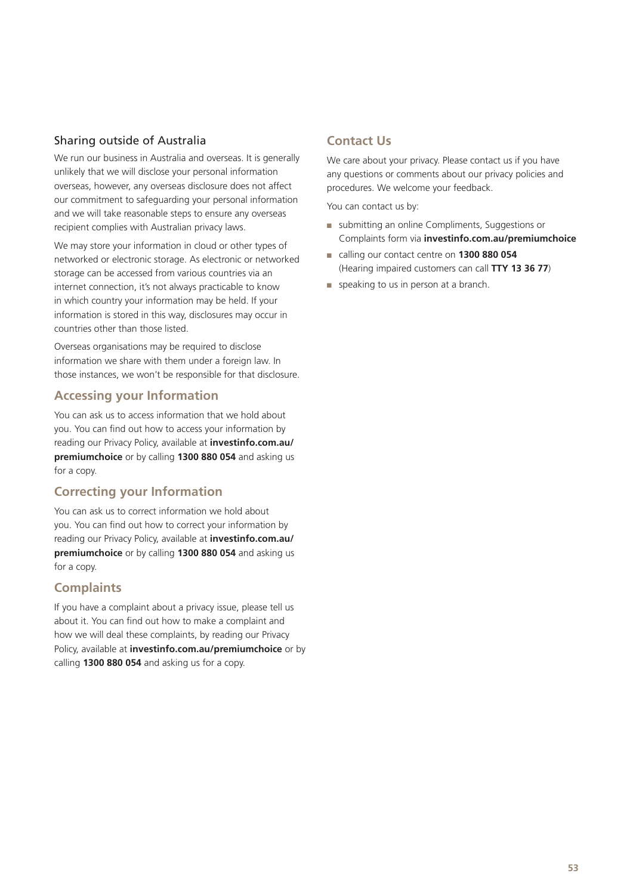#### Sharing outside of Australia

We run our business in Australia and overseas. It is generally unlikely that we will disclose your personal information overseas, however, any overseas disclosure does not affect our commitment to safeguarding your personal information and we will take reasonable steps to ensure any overseas recipient complies with Australian privacy laws.

We may store your information in cloud or other types of networked or electronic storage. As electronic or networked storage can be accessed from various countries via an internet connection, it's not always practicable to know in which country your information may be held. If your information is stored in this way, disclosures may occur in countries other than those listed.

Overseas organisations may be required to disclose information we share with them under a foreign law. In those instances, we won't be responsible for that disclosure.

#### **Accessing your Information**

You can ask us to access information that we hold about you. You can find out how to access your information by reading our Privacy Policy, available at **[investinfo.com.au/](http://investinfo.com.au/premiumchoice) [premiumchoice](http://investinfo.com.au/premiumchoice)** or by calling **1300 880 054** and asking us for a copy.

#### **Correcting your Information**

You can ask us to correct information we hold about you. You can find out how to correct your information by reading our Privacy Policy, available at **investinfo.com.au/ premiumchoice** or by calling **1300 880 054** and asking us for a copy.

#### **Complaints**

If you have a complaint about a privacy issue, please tell us about it. You can find out how to make a complaint and how we will deal these complaints, by reading our Privacy Policy, available at **investinfo.com.au/premiumchoice** or by calling **1300 880 054** and asking us for a copy.

#### **Contact Us**

We care about your privacy. Please contact us if you have any questions or comments about our privacy policies and procedures. We welcome your feedback.

You can contact us by:

- submitting an online Compliments, Suggestions or Complaints form via **investinfo.com.au/premiumchoice**
- calling our contact centre on **1300 880 054** (Hearing impaired customers can call **TTY 13 36 77**)
- speaking to us in person at a branch.